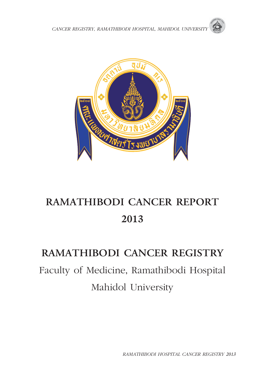



# **RAMATHIBODI CANCER REPORT 2013**

## **RAMATHIBODI CANCER REGISTRY**

Faculty of Medicine, Ramathibodi Hospital Mahidol University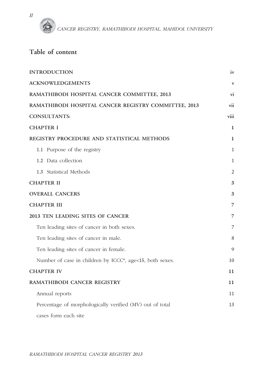

## **Table of content**

| <b>INTRODUCTION</b>                                      | iv             |
|----------------------------------------------------------|----------------|
| <b>ACKNOWLEDGEMENTS</b>                                  | $\mathbf{V}$   |
| RAMATHIBODI HOSPITAL CANCER COMMITTEE, 2013              | vi             |
| RAMATHIBODI HOSPITAL CANCER REGISTRY COMMITTEE, 2013     | vii            |
| <b>CONSULTANTS:</b>                                      | viii           |
| <b>CHAPTER I</b>                                         | 1              |
| REGISTRY PROCEDURE AND STATISTICAL METHODS               | 1              |
| 1.1 Purpose of the registry                              | 1              |
| 1.2 Data collection                                      | $\mathbf{1}$   |
| 1.3 Statistical Methods                                  | $\overline{2}$ |
| <b>CHAPTER II</b>                                        | 3              |
| <b>OVERALL CANCERS</b>                                   | 3              |
| <b>CHAPTER III</b>                                       | 7              |
| 2013 TEN LEADING SITES OF CANCER                         | 7              |
| Ten leading sites of cancer in both sexes.               | 7              |
| Ten leading sites of cancer in male.                     | 8              |
| Ten leading sites of cancer in female.                   | 9              |
| Number of case in children by ICCC*, age<15, both sexes. | 10             |
| <b>CHAPTER IV</b>                                        | 11             |
| RAMATHIBODI CANCER REGISTRY                              | 11             |
| Annual reports                                           | 11             |
| Percentage of morphologically verified (MV) out of total | 13             |
| cases form each site                                     |                |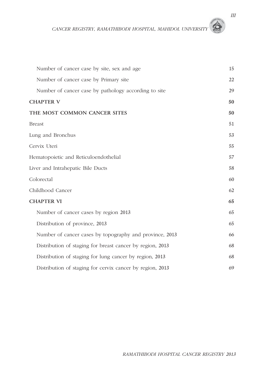| Number of cancer case by site, sex and age                | 15 |
|-----------------------------------------------------------|----|
| Number of cancer case by Primary site                     | 22 |
| Number of cancer case by pathology according to site      | 29 |
| <b>CHAPTER V</b>                                          | 50 |
| THE MOST COMMON CANCER SITES                              | 50 |
| <b>Breast</b>                                             | 51 |
| Lung and Bronchus                                         | 53 |
| Cervix Uteri                                              | 55 |
| Hematopoietic and Reticuloendothelial                     | 57 |
| Liver and Intrahepatic Bile Ducts                         | 58 |
| Colorectal                                                | 60 |
| Childhood Cancer                                          | 62 |
| <b>CHAPTER VI</b>                                         | 65 |
| Number of cancer cases by region 2013                     | 65 |
| Distribution of province, 2013                            | 65 |
| Number of cancer cases by topography and province, 2013   | 66 |
| Distribution of staging for breast cancer by region, 2013 | 68 |
| Distribution of staging for lung cancer by region, 2013   | 68 |
| Distribution of staging for cervix cancer by region, 2013 | 69 |

*III*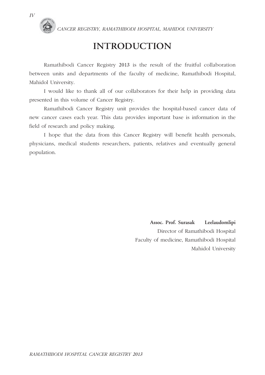

## **INTRODUCTION**

 Ramathibodi Cancer Registry 2013 is the result of the fruitful collaboration between units and departments of the faculty of medicine, Ramathibodi Hospital, Mahidol University.

 I would like to thank all of our collaborators for their help in providing data presented in this volume of Cancer Registry.

 Ramathibodi Cancer Registry unit provides the hospital-based cancer data of new cancer cases each year. This data provides important base is information in the field of research and policy making.

 I hope that the data from this Cancer Registry will benefit health personals, physicians, medical students researchers, patients, relatives and eventually general population.

> **Assoc. Prof. Surasak Leelaudomlipi**  Director of Ramathibodi Hospital Faculty of medicine, Ramathibodi Hospital Mahidol University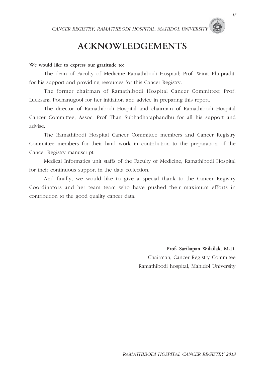## **ACKNOWLEDGEMENTS**

#### **We would like to express our gratitude to:**

 The dean of Faculty of Medicine Ramathibodi Hospital; Prof. Winit Phupradit, for his support and providing resources for this Cancer Registry.

 The former chairman of Ramathibodi Hospital Cancer Committee; Prof. Lucksana Pochanugool for her initiation and advice in preparing this report.

 The director of Ramathibodi Hospital and chairman of Ramathibodi Hospital Cancer Committee, Assoc. Prof Than Subhadharaphandhu for all his support and advise.

 The Ramathibodi Hospital Cancer Committee members and Cancer Registry Committee members for their hard work in contribution to the preparation of the Cancer Registry manuscript.

 Medical Informatics unit staffs of the Faculty of Medicine, Ramathibodi Hospital for their continuous support in the data collection.

 And finally, we would like to give a special thank to the Cancer Registry Coordinators and her team team who have pushed their maximum efforts in contribution to the good quality cancer data.

> **Prof. Sarikapan Wilailak, M.D.**  Chairman, Cancer Registry Commitee Ramathibodi hospital, Mahidol University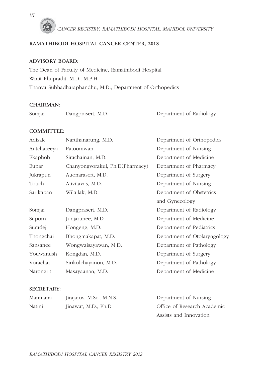

#### **RAMATHIBODI HOSPITAL CANCER CENTER, 2013**

#### **ADVISORY BOARD:**

The Dean of Faculty of Medicine, Ramathibodi Hospital Winit Phupradit, M.D., M.P.H Thanya Subhadharaphandhu, M.D., Department of Orthopedics

#### **CHAIRMAN:**

|  | Somjai | Dangprasert, M.D. | Department of Radiology |
|--|--------|-------------------|-------------------------|
|--|--------|-------------------|-------------------------|

#### **COMMITTEE:**

| Adisak      | Nartthanarung, M.D.             | Department of Orthopedics    |
|-------------|---------------------------------|------------------------------|
| Autchareeya | Patoomwan                       | Department of Nursing        |
| Ekaphob     | Sirachainan, M.D.               | Department of Medicine       |
| Eupar       | Chanyongvorakul, Ph.D(Pharmacy) | Department of Pharmacy       |
| Jukrapun    | Auonarasert, M.D.               | Department of Surgery        |
| Touch       | Ativitavas, M.D.                | Department of Nursing        |
| Sarikapan   | Wilailak, M.D.                  | Department of Obstetrics     |
|             |                                 | and Gynecology               |
| Somjai      | Dangprasert, M.D.               | Department of Radiology      |
| Suporn      | Junjarunee, M.D.                | Department of Medicine       |
| Suradej     | Hongeng, M.D.                   | Department of Pediatrics     |
| Thongchai   | Bhongmakapat, M.D.              | Department of Otolaryngology |
| Sansanee    | Wongwaisayawan, M.D.            | Department of Pathology      |
| Youwanush   | Kongdan, M.D.                   | Department of Surgery        |
| Vorachai    | Sirikulchayanon, M.D.           | Department of Pathology      |
| Narongrit   | Masayaanan, M.D.                | Department of Medicine       |

#### **SECRETARY:**

| Manmana | Jirajarus, M.Sc., M.N.S. | Department of Nursing       |  |
|---------|--------------------------|-----------------------------|--|
| Natini  | Jinawat, M.D., Ph.D      | Office of Research Academic |  |
|         |                          | Assists and Innovation      |  |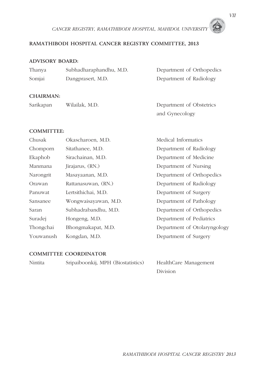#### **RAMATHIBODI HOSPITAL CANCER REGISTRY COMMITTEE, 2013**

#### **ADVISORY BOARD:**

| Thanya | Subhadharaphandhu, M.D. | Department of Orthopedics |  |
|--------|-------------------------|---------------------------|--|
| Somjai | Dangprasert, M.D.       | Department of Radiology   |  |
|        |                         |                           |  |

#### **CHAIRMAN:**

| Sarikapan | Wilailak, M.D. | Department of Obstetrics |
|-----------|----------------|--------------------------|
|           |                | and Gynecology           |

#### **COMMITTEE:**

| Chusak    | Okascharoen, M.D.    | Medical Informatics          |
|-----------|----------------------|------------------------------|
| Chomporn  | Sitathanee, M.D.     | Department of Radiology      |
| Ekaphob   | Sirachainan, M.D.    | Department of Medicine       |
| Manmana   | Jirajarus, (RN.)     | Department of Nursing        |
| Narongrit | Masayaanan, M.D.     | Department of Orthopedics    |
| Orawan    | Rattanasuwan, (RN.)  | Department of Radiology      |
| Panuwat   | Lertsithichai, M.D.  | Department of Surgery        |
| Sansanee  | Wongwaisayawan, M.D. | Department of Pathology      |
| Saran     | Subhadrabandhu, M.D. | Department of Orthopedics    |
| Suradej   | Hongeng, M.D.        | Department of Pediatrics     |
| Thongchai | Bhongmakapat, M.D.   | Department of Otolaryngology |
| Youwanush | Kongdan, M.D.        | Department of Surgery        |

#### **COMMITTEE COORDINATOR**

| Nintita | Sripaiboonkij, MPH (Biostatistics) | HealthCare Management |
|---------|------------------------------------|-----------------------|
|         |                                    | Division              |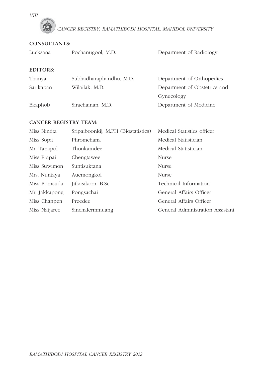*VIII*



#### **CONSULTANTS:**

| Lucksana        | Pochanugool, M.D.       | Department of Radiology      |
|-----------------|-------------------------|------------------------------|
| <b>EDITORS:</b> |                         |                              |
| Thanya          | Subhadharaphandhu, M.D. | Department of Orthopedics    |
| Sarikapan       | Wilailak, M.D.          | Department of Obstetrics and |
|                 |                         | Gynecology                   |
| Ekaphob         | Sirachainan, M.D.       | Department of Medicine       |

#### **CANCER REGISTRY TEAM:**

| Miss Nintita  | Sripaiboonkij, M.PH (Biostatistics) | Medical Statistics officer       |
|---------------|-------------------------------------|----------------------------------|
| Miss Sopit    | Phromchana                          | Medical Statistician             |
| Mr. Tanapol   | Thonkamdee                          | Medical Statistician             |
| Miss Prapai   | Chengtawee                          | Nurse                            |
| Miss Suwimon  | Suntisuktana                        | Nurse                            |
| Mrs. Nuntaya  | Auemongkol                          | Nurse                            |
| Miss Pornsuda | Jitkasikorn, B.Sc                   | Technical Information            |
| Mr. Jakkapong | Pongsachai                          | General Affairs Officer          |
| Miss Chanpen  | Preedee                             | General Affairs Officer          |
| Miss Natjaree | Sinchalermmuang                     | General Administration Assistant |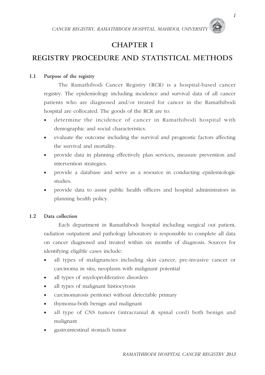### **CHAPTER I**

## **REGISTRY PROCEDURE AND STATISTICAL METHODS**

#### **1.1 Purpose of the registry**

 The Ramathibodi Cancer Registry (RCR) is a hospital-based cancer registry. The epidemiology including incidence and survival data of all cancer patients who are diagnosed and/or treated for cancer in the Ramathibodi hospital are collocated. The goods of the RCR are to:

- ë determine the incidence of cancer in Ramathibodi hospital with demographic and social characteristics.
- ë evaluate the outcome including the survival and prognostic factors affecting the survival and mortality.
- ë provide data in planning effectively plan services, measure prevention and intervention strategies.
- ë provide a database and serve as a resource in conducting epidemiologic studies.
- ë provide data to assist public health officers and hospital administrators in planning health policy.

#### **1.2 Data collection**

 Each department in Ramathibodi hospital including surgical out patient, radiation outpatient and pathology laboratory is responsible to complete all data on cancer diagnosed and treated within six months of diagnosis. Sources for identifying eligible cases include:

- ë all types of malignancies including skin cancer, pre-invasive cancer or carcinoma in situ, neoplasm with malignant potential
- ë all types of myeloproliferative disorders
- ë all types of malignant histiocytosis
- ë carcinomatosis peritonei without detectable primary
- ë thymoma-both benign and malignant
- ë all type of CNS tumors (intracranial & spinal cord) both benign and malignant
- ë gastrointestinal stomach tumor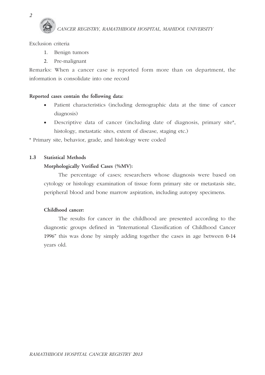#### Exclusion criteria

- 1. Benign tumors
- 2. Pre-malignant

Remarks: When a cancer case is reported form more than on department, the information is consolidate into one record

#### **Reported cases contain the following data:**

- Patient characteristics (including demographic data at the time of cancer diagnosis)
- ë Descriptive data of cancer (including date of diagnosis, primary site\*, histology, metastatic sites, extent of disease, staging etc.)

\* Primary site, behavior, grade, and histology were coded

#### **1.3 Statistical Methods**

#### **Morphologically Verified Cases (%MV):**

 The percentage of cases; researchers whose diagnosis were based on cytology or histology examination of tissue form primary site or metastasis site, peripheral blood and bone marrow aspiration, including autopsy specimens.

#### **Childhood cancer:**

 The results for cancer in the childhood are presented according to the diagnostic groups defined in "International Classification of Childhood Cancer 1996" this was done by simply adding together the cases in age between 0-14 years old.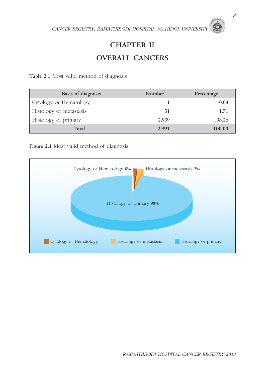## **CHAPTER II OVERALL CANCERS**

**Table 2.1** Most valid method of diagnosis

| Basis of diagnosis      | Number | Percentage |
|-------------------------|--------|------------|
| Cytology or Hematology  |        | 0.03       |
| Histology or metastasis | 51     | 1.71       |
| Histology of primary    | 2.939  | 98.26      |
| Total                   | 2,991  | 100.00     |

Figure 2.1 Most valid method of diagnosis

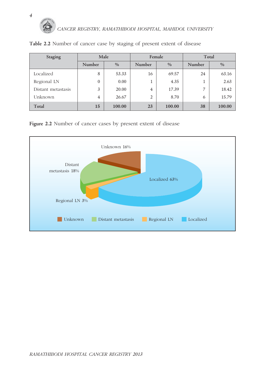

| Staging            | Male           |        |                | Female        | Total  |        |  |  |
|--------------------|----------------|--------|----------------|---------------|--------|--------|--|--|
|                    | Number<br>$\%$ |        | Number         | $\frac{0}{0}$ | Number | $\%$   |  |  |
| Localized          | 8              | 53.33  | 16             | 69.57         | 24     | 63.16  |  |  |
| Regional LN        | $\theta$       | 0.00   |                | 4.35          |        | 2.63   |  |  |
| Distant metastasis | 3              | 20.00  | $\overline{4}$ | 17.39         | 7      | 18.42  |  |  |
| Unknown            | 4              | 26.67  | $\overline{2}$ | 8.70          | 6      | 15.79  |  |  |
| Total              | 15             | 100.00 | 23             | 100.00        | 38     | 100.00 |  |  |

**Table 2.2** Number of cancer case by staging of present extent of disease

**Figure 2.2** Number of cancer cases by present extent of disease



*RAMATHIBODI HOSPITAL CANCER REGISTRY 2013*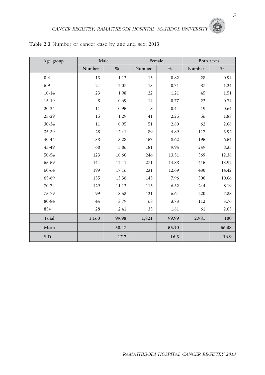| Age group | Male            |       | Female       |       | Both sexes |       |  |  |
|-----------|-----------------|-------|--------------|-------|------------|-------|--|--|
|           | Number          | $\%$  | Number       | $\%$  | Number     | $\%$  |  |  |
| $0 - 4$   | 13              | 1.12  | 15           | 0.82  | 28         | 0.94  |  |  |
| $5-9$     | 24              | 2.07  | 13           | 0.71  | 37         | 1.24  |  |  |
| $10 - 14$ | 23              | 1.98  | 22           | 1.21  | 45         | 1.51  |  |  |
| $15-19$   | 8<br>0.69<br>14 |       | 0.77         | 22    | 0.74       |       |  |  |
| $20 - 24$ | 11              | 0.95  | 8            | 0.44  | 19         | 0.64  |  |  |
| $25 - 29$ | 15              | 1.29  | 41           | 2.25  | 56         | 1.88  |  |  |
| 30-34     | 11              | 0.95  | 51           | 2.80  | 62         | 2.08  |  |  |
| 35-39     | 28              | 2.41  | 89           | 4.89  | 117        | 3.92  |  |  |
| 40-44     | 38              | 3.28  | 157          | 8.62  | 195        | 6.54  |  |  |
| 45-49     | 68              | 5.86  | 181          | 9.94  | 249        | 8.35  |  |  |
| 50-54     | 123             | 10.60 | 13.51<br>246 |       | 369        | 12.38 |  |  |
| 55-59     | 144             | 12.41 | 271          | 14.88 | 415        | 13.92 |  |  |
| 60-64     | 199             | 17.16 | 231          | 12.69 | 430        | 14.42 |  |  |
| 65-69     | 155             | 13.36 | 145          | 7.96  | 300        | 10.06 |  |  |
| 70-74     | 129             | 11.12 | 115          | 6.32  | 244        | 8.19  |  |  |
| 75-79     | 99              | 8.53  | 121          | 6.64  | 220        | 7.38  |  |  |
| 80-84     | 44              | 3.79  | 68           | 3.73  | 112        | 3.76  |  |  |
| $85+$     | 28              | 2.41  | 33           | 1.81  | 61         | 2.05  |  |  |
| Total     | 1,160           | 99.98 | 1,821        | 99.99 | 2,981      | 100   |  |  |
| Mean      |                 | 58.47 |              | 55.10 |            | 56.38 |  |  |
| S.D.      |                 | 17.7  |              | 16.3  |            | 16.9  |  |  |

**Table 2.3** Number of cancer case by age and sex, 2013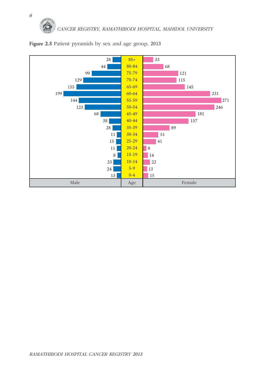

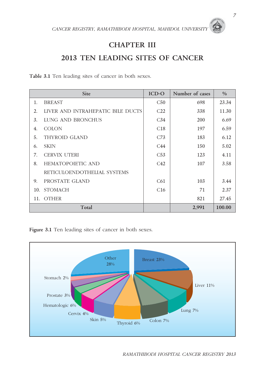### **CHAPTER III**

### **2013 TEN LEADING SITES OF CANCER**

**Table 3.1** Ten leading sites of cancer in both sexes.

|     | Site                              | ICD-O           | Number of cases | $\frac{0}{0}$ |
|-----|-----------------------------------|-----------------|-----------------|---------------|
| 1.  | <b>BREAST</b>                     | C50             | 698             | 23.34         |
| 2.  | LIVER AND INTRAHEPATIC BILE DUCTS | C <sub>22</sub> | 338             | 11.30         |
| 3.  | LUNG AND BRONCHUS                 | C <sub>34</sub> | <b>200</b>      | 6.69          |
| 4.  | <b>COLON</b>                      | C18             | 197             | 6.59          |
| 5.  | THYROID GLAND                     | C <sub>73</sub> | 183             | 6.12          |
| 6.  | <b>SKIN</b>                       | C44             | 150             | 5.02          |
| 7.  | <b>CERVIX UTERI</b>               | C53             | 123             | 4.11          |
| 8.  | <b>HEMATOPOIETIC AND</b>          | C42             | 107             | 3.58          |
|     | RETICULOENDOTHELIAL SYSTEMS       |                 |                 |               |
| 9.  | PROSTATE GLAND                    | C61             | 103             | 3.44          |
| 10. | <b>STOMACH</b>                    | C16             | 71              | 2.37          |
|     | 11. OTHER                         |                 | 821             | 27.45         |
|     | Total                             |                 | 2,991           | 100.00        |

Figure 3.1 Ten leading sites of cancer in both sexes.

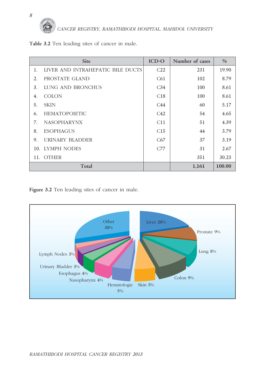

**Table 3.2** Ten leading sites of cancer in male.

|    | Site                              | <b>ICD-O</b>    | Number of cases | $\frac{0}{0}$ |
|----|-----------------------------------|-----------------|-----------------|---------------|
| 1. | LIVER AND INTRAHEPATIC BILE DUCTS | C <sub>22</sub> | 231             | 19.90         |
| 2. | PROSTATE GLAND                    | C61             | 102             | 8.79          |
| 3. | LUNG AND BRONCHUS                 | C <sub>34</sub> | 100             | 8.61          |
| 4. | <b>COLON</b>                      | C18             | 100             | 8.61          |
| 5. | <b>SKIN</b>                       | C44             | 60              | 5.17          |
| 6. | <b>HEMATOPOIETIC</b>              | C42             | 54              | 4.65          |
| 7. | <b>NASOPHARYNX</b>                | C11             | 51              | 4.39          |
| 8. | <b>ESOPHAGUS</b>                  | C15             | 44              | 3.79          |
| 9. | URINARY BLADDER                   | C67             | 37              | 3.19          |
|    | 10. LYMPH NODES                   | C77             | 31              | 2.67          |
|    | 11. OTHER                         |                 | 351             | 30.23         |
|    | Total                             |                 | 1,161           | 100.00        |

Figure 3.2 Ten leading sites of cancer in male.

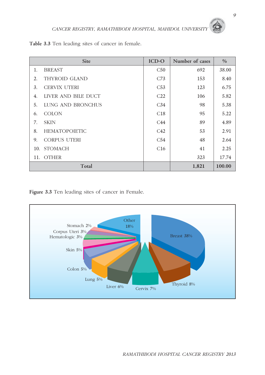| Table 3.3 Ten leading sites of cancer in female. |  |
|--------------------------------------------------|--|
|--------------------------------------------------|--|

|     | Site                 | ICD-O           | Number of cases | $\frac{0}{0}$ |
|-----|----------------------|-----------------|-----------------|---------------|
| 1.  | <b>BREAST</b>        | C50             | 692             | 38.00         |
| 2.  | <b>THYROID GLAND</b> | C <sub>73</sub> | 153             | 8.40          |
| 3.  | <b>CERVIX UTERI</b>  | C53             | 123             | 6.75          |
| 4.  | LIVER AND BILE DUCT  | C <sub>22</sub> | 106             | 5.82          |
| 5.  | LUNG AND BRONCHUS    | C <sub>34</sub> | 98              | 5.38          |
| 6.  | <b>COLON</b>         | C18             | 95              | 5.22          |
| 7.  | <b>SKIN</b>          | C44             | 89              | 4.89          |
| 8.  | <b>HEMATOPOIETIC</b> | C42             | 53              | 2.91          |
| 9.  | <b>CORPUS UTERI</b>  | C54             | 48              | 2.64          |
| 10. | <b>STOMACH</b>       | C16             | 41              | 2.25          |
|     | 11. OTHER            |                 | 323             | 17.74         |
|     | Total                |                 | 1,821           | 100.00        |

**Figure 3.3** Ten leading sites of cancer in Female.

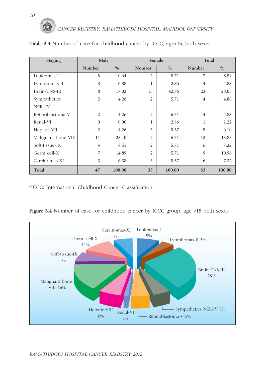| Staging             | Male           |        |                | Female | Total          |        |  |  |
|---------------------|----------------|--------|----------------|--------|----------------|--------|--|--|
|                     | Number         | $\%$   | Number         | $\%$   | Number         | $\%$   |  |  |
| Leukemias-I         | 5              | 10.64  | $\overline{2}$ | 5.71   | 7              | 8.54   |  |  |
| Lymphomas-II        | 3              | 6.38   | $\mathbf{1}$   | 2.86   | $\overline{4}$ | 4.88   |  |  |
| Brain/CNS-III       | 8              | 17.02  | 15             | 42.86  | 23             | 28.05  |  |  |
| Sympathetics        | $\overline{2}$ | 4.26   | $\overline{2}$ | 5.71   | $\overline{4}$ | 4.88   |  |  |
| NER.-IV             |                |        |                |        |                |        |  |  |
| Retinoblastoma-V    | $\overline{2}$ | 4.26   | $\overline{2}$ | 5.71   | $\overline{4}$ | 4.88   |  |  |
| Renal-VI            | $\Omega$       | 0.00   | $\mathbf{1}$   | 2.86   | 1              | 1.22   |  |  |
| Hepatic-VII         | $\overline{2}$ | 4.26   | 3              | 8.57   | 5              | 6.10   |  |  |
| Malignant bone-VIII | 11             | 23.40  | $\overline{2}$ | 5.71   | 13             | 15.85  |  |  |
| Soft-tissue-IX      | $\overline{4}$ | 8.51   | $\overline{2}$ | 5.71   | 6              | 7.32   |  |  |
| Germ cell-X         | 7              | 14.89  | $\overline{2}$ | 5.71   | 9              | 10.98  |  |  |
| Carcinomas-XI       | 3              | 6.38   | 3              | 8.57   | 6              | 7.32   |  |  |
| Total               | 47             | 100.00 | 35             | 100.00 | 82             | 100.00 |  |  |

Table 3.4 Number of case for childhood cancer by ICCC, age<15, both sexes.

\*ICCC: International Childhood Cancer Classification

Figure 3.4 Number of case for childhood cancer by ICCC group, age <15 both sexes

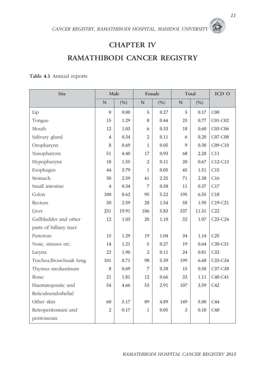### **CHAPTER IV**

## **RAMATHIBODI CANCER REGISTRY**

#### **Table 4.1** Annual reports

| Site                    | Male           |       |                | Female |             | Total | ICD O           |
|-------------------------|----------------|-------|----------------|--------|-------------|-------|-----------------|
|                         | N              | (9/0) | $\mathbf N$    | (9/0)  | $\mathbf N$ | (9/0) |                 |
| Lip                     | $\mathbf{0}$   | 0.00  | 5              | 0.27   | 5           | 0.17  | C <sub>00</sub> |
| Tongue                  | 15             | 1.29  | 8              | 0.44   | 23          | 0.77  | $C01-C02$       |
| Mouth                   | 12             | 1.03  | 6              | 0.33   | 18          | 0.60  | $C03-C06$       |
| Salivary gland          | 4              | 0.34  | 2              | 0.11   | 6           | 0.20  | $C07-C08$       |
| Oropharynx              | 8              | 0.69  | $\mathbf{1}$   | 0.05   | 9           | 0.30  | $C09-C10$       |
| Nasopharynx             | 51             | 4.40  | 17             | 0.93   | 68          | 2.28  | C11             |
| Hypopharynx             | 18             | 1.55  | $\overline{2}$ | 0.11   | 20          | 0.67  | $C12-C13$       |
| Esophagus               | 44             | 3.79  | 1              | 0.05   | 45          | 1.51  | C15             |
| Stomach                 | 30             | 2.59  | 41             | 2.25   | 71          | 2.38  | C16             |
| Small intestine         | $\overline{4}$ | 0.34  | 7              | 0.38   | 11          | 0.37  | C17             |
| Colon                   | 100            | 8.62  | 95             | 5.22   |             | 6.55  | C18             |
| Rectum                  | 30             | 2.59  | 28             | 1.54   | 58          | 1.95  | $C19-C21$       |
| Liver                   | 231            | 19.91 | 106            | 5.83   | 337         | 11.31 | C22             |
| Gallbladder and other   | 12             | 1.03  | 20             | 1.10   | 32          | 1.07  | $C23-C24$       |
| parts of billiary tract |                |       |                |        |             |       |                 |
| Pancreas                | 15             | 1.29  | 19             | 1.04   | 34          | 1.14  | C25             |
| Nose, sinuses etc.      | 14             | 1.21  | 5              | 0.27   | 19          | 0.64  | $C30-C31$       |
| Larynx                  | 22             | 1.90  | 2              | 0.11   | 24          | 0.81  | C32             |
| Trachea, Bronchus& lung | 101            | 8.71  | 98             | 5.39   | 199         | 6.68  | $C33-C34$       |
| Thymus mediastinum      | 8              | 0.69  | 7              | 0.38   | 15          | 0.50  | C37-C38         |
| Bone                    | 21             | 1.81  | 12             | 0.66   | 33          | 1.11  | $C40-C41$       |
| Haematopoetic and       | 54             | 4.66  | 53             | 2.91   | 107         | 3.59  | C42             |
| Reticuloendothelial     |                |       |                |        |             |       |                 |
| Other skin              | 60             | 5.17  | 89             | 4.89   | 149         | 5.00  | C44             |
| Retroperitonium and     | $\overline{2}$ | 0.17  | 1              | 0.05   | 3           | 0.10  | C48             |
| peritoneum              |                |       |                |        |             |       |                 |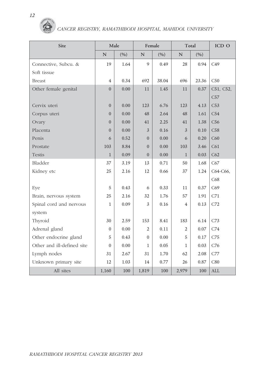| Site                       |                | Male | Female         |       | Total          |       | ICD O      |
|----------------------------|----------------|------|----------------|-------|----------------|-------|------------|
|                            | ${\bf N}$      | (%)  | $\mathbf N$    | (9/0) | $\mathbf N$    | (%)   |            |
| Connective, Subcu. &       | 19             | 1.64 | 9              | 0.49  | 28             | 0.94  | C49        |
| Soft tissue                |                |      |                |       |                |       |            |
| <b>Breast</b>              | $\overline{4}$ | 0.34 | 692            | 38.04 | 696            | 23.36 | C50        |
| Other female genital       | $\Omega$       | 0.00 | 11             | 1.45  | 11             | 0.37  | C51, C52,  |
|                            |                |      |                |       |                |       | C57        |
| Cervix uteri               | $\Omega$       | 0.00 | 123            | 6.76  | 123            | 4.13  | C53        |
| Corpus uteri               | $\theta$       | 0.00 | 48             | 2.64  | 48             | 1.61  | C54        |
| Ovary                      | $\overline{0}$ | 0.00 | 41             | 2.25  | 41             | 1.38  | C56        |
| Placenta                   | $\Omega$       | 0.00 | $\overline{3}$ | 0.16  | $\overline{3}$ | 0.10  | C58        |
| Penis                      | 6              | 0.52 | $\Omega$       | 0.00  | 6              | 0.20  | C60        |
| Prostate                   | 103            | 8.84 | $\Omega$       | 0.00  | 103            | 3.46  | C61        |
| <b>Testis</b>              | $\mathbf{1}$   | 0.09 | $\overline{0}$ | 0.00  | $\mathbf{1}$   | 0.03  | C62        |
| Bladder                    | 37             | 3.19 | 13             | 0.71  | 50             | 1.68  | C67        |
| Kidney etc                 | 25             | 2.16 | 12             | 0.66  | 37             | 1.24  | C64-C66,   |
|                            |                |      |                |       |                |       | C68        |
| Eye                        | 5              | 0.43 | 6              | 0.33  | 11             | 0.37  | C69        |
| Brain, nervous system      | 25             | 2.16 | 32             | 1.76  | 57             | 1.91  | C71        |
| Spinal cord and nervous    | 1              | 0.09 | 3              | 0.16  | $\overline{4}$ | 0.13  | C72        |
| system                     |                |      |                |       |                |       |            |
| Thyroid                    | 30             | 2.59 | 153            | 8.41  | 183            | 6.14  | C73        |
| Adrenal gland              | $\Omega$       | 0.00 | $\overline{c}$ | 0.11  | $\overline{c}$ | 0.07  | C74        |
| Other endocrine gland      | 5              | 0.43 | $\mathbf{0}$   | 0.00  | 5              | 0.17  | C75        |
| Other and ill-defined site | $\Omega$       | 0.00 | $\mathbf{1}$   | 0.05  | $\mathbf{1}$   | 0.03  | C76        |
| Lymph nodes                | 31             | 2.67 | 31             | 1.70  | 62             | 2.08  | C77        |
| Unknown primary site       | 12             | 1.03 | 14             | 0.77  | 26             | 0.87  | C80        |
| All sites                  | 1,160          | 100  | 1,819          | 100   | 2,979          | 100   | <b>ALL</b> |

6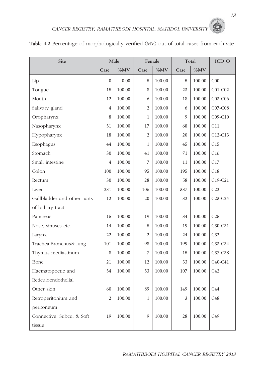| Site                        |                | Male   |                  | Female |      | Total  | ICD O           |
|-----------------------------|----------------|--------|------------------|--------|------|--------|-----------------|
|                             | Case           | $\%MV$ | Case             | $\%MV$ | Case | $\%MV$ |                 |
| Lip                         | 0              | 0.00   | 5                | 100.00 | 5    | 100.00 | CO <sub>0</sub> |
| Tongue                      | 15             | 100.00 | 8                | 100.00 | 23   | 100.00 | $C01-C02$       |
| Mouth                       | 12             | 100.00 | 6                | 100.00 | 18   | 100.00 | $C03-C06$       |
| Salivary gland              | 4              | 100.00 | $\overline{2}$   | 100.00 | 6    | 100.00 | $C07-C08$       |
| Oropharynx                  | 8              | 100.00 | 1                | 100.00 | 9    | 100.00 | $C09-C10$       |
| Nasopharynx                 | 51             | 100.00 | 17               | 100.00 | 68   | 100.00 | C11             |
| Hypopharynx                 | 18             | 100.00 | $\overline{2}$   | 100.00 | 20   | 100.00 | $C12-C13$       |
| Esophagus                   | 44             | 100.00 | 1                | 100.00 | 45   | 100.00 | C15             |
| Stomach                     | 30             | 100.00 | 41               | 100.00 | 71   | 100.00 | C16             |
| Small intestine             | 4              | 100.00 | $\boldsymbol{7}$ | 100.00 | 11   | 100.00 | C17             |
| Colon                       | 100            | 100.00 | 95               | 100.00 | 195  | 100.00 | C18             |
| Rectum                      | 30             | 100.00 | 28               | 100.00 | 58   | 100.00 | $C19-C21$       |
| Liver                       | 231            | 100.00 | 106              | 100.00 | 337  | 100.00 | C22             |
| Gallbladder and other parts | 12             | 100.00 | 20               | 100.00 | 32   | 100.00 | $C23-C24$       |
| of billiary tract           |                |        |                  |        |      |        |                 |
| Pancreas                    | 15             | 100.00 | 19               | 100.00 | 34   | 100.00 | C <sub>25</sub> |
| Nose, sinuses etc.          | 14             | 100.00 | 5                | 100.00 | 19   | 100.00 | $C30-C31$       |
| Larynx                      | 22             | 100.00 | 2                | 100.00 | 24   | 100.00 | C32             |
| Trachea, Bronchus& lung     | 101            | 100.00 | 98               | 100.00 | 199  | 100.00 | $C33-C34$       |
| Thymus mediastinum          | 8              | 100.00 | 7                | 100.00 | 15   | 100.00 | C37-C38         |
| Bone                        | 21             | 100.00 | 12               | 100.00 | 33   | 100.00 | $C40-C41$       |
| Haematopoetic and           | 54             | 100.00 | 53               | 100.00 | 107  | 100.00 | C42             |
| Reticuloendothelial         |                |        |                  |        |      |        |                 |
| Other skin                  | 60             | 100.00 | 89               | 100.00 | 149  | 100.00 | C44             |
| Retroperitonium and         | $\overline{2}$ | 100.00 | 1                | 100.00 | 3    | 100.00 | C48             |
| peritoneum                  |                |        |                  |        |      |        |                 |
| Connective, Subcu. & Soft   | 19             | 100.00 | 9                | 100.00 | 28   | 100.00 | C49             |
| tissue                      |                |        |                  |        |      |        |                 |

#### **Table 4.2** Percentage of morphologically verified (MV) out of total cases from each site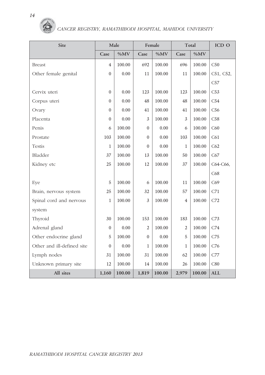| Site                       |                | Male   |                | Female |                | Total  | ICD O      |
|----------------------------|----------------|--------|----------------|--------|----------------|--------|------------|
|                            | Case           | %MV    | Case           | %MV    | Case           | %MV    |            |
| <b>Breast</b>              | $\overline{4}$ | 100.00 | 692            | 100.00 | 696            | 100.00 | C50        |
| Other female genital       | $\mathbf{0}$   | 0.00   | 11             | 100.00 | 11             | 100.00 | C51, C52,  |
|                            |                |        |                |        |                |        | C57        |
| Cervix uteri               | $\theta$       | 0.00   | 123            | 100.00 | 123            | 100.00 | C53        |
| Corpus uteri               | $\Omega$       | 0.00   | 48             | 100.00 | 48             | 100.00 | C54        |
| Ovary                      | $\Omega$       | 0.00   | 41             | 100.00 | 41             | 100.00 | C56        |
| Placenta                   | $\theta$       | 0.00   | 3              | 100.00 | 3              | 100.00 | C58        |
| Penis                      | 6              | 100.00 | $\theta$       | 0.00   | 6              | 100.00 | C60        |
| Prostate                   | 103            | 100.00 | $\mathbf{0}$   | 0.00   | 103            | 100.00 | C61        |
| Testis                     | 1              | 100.00 | $\mathbf{0}$   | 0.00   | $\mathbf{1}$   | 100.00 | C62        |
| Bladder                    | 37             | 100.00 | 13             | 100.00 | 50             | 100.00 | C67        |
| Kidney etc                 | 25             | 100.00 | 12             | 100.00 | 37             | 100.00 | C64-C66,   |
|                            |                |        |                |        |                |        | C68        |
| Eye                        | 5              | 100.00 | 6              | 100.00 | 11             | 100.00 | C69        |
| Brain, nervous system      | 25             | 100.00 | 32             | 100.00 | 57             | 100.00 | C71        |
| Spinal cord and nervous    | $\mathbf{1}$   | 100.00 | 3              | 100.00 | 4              | 100.00 | C72        |
| system                     |                |        |                |        |                |        |            |
| Thyroid                    | 30             | 100.00 | 153            | 100.00 | 183            | 100.00 | C73        |
| Adrenal gland              | $\theta$       | 0.00   | $\overline{2}$ | 100.00 | $\overline{2}$ | 100.00 | C74        |
| Other endocrine gland      | 5              | 100.00 | $\overline{0}$ | 0.00   | 5              | 100.00 | C75        |
| Other and ill-defined site | $\theta$       | 0.00   | $\mathbf{1}$   | 100.00 | $\mathbf{1}$   | 100.00 | C76        |
| Lymph nodes                | 31             | 100.00 | 31             | 100.00 | 62             | 100.00 | C77        |
| Unknown primary site       | 12             | 100.00 | 14             | 100.00 | 26             | 100.00 | C80        |
| All sites                  | 1,160          | 100.00 | 1,819          | 100.00 | 2,979          | 100.00 | <b>ALL</b> |

6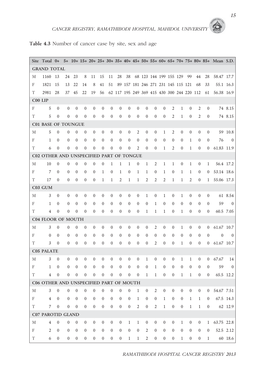#### **Table 4.3** Number of cancer case by site, sex and age

|             | Site Total 0+                            |                  |                  |                  |                  |                  |                  |                  |                  |                                    |                  |                  |                  |                  |                        |                  |                                            |                  |                  | 5+ 10+ 15+ 20+ 25+ 30+ 35+ 40+ 45+ 50+ 55+ 60+ 65+ 70+ 75+ 80+ 85+ Mean S.D. |                |
|-------------|------------------------------------------|------------------|------------------|------------------|------------------|------------------|------------------|------------------|------------------|------------------------------------|------------------|------------------|------------------|------------------|------------------------|------------------|--------------------------------------------|------------------|------------------|------------------------------------------------------------------------------|----------------|
|             | <b>GRAND TOTAL</b>                       |                  |                  |                  |                  |                  |                  |                  |                  |                                    |                  |                  |                  |                  |                        |                  |                                            |                  |                  |                                                                              |                |
| М           | 1160                                     | 13               | 24               | 23               | 8                | 11               | 15               | 11               | 28               | 38                                 |                  |                  |                  |                  | 68 123 144 199 155 129 |                  | 99                                         | 44               | 28               | 58.47 17.7                                                                   |                |
| F           | 1821                                     | 15               | 13               | 22               | 14               | 8                | 41               | 51               |                  | 89 157 181 246 271 231 145 115 121 |                  |                  |                  |                  |                        |                  |                                            | 68               | 33               |                                                                              | 55.1 16.3      |
| T           | 2981                                     | 28               | 37               | 45               | 22               | 19               | 56               |                  |                  |                                    |                  |                  |                  |                  |                        |                  | 62 117 195 249 369 415 430 300 244 220 112 |                  | 61               | 56.38 16.9                                                                   |                |
|             | C00 LIP                                  |                  |                  |                  |                  |                  |                  |                  |                  |                                    |                  |                  |                  |                  |                        |                  |                                            |                  |                  |                                                                              |                |
| F           | 5                                        | $\boldsymbol{0}$ | $\boldsymbol{0}$ | $\boldsymbol{0}$ | $\boldsymbol{0}$ | $\boldsymbol{0}$ | $\boldsymbol{0}$ | $\mathbf{0}$     | $\theta$         | $\theta$                           | $\mathbf{0}$     | $\theta$         | $\mathbf{0}$     | $\theta$         | 2                      | $\mathbf{1}$     | $\theta$                                   | 2                | $\mathbf{0}$     |                                                                              | 74 8.15        |
| T           | 5                                        | $\mathbf{0}$     | $\mathbf{0}$     | $\mathbf{0}$     | $\mathbf{0}$     | $\mathbf{0}$     | $\mathbf{0}$     | $\mathbf{0}$     | $\theta$         | $\boldsymbol{0}$                   | $\mathbf{0}$     | $\theta$         | $\boldsymbol{0}$ | $\mathbf{0}$     | 2                      | $\mathbf{1}$     | $\mathbf{0}$                               | 2                | $\mathbf{0}$     |                                                                              | 74 8.15        |
|             | <b>C01 BASE OF TOUNGUE</b>               |                  |                  |                  |                  |                  |                  |                  |                  |                                    |                  |                  |                  |                  |                        |                  |                                            |                  |                  |                                                                              |                |
| М           | 5                                        | $\theta$         | $\mathbf{0}$     | $\theta$         | $\mathbf{0}$     | $\mathbf{0}$     | 0                | $\theta$         | $\bf{0}$         | $\mathbf{0}$                       | 2                | $\boldsymbol{0}$ | $\mathbf{0}$     | 1                | 2                      | $\theta$         | $\boldsymbol{0}$                           | $\theta$         | $\mathbf{0}$     |                                                                              | 59 10.8        |
| F           | 1                                        | $\overline{0}$   | $\mathbf{0}$     | $\theta$         | $\mathbf{0}$     | $\theta$         | $\mathbf{0}$     | $\mathbf{0}$     | $\theta$         | $\mathbf{0}$                       | $\mathbf{0}$     | $\theta$         | $\mathbf{0}$     | $\mathbf{0}$     | $\theta$               | $\theta$         | 1                                          | $\theta$         | $\theta$         | 76                                                                           | $\overline{0}$ |
| T           | 6                                        | $\mathbf{0}$     | $\mathbf{0}$     | $\theta$         | $\mathbf{0}$     | $\mathbf{0}$     | $\mathbf{0}$     | $\mathbf{0}$     | $\mathbf{0}$     | $\boldsymbol{0}$                   | $\overline{2}$   | $\boldsymbol{0}$ | $\boldsymbol{0}$ | $\mathbf{1}$     | $\mathfrak{2}$         | $\theta$         | $\mathbf{1}$                               | $\boldsymbol{0}$ | $\overline{0}$   | 61.83 11.9                                                                   |                |
|             | C02 OTHER AND UNSPECIFIED PART OF TONGUE |                  |                  |                  |                  |                  |                  |                  |                  |                                    |                  |                  |                  |                  |                        |                  |                                            |                  |                  |                                                                              |                |
| М           | 10                                       | $\boldsymbol{0}$ | $\boldsymbol{0}$ | $\boldsymbol{0}$ | $\boldsymbol{0}$ | $\boldsymbol{0}$ | $\boldsymbol{0}$ | $\mathbf{1}$     | 1                | 1                                  | $\boldsymbol{0}$ | $\mathbf{1}$     | $\mathfrak{2}$   | $\mathbf{1}$     | 1                      | $\boldsymbol{0}$ | $\mathbf{1}$                               | $\mathbf{0}$     | $\mathbf{1}$     |                                                                              | 56.4 17.2      |
| F           | 7                                        | $\theta$         | $\mathbf{0}$     | $\theta$         | $\mathbf{0}$     | $\theta$         | $\mathbf{1}$     | $\boldsymbol{0}$ | 1                | $\boldsymbol{0}$                   | $\mathbf{1}$     | 1                | $\boldsymbol{0}$ | $\mathbf 1$      | $\boldsymbol{0}$       | $\mathbf{1}$     | 1                                          | $\mathbf{0}$     | $\bf{0}$         | 53.14 18.6                                                                   |                |
| Τ           | 17                                       | $\boldsymbol{0}$ | $\mathbf{0}$     | $\mathbf{0}$     | $\boldsymbol{0}$ | $\mathbf{0}$     | $\mathbf{1}$     | $\mathbf{1}$     | 2                | $\mathbf{1}$                       | $\mathbf{1}$     | $\overline{2}$   | $\mathfrak{2}$   | 2                | 1                      | $\mathbf{1}$     | $\overline{2}$                             | $\mathbf{0}$     | $\mathbf{1}$     | 55.06 17.3                                                                   |                |
|             | C03 GUM                                  |                  |                  |                  |                  |                  |                  |                  |                  |                                    |                  |                  |                  |                  |                        |                  |                                            |                  |                  |                                                                              |                |
| М           | 3                                        | $\mathbf{0}$     | $\overline{0}$   | $\mathbf{0}$     | $\mathbf{0}$     | $\mathbf{0}$     | $\mathbf{0}$     | $\mathbf{0}$     | $\mathbf{0}$     | $\boldsymbol{0}$                   | $\mathbf{0}$     | $\mathbf{1}$     | $\mathbf{0}$     | 1                | $\bf{0}$               | 1                | $\mathbf{0}$                               | $\theta$         | $\mathbf{0}$     |                                                                              | 61 8.54        |
| F           | 1                                        | $\mathbf{0}$     | $\theta$         | $\mathbf{0}$     | $\boldsymbol{0}$ | $\mathbf{0}$     | $\theta$         | $\theta$         | $\theta$         | $\boldsymbol{0}$                   | $\mathbf{0}$     | $\boldsymbol{0}$ | $\mathbf{1}$     | $\mathbf{0}$     | $\boldsymbol{0}$       | $\theta$         | $\mathbf{0}$                               | $\mathbf{0}$     | $\theta$         | 59                                                                           | $\Omega$       |
| T           | $\overline{4}$                           | $\mathbf{0}$     | $\mathbf{0}$     | $\mathbf{0}$     | $\mathbf{0}$     | $\mathbf{0}$     | $\boldsymbol{0}$ | $\boldsymbol{0}$ | $\mathbf{0}$     | $\boldsymbol{0}$                   | $\boldsymbol{0}$ | $\mathbf{1}$     | $\mathbf{1}$     | $\mathbf{1}$     | $\boldsymbol{0}$       | $\mathbf{1}$     | $\boldsymbol{0}$                           | $\mathbf{0}$     | $\boldsymbol{0}$ |                                                                              | 60.5 7.05      |
|             | <b>C04 FLOOR OF MOUTH</b>                |                  |                  |                  |                  |                  |                  |                  |                  |                                    |                  |                  |                  |                  |                        |                  |                                            |                  |                  |                                                                              |                |
| М           | 3                                        | $\boldsymbol{0}$ | 0                | $\theta$         | $\boldsymbol{0}$ | $\mathbf{0}$     | $\mathbf{0}$     | $\mathbf{0}$     | $\bf{0}$         | $\mathbf{0}$                       | 0                | $\overline{0}$   | 2                | 0                | $\boldsymbol{0}$       | 1                | $\boldsymbol{0}$                           | $\mathbf{0}$     | $\bf{0}$         | 61.67 10.7                                                                   |                |
| F           | $\mathbf{0}$                             | $\theta$         | 0                | $\theta$         | $\mathbf{0}$     | $\theta$         | $\mathbf{0}$     | $\mathbf{0}$     | $\theta$         | $\boldsymbol{0}$                   | $\mathbf{0}$     | $\boldsymbol{0}$ | $\boldsymbol{0}$ | $\mathbf{0}$     | $\boldsymbol{0}$       | $\theta$         | $\boldsymbol{0}$                           | $\boldsymbol{0}$ | $\mathbf{0}$     | $\mathbf{0}$                                                                 | $\overline{0}$ |
| T           | 3                                        | $\mathbf{0}$     | $\mathbf{0}$     | $\mathbf{0}$     | $\mathbf{0}$     | $\mathbf{0}$     | $\mathbf{0}$     | $\mathbf{0}$     | $\mathbf{0}$     | $\boldsymbol{0}$                   | $\mathbf{0}$     | $\boldsymbol{0}$ | 2                | $\mathbf{0}$     | $\boldsymbol{0}$       | $\mathbf{1}$     | $\boldsymbol{0}$                           | $\mathbf{0}$     | 0                | 61.67 10.7                                                                   |                |
|             | <b>C05 PALATE</b>                        |                  |                  |                  |                  |                  |                  |                  |                  |                                    |                  |                  |                  |                  |                        |                  |                                            |                  |                  |                                                                              |                |
| М           | 3                                        | $\overline{0}$   | $\mathbf{0}$     | 0                | 0                | $\overline{0}$   | 0                | $\theta$         | $\theta$         | $\boldsymbol{0}$                   | $\boldsymbol{0}$ | $\mathbf{1}$     | 0                | $\theta$         | 0                      | 1                | 1                                          | $\mathbf{0}$     | $\mathbf{0}$     | 67.67                                                                        | 14             |
| F           | $\mathbf{1}$                             | $\boldsymbol{0}$ | 0                | $\mathbf{0}$     | 0                | $\mathbf{0}$     | $\boldsymbol{0}$ | $\boldsymbol{0}$ | $\mathbf{0}$     | $\boldsymbol{0}$                   | $\mathbf{0}$     | $\boldsymbol{0}$ | $\mathbf{1}$     | $\mathbf{0}$     | $\boldsymbol{0}$       | $\theta$         | $\boldsymbol{0}$                           | $\mathbf{0}$     | $\theta$         | 59                                                                           | $\mathbf{0}$   |
| T           | 4                                        | $\mathbf{0}$     | $\mathbf{0}$     | $\theta$         | $\mathbf{0}$     | $\mathbf{0}$     | $\mathbf{0}$     | $\mathbf{0}$     | $\mathbf{0}$     | $\boldsymbol{0}$                   | $\mathbf{0}$     | 1                | 1                | $\theta$         | $\boldsymbol{0}$       | $\mathbf{1}$     | 1                                          | $\boldsymbol{0}$ | $\mathbf{0}$     |                                                                              | 65.5 12.2      |
|             | C06 OTHER AND UNSPECIFIED PART OF MOUTH  |                  |                  |                  |                  |                  |                  |                  |                  |                                    |                  |                  |                  |                  |                        |                  |                                            |                  |                  |                                                                              |                |
| М           | 3                                        | $\boldsymbol{0}$ | $\boldsymbol{0}$ | $\boldsymbol{0}$ | $\boldsymbol{0}$ | $\boldsymbol{0}$ | $\boldsymbol{0}$ | $\boldsymbol{0}$ | $\boldsymbol{0}$ | $\boldsymbol{0}$                   | $\mathbf{1}$     | $\boldsymbol{0}$ | $\sqrt{2}$       | $\boldsymbol{0}$ | $\boldsymbol{0}$       | $\boldsymbol{0}$ | $\boldsymbol{0}$                           | $\boldsymbol{0}$ | $\theta$         | 54.67 7.51                                                                   |                |
| ${\bf F}$   | $\overline{4}$                           | $\boldsymbol{0}$ | $\boldsymbol{0}$ | $\boldsymbol{0}$ | $\mathbf{0}$     | $\boldsymbol{0}$ | $\boldsymbol{0}$ | $\boldsymbol{0}$ | $\boldsymbol{0}$ | $\boldsymbol{0}$                   | $\mathbf{1}$     | $\theta$         | $\boldsymbol{0}$ | $\mathbf{1}$     | $\boldsymbol{0}$       | $\boldsymbol{0}$ | $\mathbf{1}$                               | $\mathbf{1}$     | $\boldsymbol{0}$ |                                                                              | 67.5 14.3      |
| $\mathbf T$ | $\overline{7}$                           | $\boldsymbol{0}$ | $\boldsymbol{0}$ | $\boldsymbol{0}$ | $\boldsymbol{0}$ | $\boldsymbol{0}$ | $\boldsymbol{0}$ | $\boldsymbol{0}$ | $\boldsymbol{0}$ | $\boldsymbol{0}$                   | 2                | $\boldsymbol{0}$ | $\sqrt{2}$       | $\,1\,$          | $\boldsymbol{0}$       | $\boldsymbol{0}$ | $\mathbf{1}$                               | $\,1$            | $\boldsymbol{0}$ |                                                                              | 62 12.9        |
|             | <b>C07 PAROTID GLAND</b>                 |                  |                  |                  |                  |                  |                  |                  |                  |                                    |                  |                  |                  |                  |                        |                  |                                            |                  |                  |                                                                              |                |
| $\mathbf M$ | $\overline{4}$                           | $\boldsymbol{0}$ | $\boldsymbol{0}$ | $\boldsymbol{0}$ | $\boldsymbol{0}$ | $\boldsymbol{0}$ | $\boldsymbol{0}$ | $\boldsymbol{0}$ | $\boldsymbol{0}$ | $\mathbf{1}$                       | $\mathbf{1}$     | $\boldsymbol{0}$ | $\boldsymbol{0}$ | $\boldsymbol{0}$ | $\boldsymbol{0}$       | $\mathbf{1}$     | $\boldsymbol{0}$                           | $\mathbf{0}$     | $\mathbf{1}$     | 63.75 22.8                                                                   |                |
| ${\bf F}$   | $\mathfrak{2}$                           | $\boldsymbol{0}$ | $\boldsymbol{0}$ | $\boldsymbol{0}$ | $\boldsymbol{0}$ | $\boldsymbol{0}$ | $\boldsymbol{0}$ | $\boldsymbol{0}$ | $\boldsymbol{0}$ | $\boldsymbol{0}$                   | $\boldsymbol{0}$ | $\overline{2}$   | $\boldsymbol{0}$ | $\boldsymbol{0}$ | $\boldsymbol{0}$       | $\boldsymbol{0}$ | $\boldsymbol{0}$                           | $\overline{0}$   | $\boldsymbol{0}$ |                                                                              | 52.5 2.12      |
| $\mathbf T$ | 6                                        | $\boldsymbol{0}$ | $\boldsymbol{0}$ | $\boldsymbol{0}$ | $\boldsymbol{0}$ | $\boldsymbol{0}$ | $\boldsymbol{0}$ | $\boldsymbol{0}$ | $\boldsymbol{0}$ | $\mathbf{1}$                       | $\mathbf{1}$     | $\boldsymbol{2}$ | $\boldsymbol{0}$ | $\boldsymbol{0}$ | $\boldsymbol{0}$       | $\mathbf{1}$     | $\boldsymbol{0}$                           | $\boldsymbol{0}$ | $\mathbf{1}$     |                                                                              | 60 18.6        |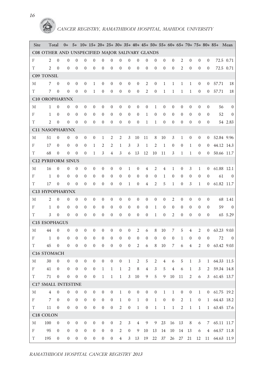| Site        | Total                                           |                  | $0+$             |                  |                  |                  |                  |                  |                  |                  |                  |                  |                  |                  |                  |                  |                  |                  |                | 5+ 10+ 15+ 20+ 25+ 30+ 35+ 40+ 45+ 50+ 55+ 60+ 65+ 70+ 75+ 80+ 85+ Mean |                |
|-------------|-------------------------------------------------|------------------|------------------|------------------|------------------|------------------|------------------|------------------|------------------|------------------|------------------|------------------|------------------|------------------|------------------|------------------|------------------|------------------|----------------|-------------------------------------------------------------------------|----------------|
|             | C08 OTHER AND UNSPECIFIED MAJOR SALIVARY GLANDS |                  |                  |                  |                  |                  |                  |                  |                  |                  |                  |                  |                  |                  |                  |                  |                  |                  |                |                                                                         |                |
| F           | 2                                               | $\mathbf{0}$     | $\mathbf{0}$     | $\mathbf{0}$     | $\mathbf{0}$     | $\mathbf{0}$     | $\mathbf{0}$     | $\mathbf{0}$     | $\theta$         | $\mathbf{0}$     | $\mathbf{0}$     | $\theta$         | $\boldsymbol{0}$ | 0                | $\boldsymbol{0}$ | 2                | $\mathbf{0}$     | $\theta$         | $\mathbf{0}$   |                                                                         | 72.5 0.71      |
| T           | $\overline{2}$                                  | $\mathbf{0}$     | $\mathbf{0}$     | $\mathbf{0}$     | $\overline{0}$   | $\mathbf{0}$     | $\theta$         | $\mathbf{0}$     | $\theta$         | $\boldsymbol{0}$ | $\mathbf{0}$     | $\theta$         | $\mathbf{0}$     | $\boldsymbol{0}$ | $\boldsymbol{0}$ | $\overline{2}$   | $\mathbf{0}$     | $\theta$         | $\mathbf{0}$   |                                                                         | 72.5 0.71      |
|             | <b>C09 TONSIL</b>                               |                  |                  |                  |                  |                  |                  |                  |                  |                  |                  |                  |                  |                  |                  |                  |                  |                  |                |                                                                         |                |
| М           | 7                                               | $\theta$         | $\mathbf{0}$     | $\theta$         | $\mathbf{0}$     | $\mathbf{1}$     | $\mathbf{0}$     | $\theta$         | $\theta$         | $\overline{0}$   | $\mathbf{0}$     | 2                | $\boldsymbol{0}$ | $\mathbf{1}$     | $\mathbf{1}$     | $\mathbf{1}$     | $\mathbf{1}$     | $\mathbf{0}$     | $\mathbf{0}$   | 57.71                                                                   | 18             |
| T           | 7                                               | $\theta$         | $\mathbf{0}$     | $\mathbf{0}$     | $\boldsymbol{0}$ | 1                | $\boldsymbol{0}$ | $\boldsymbol{0}$ | $\boldsymbol{0}$ | $\boldsymbol{0}$ | $\boldsymbol{0}$ | $\mathfrak{2}$   | $\boldsymbol{0}$ | $\mathbf 1$      | $\mathbf{1}$     | 1                | $\mathbf{1}$     | $\boldsymbol{0}$ | $\mathbf{0}$   | 57.71                                                                   | 18             |
|             | <b>C10 OROPHARYNX</b>                           |                  |                  |                  |                  |                  |                  |                  |                  |                  |                  |                  |                  |                  |                  |                  |                  |                  |                |                                                                         |                |
| М           | 1                                               | $\mathbf{0}$     | $\mathbf{0}$     | $\theta$         | $\mathbf{0}$     | $\mathbf{0}$     | $\theta$         | $\mathbf{0}$     | $\theta$         | $\overline{0}$   | $\mathbf{0}$     | $\theta$         | 1                | $\overline{0}$   | $\mathbf{0}$     | $\mathbf{0}$     | $\mathbf{0}$     | $\theta$         | $\mathbf{0}$   | 56                                                                      | $\theta$       |
| F           | $\mathbf{1}$                                    | $\theta$         | $\mathbf{0}$     | $\mathbf{0}$     | $\mathbf{0}$     | $\mathbf{0}$     | $\theta$         | $\mathbf{0}$     | $\theta$         | $\mathbf{0}$     | $\mathbf{0}$     | 1                | $\boldsymbol{0}$ | $\boldsymbol{0}$ | $\theta$         | $\mathbf{0}$     | $\mathbf{0}$     | $\theta$         | $\Omega$       | 52                                                                      | $\mathbf{0}$   |
| T           | $\overline{2}$                                  | $\mathbf{0}$     | $\mathbf{0}$     | $\mathbf{0}$     | $\mathbf{0}$     | $\mathbf{0}$     | $\boldsymbol{0}$ | $\mathbf{0}$     | $\theta$         | $\boldsymbol{0}$ | $\mathbf{0}$     | $\mathbf{1}$     | $\mathbf{1}$     | $\mathbf{0}$     | $\boldsymbol{0}$ | $\mathbf{0}$     | $\boldsymbol{0}$ | $\mathbf{0}$     | $\mathbf{0}$   |                                                                         | 54 2.83        |
|             | C11 NASOPHARYNX                                 |                  |                  |                  |                  |                  |                  |                  |                  |                  |                  |                  |                  |                  |                  |                  |                  |                  |                |                                                                         |                |
| М           | 51                                              | $\theta$         | $\mathbf{0}$     | $\mathbf{0}$     | $\mathbf{0}$     | $\boldsymbol{0}$ | $\mathbf{1}$     | 2                | 2                | 3                | 10               | 11               | 8                | 10               | 3                | 1                | $\boldsymbol{0}$ | $\theta$         | $\overline{0}$ |                                                                         | 52.84 9.96     |
| F           | 17                                              | $\mathbf{0}$     | $\mathbf{0}$     | $\mathbf{0}$     | $\boldsymbol{0}$ | $\mathbf{1}$     | 2                | 2                | $\mathbf{1}$     | 3                | 3                | $\mathbf{1}$     | $\overline{2}$   | $\mathbf{1}$     | $\boldsymbol{0}$ | $\mathbf{0}$     | $\mathbf{1}$     | $\theta$         | $\mathbf{0}$   |                                                                         | 44.12 14.3     |
| T           | 68                                              | $\mathbf{0}$     | $\mathbf{0}$     | $\mathbf{0}$     | $\boldsymbol{0}$ | 1                | 3                | $\overline{4}$   | 3                | 6                | 13               | 12               | 10               | 11               | 3                | $\mathbf{1}$     | 1                | $\theta$         | $\mathbf{0}$   |                                                                         | 50.66 11.7     |
|             | <b>C12 PYRIFORM SINUS</b>                       |                  |                  |                  |                  |                  |                  |                  |                  |                  |                  |                  |                  |                  |                  |                  |                  |                  |                |                                                                         |                |
| М           | 16                                              | $\theta$         | $\mathbf{0}$     | $\mathbf{0}$     | $\mathbf{0}$     | $\mathbf{0}$     | $\theta$         | $\boldsymbol{0}$ | $\boldsymbol{0}$ | $\mathbf{1}$     | $\boldsymbol{0}$ | $\overline{4}$   | 2                | 4                | $\mathbf{1}$     | $\boldsymbol{0}$ | 3                | $\mathbf{1}$     | $\mathbf{0}$   |                                                                         | 61.88 12.1     |
| F           | $\mathbf{1}$                                    | $\theta$         | $\overline{0}$   | $\mathbf{0}$     | $\mathbf{0}$     | $\mathbf{0}$     | $\theta$         | $\theta$         | $\theta$         | $\boldsymbol{0}$ | $\mathbf{0}$     | $\theta$         | $\theta$         | $\mathbf{1}$     | $\boldsymbol{0}$ | $\mathbf{0}$     | $\boldsymbol{0}$ | $\theta$         | $\mathbf{0}$   | 61                                                                      | $\theta$       |
| T           | 17                                              | $\mathbf{0}$     | $\mathbf{0}$     | $\mathbf{0}$     | $\mathbf{0}$     | $\mathbf{0}$     | $\theta$         | $\mathbf{0}$     | $\theta$         | $\mathbf{1}$     | $\mathbf{0}$     | 4                | $\mathfrak{2}$   | 5                | 1                | $\boldsymbol{0}$ | 3                | $\mathbf{1}$     | $\mathbf{0}$   |                                                                         | 61.82 11.7     |
|             | C13 HYPOPHARYNX                                 |                  |                  |                  |                  |                  |                  |                  |                  |                  |                  |                  |                  |                  |                  |                  |                  |                  |                |                                                                         |                |
| М           | 2                                               | $\mathbf{0}$     | $\mathbf{0}$     | $\mathbf{0}$     | $\mathbf{0}$     | $\mathbf{0}$     | $\theta$         | $\mathbf{0}$     | $\theta$         | $\overline{0}$   | $\theta$         | $\theta$         | $\boldsymbol{0}$ | $\boldsymbol{0}$ | 2                | $\mathbf{0}$     | $\theta$         | $\theta$         | $\mathbf{0}$   |                                                                         | 68 1.41        |
| F           | $\mathbf{1}$                                    | $\mathbf{0}$     | $\mathbf{0}$     | $\mathbf{0}$     | $\mathbf{0}$     | $\mathbf{0}$     | $\theta$         | $\mathbf{0}$     | $\theta$         | $\overline{0}$   | $\theta$         | $\boldsymbol{0}$ | $\mathbf{1}$     | $\boldsymbol{0}$ | $\theta$         | $\mathbf{0}$     | $\mathbf{0}$     | $\theta$         | $\Omega$       | 59                                                                      | $\mathbf{0}$   |
| T           | 3                                               | $\mathbf{0}$     | $\mathbf{0}$     | $\mathbf{0}$     | $\mathbf{0}$     | $\mathbf{0}$     | $\theta$         | $\mathbf{0}$     | $\theta$         | $\boldsymbol{0}$ | $\theta$         | $\boldsymbol{0}$ | $\mathbf{1}$     | 0                | 2                | $\mathbf{0}$     | $\boldsymbol{0}$ | $\mathbf{0}$     | $\mathbf{0}$   |                                                                         | 65 5.29        |
|             | <b>C15 ESOPHAGUS</b>                            |                  |                  |                  |                  |                  |                  |                  |                  |                  |                  |                  |                  |                  |                  |                  |                  |                  |                |                                                                         |                |
| М           | 44                                              | $\mathbf{0}$     | $\mathbf{0}$     | $\theta$         | $\mathbf{0}$     | $\mathbf{0}$     | $\mathbf{0}$     | $\mathbf{0}$     | $\theta$         | $\boldsymbol{0}$ | 2                | 6                | 8                | 10               | 7                | 5                | $\overline{4}$   | 2                | $\overline{0}$ |                                                                         | 63.23 9.03     |
| F           | $\mathbf{1}$                                    | $\mathbf{0}$     | $\mathbf{0}$     | $\mathbf{0}$     | $\mathbf{0}$     | $\mathbf{0}$     | $\theta$         | $\theta$         | $\theta$         | $\overline{0}$   | $\mathbf{0}$     | $\boldsymbol{0}$ | $\boldsymbol{0}$ | $\boldsymbol{0}$ | $\boldsymbol{0}$ | $\mathbf{1}$     | $\mathbf{0}$     | $\theta$         | $\theta$       | 72                                                                      | $\overline{0}$ |
| T           | 45                                              | $\mathbf{0}$     | $\mathbf{0}$     | $\mathbf{0}$     | $\boldsymbol{0}$ | $\mathbf{0}$     | $\theta$         | $\mathbf{0}$     | $\theta$         | $\boldsymbol{0}$ | 2                | 6                | 8                | 10               | 7                | 6                | $\overline{4}$   | $\overline{2}$   | $\mathbf{0}$   |                                                                         | 63.42 9.03     |
|             | C16 STOMACH                                     |                  |                  |                  |                  |                  |                  |                  |                  |                  |                  |                  |                  |                  |                  |                  |                  |                  |                |                                                                         |                |
| М           | 30                                              | $\theta$         | $\mathbf{0}$     | $\theta$         | $\boldsymbol{0}$ | $\mathbf{0}$     | $\boldsymbol{0}$ | $\boldsymbol{0}$ | $\boldsymbol{0}$ | 1                | $\overline{2}$   | 5                | $\overline{2}$   | 4                | 6                | 5                | $\mathbf{1}$     | 3                | $\mathbf{1}$   |                                                                         | 64.33 11.5     |
| $_{\rm F}$  | 41                                              | $\mathbf{0}$     | $\mathbf{0}$     | $\mathbf{0}$     | $\mathbf{0}$     | $\boldsymbol{0}$ | $\mathbf{1}$     | $\mathbf{1}$     | $\mathbf{1}$     | 2                | 8                | 4                | 3                | 5                | 4                | 6                | $\mathbf{1}$     | 3                | $\overline{2}$ |                                                                         | 59.34 14.8     |
| T           | 71                                              | $\boldsymbol{0}$ | $\boldsymbol{0}$ | $\boldsymbol{0}$ | $\boldsymbol{0}$ | $\boldsymbol{0}$ | $\,1\,$          | $\mathbf{1}$     | $\mathbf{1}$     | $\mathfrak{Z}$   | $10\,$           | $\overline{9}$   | $\mathbf 5$      | $\overline{9}$   | $10\,$           | 11               | $\overline{2}$   | 6                |                | $3$ 61.45 13.7                                                          |                |
|             | C17 SMALL INTESTINE                             |                  |                  |                  |                  |                  |                  |                  |                  |                  |                  |                  |                  |                  |                  |                  |                  |                  |                |                                                                         |                |
| М           | $\overline{4}$                                  | $\boldsymbol{0}$ | $\boldsymbol{0}$ | $\boldsymbol{0}$ | $\boldsymbol{0}$ | $\boldsymbol{0}$ | $\boldsymbol{0}$ | $\boldsymbol{0}$ | $\,1$            | $\boldsymbol{0}$ | $\boldsymbol{0}$ | $\boldsymbol{0}$ | $\boldsymbol{0}$ | $\,1$            | $\mathbf{1}$     | $\boldsymbol{0}$ | $\boldsymbol{0}$ | $\mathbf{1}$     |                | $0$ 61.75 19.2                                                          |                |
| F           | $\overline{7}$                                  | $\boldsymbol{0}$ | $\boldsymbol{0}$ | $\boldsymbol{0}$ | $\boldsymbol{0}$ | $\boldsymbol{0}$ | $\boldsymbol{0}$ | $\boldsymbol{0}$ | $\mathbf{1}$     | $\boldsymbol{0}$ | $1\,$            | $\boldsymbol{0}$ | $1\,$            | $\boldsymbol{0}$ | $\boldsymbol{0}$ | 2                | $\,1\,$          | $\boldsymbol{0}$ |                | 1 64.43 18.2                                                            |                |
| T           | 11                                              | $\boldsymbol{0}$ | $\boldsymbol{0}$ | $\boldsymbol{0}$ | $\boldsymbol{0}$ | $\boldsymbol{0}$ | $\boldsymbol{0}$ | $\boldsymbol{0}$ | $\sqrt{2}$       | $\boldsymbol{0}$ | $\,1\,$          | $\boldsymbol{0}$ | $\mathbf{1}$     | $\mathbf{1}$     | $\mathbf{1}$     | $\mathfrak{2}$   | $\,1\,$          | $\mathbf{1}$     |                | 1 63.45 17.6                                                            |                |
|             | C18 COLON                                       |                  |                  |                  |                  |                  |                  |                  |                  |                  |                  |                  |                  |                  |                  |                  |                  |                  |                |                                                                         |                |
| М           | 100                                             | $\boldsymbol{0}$ | $\boldsymbol{0}$ | $\boldsymbol{0}$ | $\overline{0}$   | $\boldsymbol{0}$ | $\boldsymbol{0}$ | $\boldsymbol{0}$ | $\overline{c}$   | $\mathfrak{Z}$   | $\overline{4}$   | $\boldsymbol{9}$ | 9                | 23               | 16               | 13               | 8                | 6                | 7              |                                                                         | 65.11 11.7     |
| $\rm F$     | 95                                              | $\boldsymbol{0}$ | $\boldsymbol{0}$ | $\boldsymbol{0}$ | $\overline{0}$   | $\boldsymbol{0}$ | $\boldsymbol{0}$ | $\boldsymbol{0}$ | $\mathfrak{2}$   | $\boldsymbol{0}$ | 9                | 10               | 13               | 14               | 10               | 14               | 13               | 6                |                | 4 64.57 11.8                                                            |                |
| $\mathbf T$ | 195                                             | $\boldsymbol{0}$ | $\boldsymbol{0}$ | $\boldsymbol{0}$ | $\boldsymbol{0}$ | $\boldsymbol{0}$ | $\boldsymbol{0}$ | $\boldsymbol{0}$ | $\overline{4}$   |                  | 3 13 19          |                  |                  |                  | 22 37 26 27 21   |                  |                  |                  |                | 12 11 64.63 11.9                                                        |                |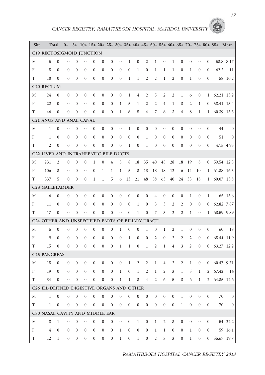| Site | Total                                            |                  | $0+$           |                  |                  |                  |                  |                  |                                   |                  |                  |                  |                  |                     |                  |                  |                  |                  |                | 5+ 10+ 15+ 20+ 25+ 30+ 35+ 40+ 45+ 50+ 55+ 60+ 65+ 70+ 75+ 80+ 85+ Mean |                |
|------|--------------------------------------------------|------------------|----------------|------------------|------------------|------------------|------------------|------------------|-----------------------------------|------------------|------------------|------------------|------------------|---------------------|------------------|------------------|------------------|------------------|----------------|-------------------------------------------------------------------------|----------------|
|      | C19 RECTOSIGMOID JUNCTION                        |                  |                |                  |                  |                  |                  |                  |                                   |                  |                  |                  |                  |                     |                  |                  |                  |                  |                |                                                                         |                |
| М    | 5                                                | $\mathbf{0}$     | $\mathbf{0}$   | $\mathbf{0}$     | $\mathbf{0}$     | $\mathbf{0}$     | $\theta$         | $\mathbf{0}$     | $\mathbf{0}$                      | 1                | $\mathbf{0}$     | $\overline{2}$   | $\mathbf{1}$     | $\overline{0}$      | 1                | $\overline{0}$   | $\mathbf{0}$     | $\mathbf{0}$     | $\overline{0}$ |                                                                         | 53.8 8.17      |
| F    | 5                                                | $\theta$         | $\mathbf{0}$   | $\mathbf{0}$     | $\theta$         | $\mathbf{0}$     | $\mathbf{0}$     | $\theta$         | $\theta$                          | $\overline{0}$   | $\mathbf{1}$     | $\theta$         | 1                | $\mathbf{1}$        | $\mathbf{1}$     | $\mathbf{0}$     | $\mathbf{1}$     | $\theta$         | $\theta$       | 62.2                                                                    | 11             |
| T    | 10                                               | $\mathbf{0}$     | $\theta$       | $\theta$         | $\mathbf{0}$     | $\theta$         | $\mathbf{0}$     | $\mathbf{0}$     | $\mathbf{0}$                      | 1                | $\mathbf{1}$     | $\overline{2}$   | $\overline{2}$   | $\mathbf{1}$        | 2                | $\overline{0}$   | $\mathbf{1}$     | $\mathbf{0}$     | $\overline{0}$ |                                                                         | 58 10.2        |
|      | C <sub>20</sub> RECTUM                           |                  |                |                  |                  |                  |                  |                  |                                   |                  |                  |                  |                  |                     |                  |                  |                  |                  |                |                                                                         |                |
| М    | 24                                               | $\theta$         | $\mathbf{0}$   | $\mathbf{0}$     | $\mathbf{0}$     | $\mathbf{0}$     | $\mathbf{0}$     | $\boldsymbol{0}$ | $\boldsymbol{0}$                  | 1                | $\overline{4}$   | 2                | 5                | 2                   | $\mathfrak{2}$   | $\mathbf{1}$     | 6                | $\boldsymbol{0}$ | $\mathbf{1}$   |                                                                         | 62.21 13.2     |
| F    | 22                                               | $\boldsymbol{0}$ | $\mathbf{0}$   | $\theta$         | $\overline{0}$   | $\mathbf{0}$     | $\theta$         | $\mathbf{0}$     | $\mathbf{1}$                      | 5                | $\mathbf{1}$     | $\overline{2}$   | $\mathfrak{2}$   | 4                   | $\mathbf{1}$     | 3                | $\overline{2}$   | $\mathbf{1}$     | $\mathbf{0}$   |                                                                         | 58.41 13.4     |
| T    | 46                                               | $\mathbf{0}$     | $\theta$       | $\theta$         | $\mathbf{0}$     | $\theta$         | $\overline{0}$   | $\mathbf{0}$     | $\mathbf{1}$                      | 6                | 5                | $\overline{4}$   | 7                | 6                   | 3                | $\overline{4}$   | 8                | $\mathbf{1}$     | $\mathbf{1}$   |                                                                         | 60.39 13.3     |
|      | C21 ANUS AND ANAL CANAL                          |                  |                |                  |                  |                  |                  |                  |                                   |                  |                  |                  |                  |                     |                  |                  |                  |                  |                |                                                                         |                |
| М    | $\mathbf{1}$                                     | $\mathbf{0}$     | $\mathbf{0}$   | $\mathbf{0}$     | $\theta$         | $\theta$         | $\mathbf{0}$     | $\mathbf{0}$     | $\theta$                          | $\mathbf{1}$     | $\theta$         | $\theta$         | $\theta$         | $\overline{0}$      | $\mathbf{0}$     | $\overline{0}$   | $\mathbf{0}$     | $\mathbf{0}$     | $\theta$       | 44                                                                      | $\Omega$       |
| F    | $\mathbf{1}$                                     | $\mathbf{0}$     | $\mathbf{0}$   | $\mathbf{0}$     | $\mathbf{0}$     | $\mathbf{0}$     | $\mathbf{0}$     | $\mathbf{0}$     | $\mathbf{0}$                      | $\overline{0}$   | $\theta$         | $\mathbf{1}$     | $\mathbf{0}$     | $\overline{0}$      | $\theta$         | $\overline{0}$   | $\theta$         | $\theta$         | $\mathbf{0}$   | 51                                                                      | $\overline{0}$ |
| T    | $\overline{c}$                                   | $\mathbf{0}$     | $\mathbf{0}$   | $\mathbf{0}$     | $\mathbf{0}$     | $\mathbf{0}$     | $\boldsymbol{0}$ | $\mathbf{0}$     | $\theta$                          | $\mathbf{1}$     | $\mathbf{0}$     | $\mathbf{1}$     | $\mathbf{0}$     | $\overline{0}$      | $\mathbf{0}$     | $\overline{0}$   | $\mathbf{0}$     | $\theta$         | $\theta$       |                                                                         | 47.5 4.95      |
|      | C22 LIVER AND INTRAHEPATIC BILE DUCTS            |                  |                |                  |                  |                  |                  |                  |                                   |                  |                  |                  |                  |                     |                  |                  |                  |                  |                |                                                                         |                |
| М    | 231                                              | $\overline{2}$   | $\mathbf{0}$   | $\mathbf{0}$     | $\boldsymbol{0}$ | $\mathbf{1}$     | $\mathbf{0}$     | 4                | 5                                 | 8                | 18               | 35               | 40               | 45                  | 28               | 18               | 19               | 8                | $\overline{0}$ |                                                                         | 59.54 12.3     |
| F    | 106                                              | 3                | $\mathbf{0}$   | $\mathbf{0}$     | $\mathbf{0}$     | $\mathbf{0}$     | $\mathbf{1}$     | $\mathbf{1}$     | $\mathbf{1}$                      | 5                | 3                | 13               | 18               | 18                  | 12               | 6                | 14               | 10               | $\mathbf{1}$   |                                                                         | 61.38 16.5     |
| T    | 337                                              | 5                | $\mathbf{0}$   | $\theta$         | $\mathbf{0}$     | $\mathbf{1}$     | $\mathbf{1}$     | 5                | 6                                 | 13               | 21               | 48               | 58               | 63                  | 40               | 24               | 33               | 18               | $\mathbf{1}$   |                                                                         | 60.07 13.8     |
|      | <b>C23 GALLBLADDER</b>                           |                  |                |                  |                  |                  |                  |                  |                                   |                  |                  |                  |                  |                     |                  |                  |                  |                  |                |                                                                         |                |
| М    | 6                                                | $\theta$         | $\mathbf{0}$   | $\boldsymbol{0}$ | $\boldsymbol{0}$ | $\boldsymbol{0}$ | $\boldsymbol{0}$ | $\mathbf{0}$     | $\mathbf{0}$                      | $\boldsymbol{0}$ | $\boldsymbol{0}$ | $\boldsymbol{0}$ | $\overline{4}$   | $\boldsymbol{0}$    | $\boldsymbol{0}$ | $\boldsymbol{0}$ | $\mathbf{1}$     | $\boldsymbol{0}$ | $\mathbf{1}$   |                                                                         | 65 13.6        |
| F    | 11                                               | $\theta$         | $\mathbf{0}$   | $\mathbf{0}$     | $\mathbf{0}$     | $\mathbf{0}$     | $\mathbf{0}$     | $\mathbf{0}$     | $\theta$                          | $\mathbf{0}$     | $\mathbf{1}$     | $\theta$         | 3                | 3                   | $\overline{2}$   | 2                | $\mathbf{0}$     | $\mathbf{0}$     | $\theta$       |                                                                         | 62.82 7.87     |
| T    | 17                                               | $\mathbf{0}$     | $\mathbf{0}$   | $\mathbf{0}$     | $\mathbf{0}$     | $\mathbf{0}$     | $\boldsymbol{0}$ | $\mathbf{0}$     | $\mathbf{0}$                      | $\boldsymbol{0}$ | $\mathbf{1}$     | $\boldsymbol{0}$ | 7                | 3                   | $\mathfrak{2}$   | $\overline{2}$   | 1                | $\theta$         | $\mathbf{1}$   |                                                                         | 63.59 9.89     |
|      | C24 OTHER AND UNSPECIFIED PARTS OF BILIARY TRACT |                  |                |                  |                  |                  |                  |                  |                                   |                  |                  |                  |                  |                     |                  |                  |                  |                  |                |                                                                         |                |
| М    | 6                                                | $\mathbf{0}$     | $\mathbf{0}$   | $\mathbf{0}$     | $\theta$         | $\mathbf{0}$     | $\mathbf{0}$     | $\mathbf{0}$     | $\mathbf{1}$                      | $\boldsymbol{0}$ | $\mathbf{0}$     | $\mathbf{1}$     | $\boldsymbol{0}$ | $\mathbf{1}$        | 2                | $\mathbf{1}$     | $\boldsymbol{0}$ | $\theta$         | $\theta$       | 60                                                                      | 13             |
| F    | 9                                                | $\theta$         | $\mathbf{0}$   | $\mathbf{0}$     | $\mathbf{0}$     | $\mathbf{0}$     | $\mathbf{0}$     | $\mathbf{0}$     | $\boldsymbol{0}$                  | 1                | $\boldsymbol{0}$ | $\boldsymbol{0}$ | 2                | 0                   | 2                | $\mathfrak{2}$   | $\overline{2}$   | $\mathbf{0}$     | $\mathbf{0}$   |                                                                         | 65.44 11.9     |
| T    | 15                                               | $\mathbf{0}$     | $\theta$       | $\theta$         | $\theta$         | $\theta$         | $\theta$         | $\mathbf{0}$     | $\mathbf{1}$                      | $\mathbf{1}$     | $\theta$         | $\mathbf{1}$     | $\overline{2}$   | $\mathbf{1}$        | $\overline{4}$   | 3                | $\overline{c}$   | $\mathbf{0}$     | $\theta$       |                                                                         | 63.27 12.2     |
|      | <b>C25 PANCREAS</b>                              |                  |                |                  |                  |                  |                  |                  |                                   |                  |                  |                  |                  |                     |                  |                  |                  |                  |                |                                                                         |                |
| М    | 15                                               | $\theta$         | $\mathbf{0}$   | $\mathbf{0}$     | $\mathbf{0}$     | $\mathbf{0}$     | $\mathbf{0}$     | $\mathbf{0}$     | $\boldsymbol{0}$                  | $\mathbf{1}$     | $\overline{2}$   | $\overline{2}$   | $\mathbf{1}$     | 4                   | $\overline{2}$   | 2                | 1                | $\mathbf{0}$     | $\mathbf{0}$   |                                                                         | 60.47 9.71     |
| F    | 19                                               | $\overline{0}$   | $\overline{0}$ | $\overline{0}$   | $\overline{0}$   | $\overline{0}$   | $\overline{0}$   |                  | $0 \t 1$                          | $0 \t 1 \t 2$    |                  |                  | $\mathbf{1}$     |                     |                  |                  |                  |                  |                | 2 3 1 5 1 2 67.42 14                                                    |                |
| T    | 34                                               | $\overline{0}$   | $\overline{0}$ | $\overline{0}$   | $\overline{0}$   |                  |                  |                  | $0 \t 0 \t 0 \t 1 \t 1 \t 3 \t 4$ |                  |                  |                  |                  | $\overline{2}$<br>6 |                  | 5 <sup>5</sup>   |                  |                  |                | 3 6 1 2 64.35 12.6                                                      |                |
|      | C26 ILL-DEFINED DIGESTIVE ORGANS AND OTHER       |                  |                |                  |                  |                  |                  |                  |                                   |                  |                  |                  |                  |                     |                  |                  |                  |                  |                |                                                                         |                |
| М    | $\mathbf{1}$                                     | $\overline{0}$   | $\overline{0}$ | $\boldsymbol{0}$ | $\mathbf{0}$     | $\mathbf{0}$     | $\mathbf{0}$     | $\mathbf{0}$     | $\boldsymbol{0}$                  | $\mathbf{0}$     | $\boldsymbol{0}$ | $\mathbf{0}$     | $\overline{0}$   | $\boldsymbol{0}$    | $\overline{0}$   | $\mathbf{1}$     | $\mathbf{0}$     | $\overline{0}$   | $\mathbf{0}$   | 70                                                                      | $\overline{0}$ |
| T.   | $\mathbf{1}$                                     | $\overline{0}$   | $\overline{0}$ | $\boldsymbol{0}$ | $\boldsymbol{0}$ | $\boldsymbol{0}$ | $\mathbf{0}$     | $\boldsymbol{0}$ | $\mathbf{0}$                      | $\overline{0}$   | $\mathbf{0}$     | $\overline{0}$   | $\overline{0}$   | $\mathbf{0}$        | $\mathbf{0}$     | $\mathbf{1}$     | $\overline{0}$   | $\mathbf{0}$     | $\overline{0}$ | 70                                                                      | $\overline{0}$ |
|      | C30 NASAL CAVITY AND MIDDLE EAR                  |                  |                |                  |                  |                  |                  |                  |                                   |                  |                  |                  |                  |                     |                  |                  |                  |                  |                |                                                                         |                |
| М    | 8                                                | $\mathbf{1}$     | $\overline{0}$ | $\boldsymbol{0}$ | $\boldsymbol{0}$ | $\boldsymbol{0}$ | $\boldsymbol{0}$ | $\boldsymbol{0}$ | $\overline{0}$                    | $\overline{0}$   | $\mathbf{1}$     | $\overline{0}$   | $\mathbf{1}$     | $\overline{2}$      | 3                | $\overline{0}$   | $\boldsymbol{0}$ | $\overline{0}$   | $\overline{0}$ |                                                                         | 54 22.2        |
| F    | $\overline{4}$                                   | $\boldsymbol{0}$ | $\overline{0}$ | $\mathbf{0}$     | $\boldsymbol{0}$ | $\boldsymbol{0}$ | $\overline{0}$   | $\overline{0}$   | $\mathbf{1}$                      | $\overline{0}$   | $\boldsymbol{0}$ | $\boldsymbol{0}$ | $\mathbf{1}$     | $\mathbf{1}$        | $\overline{0}$   | $\overline{0}$   | $\mathbf{1}$     | $\overline{0}$   | $\overline{0}$ |                                                                         | 59 16.1        |
| T    | 12                                               | $\mathbf{1}$     | $\overline{0}$ | $\overline{0}$   | $\boldsymbol{0}$ | $\boldsymbol{0}$ | $\overline{0}$   | $\boldsymbol{0}$ | $\mathbf{1}$                      | $\overline{0}$   | $\mathbf{1}$     | $\boldsymbol{0}$ | $\overline{2}$   | 3 <sup>7</sup>      | $\mathfrak{Z}$   | $\overline{0}$   | $\mathbf{1}$     |                  | $\mathbf{0}$   | $0$ 55.67 19.7                                                          |                |

*RAMATHIBODI HOSPITAL CANCER REGISTRY 2013*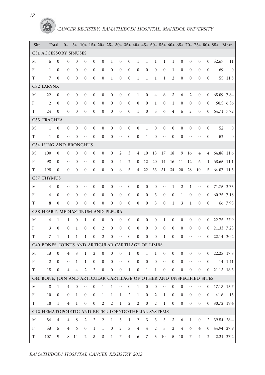| Site    | Total                                                                 |                  | $0+$             |                  |                         |                  |                  |                  |                  |                  |                  |                  |                  |                  |                  |                  |                  |                  |                  | 5+ 10+ 15+ 20+ 25+ 30+ 35+ 40+ 45+ 50+ 55+ 60+ 65+ 70+ 75+ 80+ 85+ Mean |                |
|---------|-----------------------------------------------------------------------|------------------|------------------|------------------|-------------------------|------------------|------------------|------------------|------------------|------------------|------------------|------------------|------------------|------------------|------------------|------------------|------------------|------------------|------------------|-------------------------------------------------------------------------|----------------|
|         | C31 ACCESSORY SINUSES                                                 |                  |                  |                  |                         |                  |                  |                  |                  |                  |                  |                  |                  |                  |                  |                  |                  |                  |                  |                                                                         |                |
| М       | 6                                                                     | $\theta$         | $\theta$         | $\theta$         | $\mathbf{0}$            | $\mathbf{0}$     | $\mathbf{0}$     | $\mathbf{1}$     | $\boldsymbol{0}$ | $\theta$         | $\mathbf{1}$     | $\mathbf{1}$     | 1                | 1                | 1                | $\theta$         | $\mathbf{0}$     | $\theta$         | $\theta$         | 52.67                                                                   | 11             |
| F       | $\mathbf{1}$                                                          | $\mathbf{0}$     | $\mathbf{0}$     | $\mathbf{0}$     | $\mathbf{0}$            | $\theta$         | $\theta$         | $\mathbf{0}$     | $\mathbf{0}$     | $\mathbf{0}$     | $\mathbf{0}$     | $\theta$         | $\mathbf{0}$     | $\mathbf{0}$     | $\mathbf{1}$     | $\mathbf{0}$     | $\mathbf{0}$     | $\theta$         | $\theta$         | 69                                                                      | $\theta$       |
| T       | 7                                                                     | $\mathbf{0}$     | $\mathbf{0}$     | $\mathbf{0}$     | $\mathbf{0}$            | $\mathbf{0}$     | $\boldsymbol{0}$ | 1                | $\mathbf{0}$     | $\boldsymbol{0}$ | $\mathbf{1}$     | 1                | $\mathbf{1}$     | $\mathbf{1}$     | $\overline{2}$   | $\mathbf{0}$     | $\boldsymbol{0}$ | $\mathbf{0}$     | $\theta$         |                                                                         | 55 11.8        |
|         | C32 LARYNX                                                            |                  |                  |                  |                         |                  |                  |                  |                  |                  |                  |                  |                  |                  |                  |                  |                  |                  |                  |                                                                         |                |
| М       | 22                                                                    | $\overline{0}$   | $\mathbf{0}$     | $\overline{0}$   | $\overline{0}$          | $\mathbf{0}$     | $\boldsymbol{0}$ | $\boldsymbol{0}$ | $\overline{0}$   | $\boldsymbol{0}$ | $\mathbf{1}$     | $\boldsymbol{0}$ | $\overline{4}$   | 6                | 3                | 6                | 2                | $\boldsymbol{0}$ | $\overline{0}$   | 65.09 7.84                                                              |                |
| F       | $\overline{2}$                                                        | $\theta$         | 0                | 0                | $\theta$                | $\theta$         | $\boldsymbol{0}$ | $\mathbf{0}$     | $\mathbf{0}$     | $\boldsymbol{0}$ | $\mathbf{0}$     | $\boldsymbol{0}$ | 1                | $\mathbf{0}$     | $\mathbf{1}$     | $\theta$         | $\boldsymbol{0}$ | $\theta$         | $\mathbf{0}$     |                                                                         | 60.5 6.36      |
| T       | 24                                                                    | $\theta$         | $\mathbf{0}$     | $\theta$         | $\overline{0}$          | $\theta$         | $\mathbf{0}$     | $\mathbf{0}$     | $\mathbf{0}$     | $\mathbf{0}$     | 1                | $\theta$         | 5                | 6                | $\overline{4}$   | 6                | $\overline{2}$   | $\mathbf{0}$     | $\overline{0}$   | 64.71 7.72                                                              |                |
|         | <b>C33 TRACHEA</b>                                                    |                  |                  |                  |                         |                  |                  |                  |                  |                  |                  |                  |                  |                  |                  |                  |                  |                  |                  |                                                                         |                |
| М       | $\mathbf{1}$                                                          | $\theta$         | $\mathbf{0}$     | $\mathbf{0}$     | $\boldsymbol{0}$        | $\mathbf{0}$     | $\mathbf{0}$     | $\mathbf{0}$     | $\boldsymbol{0}$ | $\theta$         | $\mathbf{0}$     | $\mathbf{1}$     | $\theta$         | $\mathbf{0}$     | $\overline{0}$   | $\mathbf{0}$     | $\mathbf{0}$     | $\theta$         | $\theta$         | 52                                                                      | $\overline{0}$ |
| T       | $\mathbf{1}$                                                          | $\boldsymbol{0}$ | $\boldsymbol{0}$ | $\mathbf{0}$     | $\mathbf{0}$            | $\mathbf{0}$     | $\mathbf{0}$     | $\mathbf{0}$     | $\overline{0}$   | $\theta$         | $\mathbf{0}$     | $\mathbf{1}$     | $\mathbf{0}$     | $\mathbf{0}$     | $\overline{0}$   | $\theta$         | $\mathbf{0}$     | $\mathbf{0}$     | $\theta$         | 52                                                                      | $\overline{0}$ |
|         | <b>C34 LUNG AND BRONCHUS</b>                                          |                  |                  |                  |                         |                  |                  |                  |                  |                  |                  |                  |                  |                  |                  |                  |                  |                  |                  |                                                                         |                |
| М       | 100                                                                   | $\boldsymbol{0}$ | $\mathbf{0}$     | $\mathbf{0}$     | $\mathbf{0}$            | $\boldsymbol{0}$ | $\boldsymbol{0}$ | $\boldsymbol{0}$ | 2                | 3                | $\overline{4}$   | 10               | 13               | 17               | 18               | 9                | 16               | 4                | 4                | 64.88 11.6                                                              |                |
| F       | 98                                                                    | $\mathbf{0}$     | $\mathbf{0}$     | $\mathbf{0}$     | $\theta$                | $\mathbf{0}$     | $\theta$         | $\mathbf{0}$     | 4                | $\overline{2}$   | $\theta$         | 12               | 20               | 14               | 16               | 11               | 12               | 6                | 1                | 63.65 11.1                                                              |                |
| T       | 198                                                                   | $\theta$         | $\mathbf{0}$     | $\mathbf{0}$     | $\mathbf{0}$            | $\mathbf{0}$     | $\mathbf{0}$     | $\theta$         | 6                | 5                | $\overline{4}$   | 22               | 33               | 31               | 34               | 20               | 28               | 10               | 5                | 64.07 11.5                                                              |                |
|         | C37 THYMUS                                                            |                  |                  |                  |                         |                  |                  |                  |                  |                  |                  |                  |                  |                  |                  |                  |                  |                  |                  |                                                                         |                |
| М       | 4                                                                     | $\theta$         | $\mathbf{0}$     | $\overline{0}$   | $\boldsymbol{0}$        | $\mathbf{0}$     | $\boldsymbol{0}$ | $\mathbf{0}$     | $\overline{0}$   | $\boldsymbol{0}$ | $\theta$         | $\boldsymbol{0}$ | $\boldsymbol{0}$ | $\boldsymbol{0}$ | 1                | 2                | $\mathbf{1}$     | $\mathbf{0}$     | $\mathbf{0}$     | 71.75 2.75                                                              |                |
| F       | $\overline{4}$                                                        | $\theta$         | $\mathbf{0}$     | $\theta$         | $\mathbf{0}$            | $\mathbf{0}$     | $\mathbf{0}$     | $\mathbf{0}$     | $\overline{0}$   | $\mathbf{0}$     | $\mathbf{0}$     | $\theta$         | 3                | $\theta$         | $\boldsymbol{0}$ | $\mathbf{1}$     | $\mathbf{0}$     | $\mathbf{0}$     | $\theta$         | 60.25 7.18                                                              |                |
| T       | 8                                                                     | $\mathbf{0}$     | $\mathbf{0}$     | $\mathbf{0}$     | $\mathbf{0}$            | $\mathbf{0}$     | $\mathbf{0}$     | $\mathbf{0}$     | $\overline{0}$   | $\mathbf{0}$     | $\mathbf{0}$     | $\mathbf{0}$     | 3                | $\mathbf{0}$     | $\mathbf{1}$     | 3                | $\mathbf{1}$     | $\mathbf{0}$     | $\theta$         |                                                                         | 66 7.95        |
|         | C38 HEART, MEDIASTINUM AND PLEURA                                     |                  |                  |                  |                         |                  |                  |                  |                  |                  |                  |                  |                  |                  |                  |                  |                  |                  |                  |                                                                         |                |
| М       | $\overline{4}$                                                        | $\mathbf{1}$     | $\mathbf{1}$     | $\mathbf{0}$     | 1                       | $\boldsymbol{0}$ | $\boldsymbol{0}$ | $\mathbf{0}$     | $\boldsymbol{0}$ | $\boldsymbol{0}$ | $\boldsymbol{0}$ | $\boldsymbol{0}$ | $\boldsymbol{0}$ | $\mathbf{1}$     | $\boldsymbol{0}$ | $\boldsymbol{0}$ | $\boldsymbol{0}$ | $\mathbf{0}$     | $\mathbf{0}$     | 22.75 27.9                                                              |                |
| F       | 3                                                                     | $\theta$         | $\boldsymbol{0}$ | 1                | $\mathbf{0}$            | $\theta$         | $\overline{2}$   | $\mathbf{0}$     | $\boldsymbol{0}$ | $\mathbf{0}$     | $\mathbf{0}$     | $\theta$         | $\mathbf{0}$     | $\mathbf{0}$     | $\overline{0}$   | $\mathbf{0}$     | $\boldsymbol{0}$ | $\overline{0}$   | $\mathbf{0}$     | 21.33 7.23                                                              |                |
| T       | 7                                                                     | $\mathbf{1}$     | $\mathbf{1}$     | $\mathbf{1}$     | $\mathbf{1}$            | $\overline{0}$   | $\mathfrak{2}$   | $\mathbf{0}$     | $\overline{0}$   | $\boldsymbol{0}$ | $\mathbf{0}$     | $\boldsymbol{0}$ | $\mathbf{0}$     | $\mathbf{1}$     | $\boldsymbol{0}$ | $\overline{0}$   | $\mathbf{0}$     | $\mathbf{0}$     | $\Omega$         | 22.14 20.2                                                              |                |
|         | C40 BONES, JOINTS AND ARTICULAR CARTILAGE OF LIMBS                    |                  |                  |                  |                         |                  |                  |                  |                  |                  |                  |                  |                  |                  |                  |                  |                  |                  |                  |                                                                         |                |
| М       | 13                                                                    | $\theta$         | $\overline{4}$   | 3                | 1                       | $\overline{2}$   | $\mathbf{0}$     | $\mathbf{0}$     | $\overline{0}$   | $\mathbf{1}$     | $\mathbf{0}$     | $\mathbf{1}$     | $\mathbf{1}$     | $\mathbf{0}$     | $\overline{0}$   | $\mathbf{0}$     | $\mathbf{0}$     | $\mathbf{0}$     | $\mathbf{0}$     | 22.23 17.3                                                              |                |
| F       | $\overline{2}$                                                        | $\overline{0}$   | $\mathbf{0}$     | $\mathbf{1}$     | $\mathbf{1}$            | $\mathbf{0}$     | $\mathbf{0}$     | $\mathbf{0}$     | $\overline{0}$   | $\boldsymbol{0}$ | $\mathbf{0}$     | $\boldsymbol{0}$ | $\boldsymbol{0}$ | $\mathbf{0}$     | $\overline{0}$   | $\theta$         | $\boldsymbol{0}$ | $\mathbf{0}$     | $\boldsymbol{0}$ |                                                                         | 14 1.41        |
| T       | 15                                                                    | $\mathbf{0}$     | 4                | 4                | $\overline{\mathbf{c}}$ | 2                | $\mathbf{0}$     | $\boldsymbol{0}$ | $\boldsymbol{0}$ | $\mathbf{1}$     | $\boldsymbol{0}$ | $\mathbf{1}$     | $\mathbf{1}$     | $\boldsymbol{0}$ | $\boldsymbol{0}$ | $\boldsymbol{0}$ | $\boldsymbol{0}$ | $\theta$         | $\overline{0}$   | 21.13 16.3                                                              |                |
|         | C41 BONE, JOIN AND ARTICULAR CARTILAGE OF OTHER AND UNSPECIFIED SITES |                  |                  |                  |                         |                  |                  |                  |                  |                  |                  |                  |                  |                  |                  |                  |                  |                  |                  |                                                                         |                |
| М       | 8                                                                     | $\mathbf{1}$     | $\overline{4}$   | $\boldsymbol{0}$ | $\overline{0}$          | $\boldsymbol{0}$ | $\mathbf{1}$     | $\mathbf{1}$     | $\boldsymbol{0}$ | $\overline{0}$   | $\mathbf{1}$     | $\boldsymbol{0}$ | $\overline{0}$   | $\boldsymbol{0}$ | $\boldsymbol{0}$ | $\boldsymbol{0}$ | $\boldsymbol{0}$ | $\mathbf{0}$     | $\overline{0}$   | 17.13 15.7                                                              |                |
| F       | 10                                                                    | $\boldsymbol{0}$ | $\mathbf{0}$     | $\mathbf{1}$     | $\overline{0}$          | $\boldsymbol{0}$ | $\mathbf{1}$     | $\mathbf{1}$     | $\mathbf{1}$     | 2                | $\mathbf{1}$     | $\mathbf{0}$     | 2                | $\mathbf{1}$     | $\mathbf{0}$     | $\mathbf{0}$     | $\boldsymbol{0}$ | $\overline{0}$   | $\mathbf{0}$     | 41.6                                                                    | 15             |
| T       | 18                                                                    | $\mathbf{1}$     | $\overline{4}$   | $1\,$            | $\boldsymbol{0}$        | $\boldsymbol{0}$ | $\sqrt{2}$       | $\boldsymbol{2}$ | $\,1$            | $\sqrt{2}$       | $\sqrt{2}$       | $\boldsymbol{0}$ | $\boldsymbol{2}$ | $\,1$            | $\mathbf{0}$     | $\boldsymbol{0}$ | $\boldsymbol{0}$ | $\mathbf{0}$     | $\overline{0}$   | 30.72 19.4                                                              |                |
|         | C42 HEMATOPOIETIC AND RETICULOENDOTHELIAL SYSTEMS                     |                  |                  |                  |                         |                  |                  |                  |                  |                  |                  |                  |                  |                  |                  |                  |                  |                  |                  |                                                                         |                |
| М       | 54                                                                    | $\overline{4}$   | $\overline{4}$   | 8                | 2                       | 2                | 2                | $\mathbf{1}$     | 5                | $\mathbf{1}$     | 2                | 3                | 3                | 5                | 3                | 6                | $\mathbf{1}$     | $\overline{0}$   | $\overline{2}$   | 39.54 26.4                                                              |                |
| $\rm F$ | 53                                                                    | 5                | $\overline{4}$   | 6                | $\boldsymbol{0}$        | $\mathbf{1}$     | $\mathbf{1}$     | $\boldsymbol{0}$ | 2                | $\mathfrak{Z}$   | $\overline{4}$   | $\overline{4}$   | $\mathfrak{2}$   | $\mathbf 5$      | $\overline{2}$   | $\overline{4}$   | 6                | $\overline{4}$   | $\overline{0}$   | 44.94 27.9                                                              |                |
| T       | 107                                                                   | 9                |                  | 8 14             | 2                       | 3                | 3                | $\mathbf{1}$     | 7                | $\overline{4}$   | 6                | 7                | 5                | 10               | 5                | 10               | 7                | $\overline{4}$   | 2                | 42.21 27.2                                                              |                |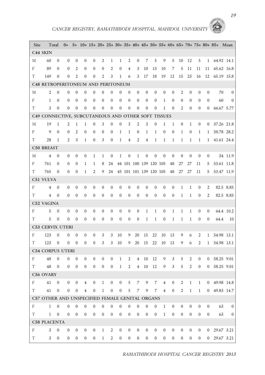| Site       | Total                                               |                  | $0+$           |                  |                  |                  |                  |                  |                  |                  |                        |                  |                  | 5+ 10+ 15+ 20+ 25+ 30+ 35+ 40+ 45+ 50+ 55+ 60+ 65+ 70+ 75+ 80+ 85+ |                  |                  |                  |                |                |                | Mean           |
|------------|-----------------------------------------------------|------------------|----------------|------------------|------------------|------------------|------------------|------------------|------------------|------------------|------------------------|------------------|------------------|--------------------------------------------------------------------|------------------|------------------|------------------|----------------|----------------|----------------|----------------|
|            | C <sub>44</sub> SKIN                                |                  |                |                  |                  |                  |                  |                  |                  |                  |                        |                  |                  |                                                                    |                  |                  |                  |                |                |                |                |
| М          | 60                                                  | $\mathbf{0}$     | $\overline{0}$ | 0                | $\mathbf{0}$     | $\mathbf{0}$     | 2                | 1                | 1                | 2                | $\theta$               | 7                | 5                | 9                                                                  | 5                | 10               | 12               | 5              | $\mathbf{1}$   | 64.92 14.1     |                |
| F          | 89                                                  | $\theta$         | $\mathbf{0}$   | 2                | $\mathbf{0}$     | $\theta$         | $\theta$         | 2                | $\mathbf{0}$     | $\overline{4}$   | 3                      | 10               | 13               | 10                                                                 | 7                | 5                | 11               | 11             | 11             | 65.62 16.8     |                |
| T          | 149                                                 | $\mathbf{0}$     | $\theta$       | $\overline{c}$   | $\mathbf{0}$     | $\mathbf{0}$     | $\overline{2}$   | 3                | 1                | 6                | 3                      | 17               | 18               | 19                                                                 | 12               | 15               | 23               | 16             | 12             | 65.19 15.8     |                |
|            | <b>C48 RETROPERITONEUM AND PERITONEUM</b>           |                  |                |                  |                  |                  |                  |                  |                  |                  |                        |                  |                  |                                                                    |                  |                  |                  |                |                |                |                |
| М          | $\overline{2}$                                      | $\boldsymbol{0}$ | $\mathbf{0}$   | $\overline{0}$   | $\boldsymbol{0}$ | $\mathbf{0}$     | $\theta$         | $\mathbf{0}$     | $\theta$         | $\mathbf{0}$     | $\mathbf{0}$           | $\boldsymbol{0}$ | $\boldsymbol{0}$ | $\mathbf{0}$                                                       | $\overline{0}$   | 2                | $\boldsymbol{0}$ | $\theta$       | $\mathbf{0}$   | 70             | $\overline{0}$ |
| F          | $\mathbf{1}$                                        | $\theta$         | $\mathbf{0}$   | $\mathbf{0}$     | $\mathbf{0}$     | $\theta$         | $\theta$         | $\mathbf{0}$     | $\theta$         | $\mathbf{0}$     | $\mathbf{0}$           | $\theta$         | $\theta$         | $\mathbf{1}$                                                       | $\overline{0}$   | $\mathbf{0}$     | $\mathbf{0}$     | $\theta$       | $\mathbf{0}$   | 60             | $\overline{0}$ |
| T          | 3                                                   | $\mathbf{0}$     | $\mathbf{0}$   | $\mathbf{0}$     | $\mathbf{0}$     | $\mathbf{0}$     | $\overline{0}$   | $\mathbf{0}$     | $\mathbf{0}$     | $\mathbf{0}$     | $\mathbf{0}$           | $\boldsymbol{0}$ | $\boldsymbol{0}$ | $\mathbf{1}$                                                       | $\boldsymbol{0}$ | 2                | $\boldsymbol{0}$ | $\theta$       | $\overline{0}$ | 66.67 5.77     |                |
|            | C49 CONNECTIVE, SUBCUTANEOUS AND OTHER SOFT TISSUES |                  |                |                  |                  |                  |                  |                  |                  |                  |                        |                  |                  |                                                                    |                  |                  |                  |                |                |                |                |
| М          | 19                                                  | $\mathbf{1}$     | $\overline{2}$ | $\mathbf{1}$     | $\mathbf{1}$     | $\theta$         | 3                | $\mathbf{0}$     | $\mathbf{0}$     | 3                | $\overline{2}$         | 3                | $\theta$         | $\mathbf{1}$                                                       | $\mathbf{1}$     | $\mathbf{0}$     | $\mathbf{1}$     | $\mathbf{0}$   | $\mathbf{0}$   | 37.26 21.8     |                |
| F          | 9                                                   | $\mathbf{0}$     | $\theta$       | 2                | $\mathbf{0}$     | $\mathbf{0}$     | $\mathbf{0}$     | $\theta$         | 1                | 1                | $\mathbf{0}$           | 1                | 1                | $\mathbf{0}$                                                       | $\boldsymbol{0}$ | $\mathbf{1}$     | $\boldsymbol{0}$ | $\mathbf{1}$   | 1              | 50.78 28.2     |                |
| T          | 28                                                  | 1                | 2              | 3                | $\mathbf{1}$     | $\theta$         | 3                | $\mathbf{0}$     | 1                | 4                | $\overline{2}$         | 4                | 1                | 1                                                                  | 1                | 1                | 1                | $\mathbf{1}$   | $\mathbf{1}$   | 41.61 24.4     |                |
|            | <b>C50 BREAST</b>                                   |                  |                |                  |                  |                  |                  |                  |                  |                  |                        |                  |                  |                                                                    |                  |                  |                  |                |                |                |                |
| М          | $\overline{4}$                                      | $\mathbf{0}$     | $\mathbf{0}$   | 0                | 0                | 1                | 1                | $\boldsymbol{0}$ | 1                | $\boldsymbol{0}$ | $\mathbf{1}$           | $\theta$         | $\mathbf{0}$     | $\mathbf{0}$                                                       | $\theta$         | $\theta$         | $\theta$         | $\theta$       | $\mathbf{0}$   |                | 34 11.9        |
| F          | 761                                                 | $\theta$         | $\theta$       | $\mathbf{0}$     | 1                | 1                | 8                | 24               |                  |                  | 44 101 100 139 120 105 |                  |                  |                                                                    | 48               | 27               | 27               | 11             | 5              | 53.61 11.8     |                |
| T          | 765                                                 | $\theta$         | $\theta$       | $\theta$         | 1                | 2                | 9                | 24               |                  |                  | 45 101 101 139 120 105 |                  |                  |                                                                    | 48               | 27               | 27               | 11             | 5              | 53.47 11.9     |                |
|            | C51 VULVA                                           |                  |                |                  |                  |                  |                  |                  |                  |                  |                        |                  |                  |                                                                    |                  |                  |                  |                |                |                |                |
| F          | $\overline{4}$                                      | $\mathbf{0}$     | $\mathbf{0}$   | 0                | $\mathbf{0}$     | $\theta$         | $\theta$         | $\mathbf{0}$     | $\theta$         | $\mathbf{0}$     | $\mathbf{0}$           | $\theta$         | $\theta$         | $\mathbf{0}$                                                       | $\mathbf{0}$     | 1                | $\mathbf{1}$     | $\theta$       | 2              |                | 82.5 8.85      |
| T          | $\overline{4}$                                      | $\mathbf{0}$     | $\mathbf{0}$   | $\mathbf{0}$     | $\boldsymbol{0}$ | $\mathbf{0}$     | $\boldsymbol{0}$ | $\mathbf{0}$     | $\boldsymbol{0}$ | $\boldsymbol{0}$ | $\mathbf{0}$           | $\boldsymbol{0}$ | $\boldsymbol{0}$ | $\boldsymbol{0}$                                                   | $\boldsymbol{0}$ | $\mathbf{1}$     | $\mathbf{1}$     | $\mathbf{0}$   | $\overline{c}$ |                | 82.5 8.85      |
|            | C52 VAGINA                                          |                  |                |                  |                  |                  |                  |                  |                  |                  |                        |                  |                  |                                                                    |                  |                  |                  |                |                |                |                |
| F          | 5                                                   | $\mathbf{0}$     | $\overline{0}$ | $\overline{0}$   | $\mathbf{0}$     | $\theta$         | $\theta$         | $\mathbf{0}$     | $\overline{0}$   | $\mathbf{0}$     | $\boldsymbol{0}$       | 1                | 1                | $\boldsymbol{0}$                                                   | 1                | 1                | 1                | $\theta$       | 0              |                | 64.4 10.2      |
| T          | 5                                                   | $\mathbf{0}$     | $\overline{0}$ | $\overline{0}$   | $\boldsymbol{0}$ | $\mathbf{0}$     | $\boldsymbol{0}$ | $\boldsymbol{0}$ | $\boldsymbol{0}$ | $\boldsymbol{0}$ | $\boldsymbol{0}$       | $\mathbf{1}$     | 1                | $\boldsymbol{0}$                                                   | $\mathbf{1}$     | 1                | $\mathbf{1}$     | $\mathbf{0}$   | $\overline{0}$ | 64.4           | 10             |
|            | <b>C53 CERVIX UTERI</b>                             |                  |                |                  |                  |                  |                  |                  |                  |                  |                        |                  |                  |                                                                    |                  |                  |                  |                |                |                |                |
| F          | 123                                                 | $\mathbf{0}$     | $\mathbf{0}$   | $\overline{0}$   | $\overline{0}$   | $\theta$         | 3                | 3                | 10               | 9                | 20                     | 15               | 22               | 10                                                                 | 13               | 9                | 6                | 2              | $\mathbf{1}$   | 54.98 13.1     |                |
| T          | 123                                                 | $\mathbf{0}$     | $\mathbf{0}$   | $\mathbf{0}$     | $\boldsymbol{0}$ | $\mathbf{0}$     | $\mathfrak{Z}$   | 3                | 10               | 9                | 20                     | 15               | 22               | 10                                                                 | 13               | 9                | 6                | $\overline{2}$ | $\mathbf{1}$   | 54.98 13.1     |                |
|            | <b>C54 CORPUS UTERI</b>                             |                  |                |                  |                  |                  |                  |                  |                  |                  |                        |                  |                  |                                                                    |                  |                  |                  |                |                |                |                |
| F          | 48                                                  | $\theta$         | $\theta$       | 0                | $\bf{0}$         | $\boldsymbol{0}$ | $\mathbf{0}$     | $\boldsymbol{0}$ | 1                | 2                | 4                      | 10               | 12               | 9                                                                  | 3                | 5                | 2                | $\theta$       | $\overline{0}$ | 58.25 9.01     |                |
| T          | 48                                                  | $\mathbf{0}$     | $\mathbf{0}$   | $\theta$         | $\boldsymbol{0}$ | $\theta$         | $\boldsymbol{0}$ | $\boldsymbol{0}$ | 1                | 2                | $\overline{4}$         | 10               | 12               | 9                                                                  | 3                | 5                | $\overline{2}$   | $\theta$       | $\overline{0}$ | 58.25 9.01     |                |
|            | C56 OVARY                                           |                  |                |                  |                  |                  |                  |                  |                  |                  |                        |                  |                  |                                                                    |                  |                  |                  |                |                |                |                |
| F          | 41                                                  | $\boldsymbol{0}$ | $\overline{0}$ | $\boldsymbol{0}$ | $\overline{4}$   | $\boldsymbol{0}$ | $\mathbf{1}$     | $\boldsymbol{0}$ | $\boldsymbol{0}$ | 5                | 7                      | 9                | 7                | $\,4\,$                                                            | $\boldsymbol{0}$ | 2                | $\mathbf{1}$     | $\mathbf{1}$   | $\overline{0}$ | 49.98 14.8     |                |
| T          | 41                                                  | $\boldsymbol{0}$ | $\overline{0}$ | $\boldsymbol{0}$ | $\overline{4}$   | $\boldsymbol{0}$ | $\mathbf{1}$     | $\boldsymbol{0}$ | $\boldsymbol{0}$ | 5                | 7                      | 9                | 7                | $\overline{4}$                                                     | $\boldsymbol{0}$ | 2                | $\mathbf{1}$     | $\mathbf{1}$   | $\overline{0}$ | 49.83 14.7     |                |
|            | C57 OTHER AND UNSPECIFIED FEMALE GENITAL ORGANS     |                  |                |                  |                  |                  |                  |                  |                  |                  |                        |                  |                  |                                                                    |                  |                  |                  |                |                |                |                |
| $_{\rm F}$ | $\mathbf{1}$                                        | $\mathbf{0}$     | $\mathbf{0}$   | $\overline{0}$   | $\mathbf{0}$     | $\mathbf{0}$     | $\mathbf{0}$     | $\overline{0}$   | $\mathbf{0}$     | $\mathbf{0}$     | $\mathbf{0}$           | $\boldsymbol{0}$ | $\mathbf{0}$     | $\mathbf{1}$                                                       | $\boldsymbol{0}$ | $\mathbf{0}$     | $\mathbf{0}$     | $\theta$       | $\overline{0}$ | 63             | $\mathbf{0}$   |
| T          | $\mathbf{1}$                                        | $\boldsymbol{0}$ | $\mathbf{0}$   | $\mathbf{0}$     | $\boldsymbol{0}$ | $\boldsymbol{0}$ | $\boldsymbol{0}$ | $\boldsymbol{0}$ | $\boldsymbol{0}$ | $\boldsymbol{0}$ | $\boldsymbol{0}$       | $\boldsymbol{0}$ | $\boldsymbol{0}$ | $\mathbf{1}$                                                       | $\boldsymbol{0}$ | $\boldsymbol{0}$ | $\boldsymbol{0}$ | $\theta$       | $\overline{0}$ | 63             | $\overline{0}$ |
|            | <b>C58 PLACENTA</b>                                 |                  |                |                  |                  |                  |                  |                  |                  |                  |                        |                  |                  |                                                                    |                  |                  |                  |                |                |                |                |
| F          | $\mathfrak{Z}$                                      | $\boldsymbol{0}$ | $\mathbf{0}$   | $\overline{0}$   | $\boldsymbol{0}$ | $\boldsymbol{0}$ | $\mathbf{1}$     | $\overline{2}$   | $\mathbf{0}$     | $\boldsymbol{0}$ | $\boldsymbol{0}$       | $\mathbf{0}$     | $\boldsymbol{0}$ | $\boldsymbol{0}$                                                   | $\boldsymbol{0}$ | $\mathbf{0}$     | $\boldsymbol{0}$ | $\mathbf{0}$   | $\overline{0}$ | 29.67 3.21     |                |
| T          | 3                                                   | $\overline{0}$   | $\overline{0}$ | $\mathbf{0}$     | $\overline{0}$   | $\mathbf{0}$     | $\mathbf{1}$     | $\overline{2}$   | $\overline{0}$   | $\overline{0}$   | $\mathbf{0}$           | $\mathbf{0}$     | $\overline{0}$   | $\boldsymbol{0}$                                                   | $\overline{0}$   | $\overline{0}$   | $\overline{0}$   | $\overline{0}$ |                | $0$ 29.67 3.21 |                |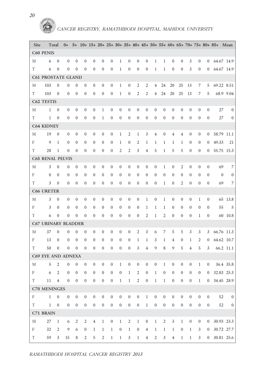

| Site        | Total                      |                  | $0+$             |                  |                  |                  |                  |                  |                  |                  |                     |                  |                  |                  |                                             |                  |                  |                  |                  | 5+ 10+ 15+ 20+ 25+ 30+ 35+ 40+ 45+ 50+ 55+ 60+ 65+ 70+ 75+ 80+ 85+ Mean |                |
|-------------|----------------------------|------------------|------------------|------------------|------------------|------------------|------------------|------------------|------------------|------------------|---------------------|------------------|------------------|------------------|---------------------------------------------|------------------|------------------|------------------|------------------|-------------------------------------------------------------------------|----------------|
|             | <b>C60 PENIS</b>           |                  |                  |                  |                  |                  |                  |                  |                  |                  |                     |                  |                  |                  |                                             |                  |                  |                  |                  |                                                                         |                |
| М           | 6                          | $\boldsymbol{0}$ | $\mathbf{0}$     | $\theta$         | $\mathbf{0}$     | $\mathbf{0}$     | $\mathbf{0}$     | $\mathbf{0}$     | $\mathbf{1}$     | $\mathbf{0}$     | $\mathbf{0}$        | $\theta$         | $\mathbf{1}$     | $\mathbf{1}$     | $\overline{0}$                              | $\boldsymbol{0}$ | 3                | $\theta$         | $\overline{0}$   | 64.67 14.9                                                              |                |
| T           | 6                          | $\mathbf{0}$     | $\theta$         | $\theta$         | $\mathbf{0}$     | $\theta$         | $\theta$         | $\mathbf{0}$     | $\mathbf{1}$     | $\boldsymbol{0}$ | $\mathbf{0}$        | $\boldsymbol{0}$ | 1                | $\mathbf{1}$     | $\boldsymbol{0}$                            | $\theta$         | 3                | $\overline{0}$   | $\overline{0}$   | 64.67 14.9                                                              |                |
|             | <b>C61 PROSTATE GLAND</b>  |                  |                  |                  |                  |                  |                  |                  |                  |                  |                     |                  |                  |                  |                                             |                  |                  |                  |                  |                                                                         |                |
| М           | 103                        | $\overline{0}$   | $\mathbf{0}$     | $\mathbf{0}$     | $\boldsymbol{0}$ | $\boldsymbol{0}$ | $\boldsymbol{0}$ | $\boldsymbol{0}$ | $\mathbf{1}$     | $\boldsymbol{0}$ | $\mathfrak{2}$      | $\mathfrak{2}$   | $\overline{4}$   | 24               | 20                                          | 25               | 13               | 7                | 5                | 69.22 8.51                                                              |                |
| T           | 103                        | $\theta$         | $\mathbf{0}$     | $\mathbf{0}$     | $\mathbf{0}$     | $\mathbf{0}$     | $\theta$         | $\mathbf{0}$     | 1                | $\boldsymbol{0}$ | $\overline{2}$      | $\mathfrak{2}$   | $\overline{4}$   | 24               | 20                                          | 25               | 13               | 7                | 5                |                                                                         | 68.9 9.04      |
|             | C62 TESTIS                 |                  |                  |                  |                  |                  |                  |                  |                  |                  |                     |                  |                  |                  |                                             |                  |                  |                  |                  |                                                                         |                |
| М           | $\mathbf{1}$               | $\boldsymbol{0}$ | $\boldsymbol{0}$ | $\theta$         | $\boldsymbol{0}$ | $\boldsymbol{0}$ | $\mathbf{1}$     | $\boldsymbol{0}$ | $\boldsymbol{0}$ | $\boldsymbol{0}$ | $\mathbf{0}$        | $\boldsymbol{0}$ | $\boldsymbol{0}$ | $\mathbf{0}$     | $\mathbf{0}$                                | $\mathbf{0}$     | $\boldsymbol{0}$ | $\mathbf{0}$     | $\theta$         | 27                                                                      | $\overline{0}$ |
| T           | $\mathbf{1}$               | $\boldsymbol{0}$ | $\boldsymbol{0}$ | $\mathbf{0}$     | $\mathbf{0}$     | $\theta$         | $\mathbf{1}$     | $\mathbf{0}$     | $\mathbf{0}$     | $\boldsymbol{0}$ | $\mathbf{0}$        | $\theta$         | $\mathbf{0}$     | $\mathbf{0}$     | $\boldsymbol{0}$                            | $\theta$         | $\mathbf{0}$     | $\theta$         | $\mathbf{0}$     | 27                                                                      | $\overline{0}$ |
|             | <b>C64 KIDNEY</b>          |                  |                  |                  |                  |                  |                  |                  |                  |                  |                     |                  |                  |                  |                                             |                  |                  |                  |                  |                                                                         |                |
| М           | 19                         | $\theta$         | $\theta$         | $\mathbf{0}$     | $\mathbf{0}$     | $\boldsymbol{0}$ | $\boldsymbol{0}$ | $\boldsymbol{0}$ | $\mathbf{1}$     | 2                | $\mathbf{1}$        | 3                | 4                | $\mathbf{0}$     | 4                                           | 4                | $\boldsymbol{0}$ | $\mathbf{0}$     | $\mathbf{0}$     | 58.79 11.1                                                              |                |
| F           | 9                          | $\mathbf{1}$     | $\mathbf{0}$     | $\mathbf{0}$     | $\mathbf{0}$     | $\mathbf{0}$     | $\mathbf{0}$     | $\mathbf{0}$     | 1                | $\mathbf{0}$     | $\overline{2}$      | $\mathbf{1}$     | 1                | 1                | 1                                           | $\mathbf{1}$     | $\mathbf{0}$     | $\theta$         | $\mathbf{0}$     | 49.33                                                                   | 21             |
| T           | 28                         | $\mathbf{1}$     | $\mathbf{0}$     | $\mathbf{0}$     | $\boldsymbol{0}$ | $\overline{0}$   | $\boldsymbol{0}$ | $\mathbf{0}$     | 2                | 2                | 3                   | 4                | 5                | $\mathbf{1}$     | 5                                           | 5                | $\boldsymbol{0}$ | $\mathbf{0}$     | $\mathbf{0}$     | 55.75 15.3                                                              |                |
|             | <b>C65 RENAL PELVIS</b>    |                  |                  |                  |                  |                  |                  |                  |                  |                  |                     |                  |                  |                  |                                             |                  |                  |                  |                  |                                                                         |                |
| М           | 3                          | $\overline{0}$   | $\mathbf{0}$     | $\theta$         | $\mathbf{0}$     | $\theta$         | $\mathbf{0}$     | $\mathbf{0}$     | $\boldsymbol{0}$ | $\theta$         | $\mathbf{0}$        | $\theta$         | $\theta$         | $\mathbf{1}$     | $\overline{0}$                              | $\overline{2}$   | $\mathbf{0}$     | $\mathbf{0}$     | $\theta$         | 69                                                                      | 7              |
| F           | $\mathbf{0}$               | $\mathbf{0}$     | $\theta$         | $\mathbf{0}$     | $\boldsymbol{0}$ | $\theta$         | $\boldsymbol{0}$ | $\theta$         | $\mathbf{0}$     | $\boldsymbol{0}$ | $\mathbf{0}$        | $\boldsymbol{0}$ | $\mathbf{0}$     | $\theta$         | $\overline{0}$                              | $\mathbf{0}$     | $\boldsymbol{0}$ | $\mathbf{0}$     | $\Omega$         | $\mathbf{0}$                                                            | $\bf{0}$       |
| T           | 3                          | $\mathbf{0}$     | $\mathbf{0}$     | $\mathbf{0}$     | $\boldsymbol{0}$ | $\overline{0}$   | $\boldsymbol{0}$ | $\mathbf{0}$     | $\mathbf{0}$     | $\boldsymbol{0}$ | $\theta$            | $\boldsymbol{0}$ | $\mathbf{0}$     | $\mathbf{1}$     | $\boldsymbol{0}$                            | $\overline{2}$   | $\boldsymbol{0}$ | $\mathbf{0}$     | $\theta$         | 69                                                                      | 7              |
|             | <b>C66 URETER</b>          |                  |                  |                  |                  |                  |                  |                  |                  |                  |                     |                  |                  |                  |                                             |                  |                  |                  |                  |                                                                         |                |
| М           | 3                          | $\theta$         | $\mathbf{0}$     | $\mathbf{0}$     | $\boldsymbol{0}$ | $\mathbf{0}$     | $\boldsymbol{0}$ | $\mathbf{0}$     | $\boldsymbol{0}$ | $\theta$         | $\theta$            | $\mathbf{1}$     | $\boldsymbol{0}$ | $\mathbf{1}$     | $\theta$                                    | $\theta$         | $\boldsymbol{0}$ | $\mathbf{1}$     | $\theta$         |                                                                         | 65 13.8        |
| F           | 3                          | $\theta$         | $\mathbf{0}$     | $\mathbf{0}$     | $\boldsymbol{0}$ | $\mathbf{0}$     | $\boldsymbol{0}$ | $\boldsymbol{0}$ | $\boldsymbol{0}$ | $\boldsymbol{0}$ | $\theta$            | $\mathbf{1}$     | $\mathbf{1}$     | 1                | $\boldsymbol{0}$                            | $\theta$         | $\boldsymbol{0}$ | $\theta$         | $\theta$         | 55                                                                      | 5              |
| T           | 6                          | $\boldsymbol{0}$ | $\mathbf{0}$     | $\mathbf{0}$     | $\mathbf{0}$     | $\mathbf{0}$     | $\mathbf{0}$     | $\mathbf{0}$     | $\mathbf{0}$     | $\mathbf{0}$     | $\mathbf{0}$        | $\mathfrak{2}$   | 1                | $\overline{2}$   | $\boldsymbol{0}$                            | $\mathbf{0}$     | $\boldsymbol{0}$ | 1                | $\mathbf{0}$     |                                                                         | 60 10.8        |
|             | <b>C67 URINARY BLADDER</b> |                  |                  |                  |                  |                  |                  |                  |                  |                  |                     |                  |                  |                  |                                             |                  |                  |                  |                  |                                                                         |                |
| М           | 37                         | $\mathbf{0}$     | $\mathbf{0}$     | $\mathbf{0}$     | $\mathbf{0}$     | $\boldsymbol{0}$ | $\boldsymbol{0}$ | $\boldsymbol{0}$ | $\boldsymbol{0}$ | $\boldsymbol{0}$ | $\overline{2}$      | 3                | 6                | 7                | 5                                           | 5                | $\mathfrak{Z}$   | 3                | 3                | 66.76 11.3                                                              |                |
| F           | 13                         | $\bf{0}$         | $\theta$         | $\theta$         | $\boldsymbol{0}$ | $\mathbf{0}$     | $\boldsymbol{0}$ | $\boldsymbol{0}$ | $\mathbf{0}$     | $\boldsymbol{0}$ | $\mathbf{1}$        | 1                | 3                | 1                | $\overline{4}$                              | $\boldsymbol{0}$ | 1                | 2                | $\mathbf{0}$     | 64.62 10.7                                                              |                |
| T           | 50                         | $\mathbf{0}$     | $\mathbf{0}$     | $\theta$         | $\boldsymbol{0}$ | $\mathbf{0}$     | $\theta$         | $\mathbf{0}$     | $\mathbf{0}$     | $\boldsymbol{0}$ | 3                   | $\overline{4}$   | 9                | 8                | 9                                           | 5                | $\overline{4}$   | 5                | 3                |                                                                         | 66.2 11.1      |
|             | C69 EYE AND ADNEXA         |                  |                  |                  |                  |                  |                  |                  |                  |                  |                     |                  |                  |                  |                                             |                  |                  |                  |                  |                                                                         |                |
| М           | 5                          | 2                | $\mathbf{0}$     | $\mathbf{0}$     | $\boldsymbol{0}$ | $\boldsymbol{0}$ | $\boldsymbol{0}$ | $\boldsymbol{0}$ | $\mathbf{1}$     | $\boldsymbol{0}$ | $\boldsymbol{0}$    | $\boldsymbol{0}$ | $\boldsymbol{0}$ | $\mathbf{1}$     | $\boldsymbol{0}$                            | $\boldsymbol{0}$ | $\boldsymbol{0}$ | $\mathbf{1}$     | $\boldsymbol{0}$ |                                                                         | 36.4 35.8      |
| $F$ and $F$ | $6\overline{6}$            | $\overline{2}$   | $\boldsymbol{0}$ | $\boldsymbol{0}$ | $\boldsymbol{0}$ | $\boldsymbol{0}$ | $\boldsymbol{0}$ | $\boldsymbol{0}$ | $\boldsymbol{0}$ | $\,1$            | $\sqrt{2}$          | $\boldsymbol{0}$ |                  | $1 \quad 0$      | $\boldsymbol{0}$                            | $\boldsymbol{0}$ | $\boldsymbol{0}$ |                  |                  | $0 \t 0 \t 32.83 \t 25.3$                                               |                |
| T T         | 11 4                       |                  | $\boldsymbol{0}$ | $\boldsymbol{0}$ | $\overline{0}$   | $\boldsymbol{0}$ | $\overline{0}$   | $\overline{0}$   | $\mathbf{1}$     |                  | $1 \quad 2 \quad 0$ |                  |                  |                  | $\begin{matrix} 1 & 1 & 0 & 0 \end{matrix}$ |                  |                  |                  |                  | $0 \quad 1 \quad 0 \quad 34.45 \quad 28.9$                              |                |
|             | C70 MENINGES               |                  |                  |                  |                  |                  |                  |                  |                  |                  |                     |                  |                  |                  |                                             |                  |                  |                  |                  |                                                                         |                |
| F           | $\mathbf{1}$               | $\overline{0}$   | $\boldsymbol{0}$ | $\boldsymbol{0}$ | $\overline{0}$   | $\boldsymbol{0}$ | $\boldsymbol{0}$ | $\boldsymbol{0}$ | $\boldsymbol{0}$ | $\boldsymbol{0}$ | $\boldsymbol{0}$    | $\mathbf{1}$     | $\boldsymbol{0}$ | $\boldsymbol{0}$ | $\boldsymbol{0}$                            | $\mathbf{0}$     | $\boldsymbol{0}$ | $\mathbf{0}$     | $\overline{0}$   | 52                                                                      | $\overline{0}$ |
| T           |                            | $1 \quad 0$      | $\boldsymbol{0}$ | $\boldsymbol{0}$ | $\boldsymbol{0}$ | $\boldsymbol{0}$ | $\boldsymbol{0}$ | $\boldsymbol{0}$ | $\boldsymbol{0}$ | $\boldsymbol{0}$ | $\boldsymbol{0}$    | $1\,$            | $\boldsymbol{0}$ | $\boldsymbol{0}$ | $\boldsymbol{0}$                            | $\boldsymbol{0}$ | $\boldsymbol{0}$ | $\boldsymbol{0}$ | $\overline{0}$   | 52                                                                      | $\overline{0}$ |
|             | C71 BRAIN                  |                  |                  |                  |                  |                  |                  |                  |                  |                  |                     |                  |                  |                  |                                             |                  |                  |                  |                  |                                                                         |                |
| М           | 27                         | $\mathbf{1}$     | 6                | $\overline{2}$   | $\overline{2}$   | $\,4\,$          | $1\,$            | $\boldsymbol{0}$ | $\mathbf{1}$     | $\overline{2}$   | $\mathbf{1}$        | $\boldsymbol{0}$ | $\mathbf{1}$     | $\sqrt{2}$       | $\sqrt{3}$                                  | $\mathbf{1}$     | $\mathbf{0}$     | $\overline{0}$   |                  | $0$ 30.93 23.3                                                          |                |
| F           | 32                         | $\boldsymbol{2}$ | 9                | 6                | $\boldsymbol{0}$ | $\,1$            | $\mathbf{1}$     | $\mathbf{1}$     | $\boldsymbol{0}$ | $\mathbf{1}$     | $\boldsymbol{0}$    | $\,4\,$          | $\mathbf{1}$     | $\mathbf{1}$     | $\mathbf{1}$                                | $\mathbf{0}$     | $\mathbf{1}$     | $\mathfrak{Z}$   |                  | $0$ 30.72 27.7                                                          |                |
| T           | 59                         | $\mathfrak{Z}$   | 15               | 8                | $\overline{2}$   | $\overline{5}$   | $\overline{2}$   | $\mathbf{1}$     | $\mathbf{1}$     | $\mathfrak{Z}$   | $\mathbf{1}$        | $\overline{4}$   | $\overline{2}$   | 3 <sup>7</sup>   | $\overline{4}$                              | $\mathbf{1}$     | $\overline{1}$   |                  |                  | $3 \t 0 \t 30.81 \t 25.6$                                               |                |

*20*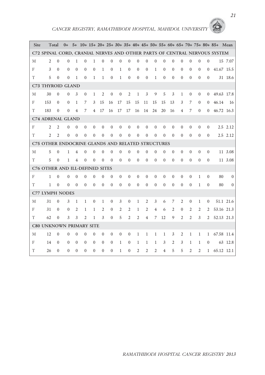| Site | Total                                             |                |                  |                |                |                |                |              |                  |                |                |                |                |              |                |                |                |                |                | $0+$ 5+ 10+ 15+ 20+ 25+ 30+ 35+ 40+ 45+ 50+ 55+ 60+ 65+ 70+ 75+ 80+ 85+ Mean |           |
|------|---------------------------------------------------|----------------|------------------|----------------|----------------|----------------|----------------|--------------|------------------|----------------|----------------|----------------|----------------|--------------|----------------|----------------|----------------|----------------|----------------|------------------------------------------------------------------------------|-----------|
|      |                                                   |                |                  |                |                |                |                |              |                  |                |                |                |                |              |                |                |                |                |                | C72 SPINAL CORD, CRANIAL NERVES AND OTHER PARTS OF CENTRAL NERVOUS SYSTEM    |           |
| М    | 2                                                 | $\mathbf{0}$   | $\theta$         | $\mathbf{1}$   | $\mathbf{0}$   | $\mathbf{1}$   | $\mathbf{0}$   | $\theta$     | $\mathbf{0}$     | $\mathbf{0}$   | $\mathbf{0}$   | $\theta$       | $\mathbf{0}$   | $\theta$     | $\mathbf{0}$   | $\mathbf{0}$   | $\theta$       | $\mathbf{0}$   | $\mathbf{0}$   |                                                                              | 15 7.07   |
| F    | 3                                                 | $\theta$       | $\Omega$         | $\theta$       | $\theta$       | $\theta$       | $\mathbf{1}$   | $\theta$     | $\mathbf{1}$     | $\mathbf{0}$   | $\theta$       | $\mathbf{0}$   | $\mathbf{1}$   | $\theta$     | $\theta$       | $\Omega$       | $\mathbf{0}$   | $\theta$       | $\Omega$       | 41.67 15.5                                                                   |           |
| T    | 5                                                 | $\Omega$       | $\theta$         | 1              | $\theta$       | $\mathbf{1}$   | $\mathbf{1}$   | $\theta$     | $\mathbf{1}$     | $\Omega$       | $\theta$       | $\theta$       | $\mathbf{1}$   | $\theta$     | $\theta$       | $\theta$       | $\theta$       | $\Omega$       | $\Omega$       |                                                                              | 31 18.6   |
|      | C73 THYROID GLAND                                 |                |                  |                |                |                |                |              |                  |                |                |                |                |              |                |                |                |                |                |                                                                              |           |
| М    | 30                                                | $\mathbf{0}$   | $\Omega$         | 3              | $\Omega$       | $\mathbf{1}$   | $\overline{2}$ | $\mathbf{0}$ | $\mathbf{0}$     | $\overline{2}$ | $\mathbf{1}$   | $\overline{3}$ | 9              | 5            | $\overline{3}$ | $\mathbf{1}$   | $\mathbf{0}$   | $\mathbf{0}$   | $\Omega$       | 49.63 17.8                                                                   |           |
| F    | 153                                               | $\overline{0}$ | $\overline{0}$   | $\mathbf{1}$   | 7              | 3              | 15             | 16           | 17               | 15             | 15             | 11             | 15             | 15           | 13             | 3              | 7              | $\Omega$       | $\Omega$       | 46.14                                                                        | 16        |
| T    | 183                                               | $\theta$       | 0                | $\overline{4}$ | 7              | $\overline{4}$ | 17             | 16           | 17               | 17             | 16             | 14             | 24             | 20           | 16             | $\overline{4}$ | $\overline{7}$ | $\theta$       | $\Omega$       | 46.72 16.3                                                                   |           |
|      | <b>C74 ADRENAL GLAND</b>                          |                |                  |                |                |                |                |              |                  |                |                |                |                |              |                |                |                |                |                |                                                                              |           |
| F    | $\overline{2}$                                    | $\overline{2}$ | $\Omega$         | $\theta$       | $\theta$       | $\theta$       | $\overline{0}$ | $\theta$     | $\overline{0}$   | $\mathbf{0}$   | $\mathbf{0}$   | $\mathbf{0}$   | $\mathbf{0}$   | $\mathbf{0}$ | $\Omega$       | $\mathbf{0}$   | $\mathbf{0}$   | $\theta$       | $\Omega$       |                                                                              | 2.5 2.12  |
| T    | $\overline{c}$                                    | $\overline{2}$ | $\theta$         | $\theta$       | $\theta$       | $\theta$       | $\theta$       | $\theta$     | $\theta$         | $\mathbf{0}$   | $\theta$       | $\theta$       | $\theta$       | $\theta$     | $\theta$       | $\Omega$       | $\theta$       | $\theta$       | $\theta$       |                                                                              | 2.5 2.12  |
|      | C75 OTHER ENDOCRINE GLANDS AND RELATED STRUCTURES |                |                  |                |                |                |                |              |                  |                |                |                |                |              |                |                |                |                |                |                                                                              |           |
| M    | 5                                                 | $\mathbf{0}$   | 1                | $\overline{4}$ | $\theta$       | $\mathbf{0}$   | $\theta$       | $\mathbf{0}$ | $\theta$         | $\mathbf{0}$   | $\mathbf{0}$   | $\mathbf{0}$   | $\mathbf{0}$   | $\mathbf{0}$ | $\theta$       | $\mathbf{0}$   | $\mathbf{0}$   | $\theta$       | $\mathbf{0}$   |                                                                              | 11 3.08   |
| T    | 5                                                 | $\theta$       | 1                | 4              | $\theta$       | $\theta$       | $\theta$       | $\theta$     | $\theta$         | $\theta$       | $\theta$       | $\theta$       | $\theta$       | $\theta$     | $\theta$       | $\theta$       | $\Omega$       | $\theta$       | $\theta$       |                                                                              | 11 3.08   |
|      | C76 OTHER AND ILL-DEFINED SITES                   |                |                  |                |                |                |                |              |                  |                |                |                |                |              |                |                |                |                |                |                                                                              |           |
| F    | $\mathbf{1}$                                      | $\theta$       | $\theta$         | $\theta$       | $\mathbf{0}$   | $\theta$       | $\theta$       | $\theta$     | $\mathbf{0}$     | $\Omega$       | $\theta$       | $\mathbf{0}$   | $\theta$       | $\theta$     | $\theta$       | $\Omega$       | $\mathbf{0}$   | $\mathbf{1}$   | $\theta$       | 80                                                                           | $\Omega$  |
| T    | $\mathbf{1}$                                      | $\mathbf{0}$   | $\theta$         | $\theta$       | $\mathbf{0}$   | $\theta$       | $\Omega$       | $\theta$     | $\theta$         | $\theta$       | $\theta$       | $\theta$       | $\theta$       | $\theta$     | $\theta$       | $\theta$       | $\mathbf{0}$   | 1              | $\theta$       | 80                                                                           | $\Omega$  |
|      | <b>C77 LYMPH NODES</b>                            |                |                  |                |                |                |                |              |                  |                |                |                |                |              |                |                |                |                |                |                                                                              |           |
| М    | 31                                                | $\overline{0}$ | 3                | $\mathbf{1}$   | 1              | $\theta$       | 1              | $\mathbf{0}$ | 3                | $\mathbf{0}$   | $\mathbf{1}$   | 2              | 3              | 6            | 7              | $\overline{2}$ | $\theta$       | $\mathbf{1}$   | $\mathbf{0}$   |                                                                              | 51.1 21.6 |
| F    | 31                                                | $\Omega$       | $\Omega$         | $\overline{c}$ | 1              | 1              | $\overline{2}$ | $\theta$     | 2                | $\overline{2}$ | $\mathbf{1}$   | $\overline{c}$ | $\overline{4}$ | 6            | 2              | $\theta$       | $\overline{c}$ | 2              | 2              | 53.16 21.3                                                                   |           |
| T    | 62                                                | $\theta$       | 3                | 3              | $\overline{c}$ | $\mathbf{1}$   | 3              | $\theta$     | 5                | $\overline{2}$ | $\overline{c}$ | $\overline{4}$ | 7              | 12           | 9              | $\mathfrak{2}$ | $\overline{2}$ | 3              | $\overline{c}$ | 52.13 21.3                                                                   |           |
|      | <b>C80 UNKNOWN PRIMARY SITE</b>                   |                |                  |                |                |                |                |              |                  |                |                |                |                |              |                |                |                |                |                |                                                                              |           |
| М    | 12                                                | $\mathbf{0}$   | $\boldsymbol{0}$ | $\theta$       | $\mathbf{0}$   | $\mathbf{0}$   | $\mathbf{0}$   | $\mathbf{0}$ | $\boldsymbol{0}$ | $\mathbf{0}$   | $\mathbf{1}$   | $\mathbf{1}$   | $\mathbf{1}$   | $\mathbf{1}$ | 3              | 2              | $\mathbf{1}$   | $\mathbf{1}$   | $\mathbf{1}$   | 67.58 11.4                                                                   |           |
| F    | 14                                                | $\mathbf{0}$   | $\mathbf{0}$     | $\mathbf{0}$   | $\mathbf{0}$   | $\theta$       | $\theta$       | $\mathbf{0}$ | $\mathbf{1}$     | $\mathbf{0}$   | 1              | 1              | 1              | 3            | 2              | 3              | 1              | 1              | $\mathbf{0}$   |                                                                              | 63 12.8   |
| T    | 26                                                | $\theta$       | $\theta$         | $\theta$       | $\mathbf{0}$   | $\mathbf{0}$   | $\mathbf{0}$   | $\mathbf{0}$ | $\mathbf{1}$     | $\mathbf{0}$   | $\overline{2}$ | $\overline{2}$ | $\overline{2}$ | 4            | 5              | 5              | $\overline{2}$ | $\overline{2}$ | $\mathbf{1}$   | 65.12 12.1                                                                   |           |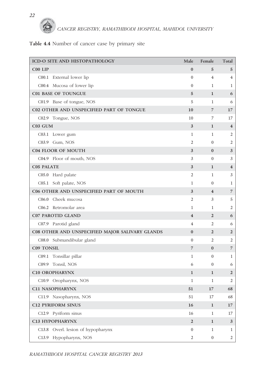

#### **Table 4.4** Number of cancer case by primary site

| ICD-O SITE AND HISTOPATHOLOGY                   | Male                    | Female                  | Total                   |
|-------------------------------------------------|-------------------------|-------------------------|-------------------------|
| C00 LIP                                         | $\bf{0}$                | 5                       | 5                       |
| C00.1 External lower lip                        | $\overline{0}$          | 4                       | 4                       |
| C00.4 Mucosa of lower lip                       | $\overline{0}$          | 1                       | 1                       |
| <b>C01 BASE OF TOUNGUE</b>                      | 5                       | 1                       | 6                       |
| C01.9 Base of tongue, NOS                       | 5                       | 1                       | 6                       |
| C02 OTHER AND UNSPECIFIED PART OF TONGUE        | 10                      | 7                       | 17                      |
| C02.9 Tongue, NOS                               | 10                      | 7                       | 17                      |
| C03 GUM                                         | $\mathbf{3}$            | $\mathbf{1}$            | $\overline{\mathbf{4}}$ |
| C03.1 Lower gum                                 | 1                       | 1                       | 2                       |
| C03.9 Gum, NOS                                  | 2                       | $\mathbf{0}$            | 2                       |
| <b>C04 FLOOR OF MOUTH</b>                       | 3                       | $\bf{0}$                | 3                       |
| C04.9 Floor of mouth, NOS                       | 3                       | $\mathbf{0}$            | 3                       |
| <b>C05 PALATE</b>                               | 3                       | 1                       | 4                       |
| C05.0 Hard palate                               | 2                       | 1                       | 3                       |
| C05.1 Soft palate, NOS                          | 1                       | $\theta$                | 1                       |
| C06 OTHER AND UNSPECIFIED PART OF MOUTH         | 3                       | $\overline{\mathbf{4}}$ | 7                       |
| C06.0 Cheek mucosa                              | 2                       | 3                       | 5                       |
| C06.2 Retromolar area                           | 1                       | $\mathbf{1}$            | 2                       |
| <b>C07 PAROTID GLAND</b>                        | $\overline{\mathbf{4}}$ | $\overline{2}$          | 6                       |
| C07.9 Parotid gland                             | 4                       | 2                       | 6                       |
| C08 OTHER AND UNSPECIFIED MAJOR SALIVARY GLANDS | $\bf{0}$                | $\overline{2}$          | 2                       |
| C08.0 Submandibular gland                       | $\overline{0}$          | 2                       | 2                       |
| <b>C09 TONSIL</b>                               | 7                       | $\boldsymbol{0}$        | $\overline{7}$          |
| Tonsillar pillar<br>C <sub>09.1</sub>           | 1                       | $\theta$                | 1                       |
| C09.9 Tonsil, NOS                               | 6                       | $\theta$                | 6                       |
| <b>C10 OROPHARYNX</b>                           | $\mathbf{1}$            | 1                       | 2                       |
| C10.9 Oropharynx, NOS                           | 1                       | 1                       | 2                       |
| C11 NASOPHARYNX                                 | 51                      | 17                      | 68                      |
| C11.9 Nasopharynx, NOS                          | 51                      | 17                      | 68                      |
| <b>C12 PYRIFORM SINUS</b>                       | 16                      | $\mathbf{1}$            | 17                      |
| C12.9 Pyriform sinus                            | 16                      | 1                       | 17                      |
| C13 HYPOPHARYNX                                 | $\sqrt{2}$              | $\mathbf{1}$            | 3                       |
| C13.8 Overl. lesion of hypopharynx              | $\overline{0}$          | $\mathbf{1}$            | 1                       |
| C13.9 Hypopharynx, NOS                          | $\overline{2}$          | $\boldsymbol{0}$        | $\overline{c}$          |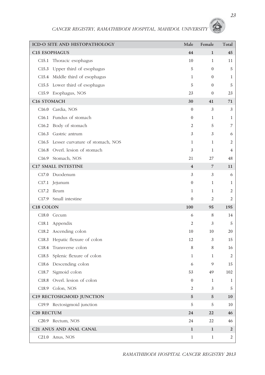| ICD-O SITE AND HISTOPATHOLOGY          | Male                    | Female       | Total          |
|----------------------------------------|-------------------------|--------------|----------------|
| C15 ESOPHAGUS                          | 44                      | $\mathbf{1}$ | 45             |
| Thoracic esophagus<br>C15.1            | 10                      | $\mathbf{1}$ | 11             |
| Upper third of esophagus<br>C15.3      | 5                       | $\mathbf{0}$ | 5              |
| C15.4 Middle third of esophagus        | 1                       | $\mathbf{0}$ | 1              |
| C15.5 Lower third of esophagus         | 5                       | $\mathbf{0}$ | 5              |
| C15.9 Esophagus, NOS                   | 23                      | $\mathbf{0}$ | 23             |
| C16 STOMACH                            | 30                      | 41           | 71             |
| Cardia, NOS<br>C16.0                   | $\mathbf{0}$            | 3            | 3              |
| Fundus of stomach<br>C16.1             | $\boldsymbol{0}$        | $\mathbf{1}$ | 1              |
| C16.2<br>Body of stomach               | 2                       | 5            | 7              |
| C16.3 Gastric antrum                   | 3                       | 3            | 6              |
| C16.5 Lesser curvature of stomach, NOS | 1                       | $\mathbf{1}$ | 2              |
| C16.8 Overl. lesion of stomach         | 3                       | $\mathbf{1}$ | 4              |
| C16.9 Stomach, NOS                     | 21                      | 27           | 48             |
| <b>C17 SMALL INTESTINE</b>             | $\overline{\mathbf{4}}$ | 7            | 11             |
| C17.0 Duodenum                         | 3                       | 3            | 6              |
| C17.1 Jejunum                          | $\boldsymbol{0}$        | $\mathbf{1}$ | 1              |
| C17.2 Ileum                            | $\mathbf{1}$            | $\mathbf{1}$ | 2              |
| C17.9 Small intestine                  | $\overline{0}$          | 2            | 2              |
| C18 COLON                              | 100                     | 95           | 195            |
| C18.0 Cecum                            | 6                       | 8            | 14             |
| C18.1 Appendix                         | 2                       | 3            | 5              |
| Ascending colon<br>C18.2               | 10                      | 10           | 20             |
| C18.3<br>Hepatic flexure of colon      | 12                      | 3            | 15             |
| C18.4 Transverse colon                 | 8                       | 8            | 16             |
| Splenic flexure of colon<br>C18.5      | 1                       | 1            | 2              |
| C18.6 Descending colon                 | 6                       | 9            | 15             |
| Sigmoid colon<br>C18.7                 | 53                      | 49           | 102            |
| C18.8 Overl. lesion of colon           | $\overline{0}$          | $\mathbf{1}$ | $\mathbf{1}$   |
| C18.9 Colon, NOS                       | 2                       | 3            | 5              |
| C19 RECTOSIGMOID JUNCTION              | 5                       | 5            | 10             |
| C19.9 Rectosigmoid junction            | 5                       | 5            | 10             |
| C <sub>20</sub> RECTUM                 | 24                      | 22           | 46             |
| C <sub>20.9</sub> Rectum, NOS          | 24                      | 22           | 46             |
| C21 ANUS AND ANAL CANAL                | $\mathbf{1}$            | $\mathbf{1}$ | $\overline{2}$ |
| C <sub>21.0</sub> Anus, NOS            | $\mathbf{1}$            | $\mathbf{1}$ | 2              |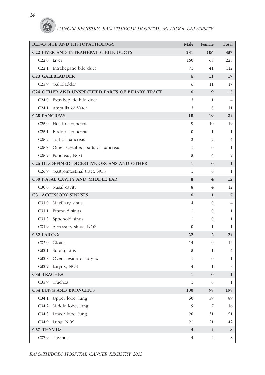| ICD-O SITE AND HISTOPATHOLOGY                          | Male                    | Female                  | Total          |
|--------------------------------------------------------|-------------------------|-------------------------|----------------|
| C22 LIVER AND INTRAHEPATIC BILE DUCTS                  | 231                     | 106                     | 337            |
| C <sub>22.0</sub> Liver                                | 160                     | 65                      | 225            |
| C22.1 Intrahepatic bile duct                           | 71                      | 41                      | 112            |
| C23 GALLBLADDER                                        | 6                       | 11                      | 17             |
| C23.9 Gallbladder                                      | 6                       | 11                      | 17             |
| C24 OTHER AND UNSPECIFIED PARTS OF BILIARY TRACT       | 6                       | 9                       | 15             |
| C24.0 Extrahepatic bile duct                           | 3                       | 1                       | 4              |
| C <sub>24.1</sub> Ampulla of Vater                     | 3                       | 8                       | 11             |
| <b>C25 PANCREAS</b>                                    | 15                      | 19                      | 34             |
| C <sub>25.0</sub> Head of pancreas                     | 9                       | 10                      | 19             |
| C <sub>25.1</sub> Body of pancreas                     | $\overline{0}$          | $\mathbf{1}$            | 1              |
| C25.2<br>Tail of pancreas                              | 2                       | 2                       | $\overline{4}$ |
| Other specified parts of pancreas<br>C <sub>25.7</sub> | 1                       | $\mathbf{0}$            | 1              |
| C <sub>25.9</sub> Pancreas, NOS                        | 3                       | 6                       | 9              |
| C26 ILL-DEFINED DIGESTIVE ORGANS AND OTHER             | 1                       | $\bf{0}$                | $\mathbf{1}$   |
| C <sub>26.9</sub> Gastrointestinal tract, NOS          | 1                       | $\mathbf{0}$            | 1              |
| C30 NASAL CAVITY AND MIDDLE EAR                        | 8                       | $\overline{4}$          | 12             |
| C30.0 Nasal cavity                                     | 8                       | 4                       | 12             |
| C31 ACCESSORY SINUSES                                  | 6                       | 1                       | 7              |
| C31.0 Maxillary sinus                                  | 4                       | $\overline{0}$          | 4              |
| C31.1 Ethmoid sinus                                    | 1                       | $\overline{0}$          | 1              |
| C31.3 Sphenoid sinus                                   | 1                       | $\mathbf{0}$            | 1              |
| C31.9 Accessory sinus, NOS                             | $\mathbf{0}$            | 1                       | $\mathbf{1}$   |
| C32 LARYNX                                             | 22                      | $\overline{2}$          | 24             |
| $C32.0$ Glottis                                        | 14                      | $\overline{0}$          | 14             |
| C32.1 Supraglottis                                     | 3                       | $\mathbf{1}$            | $\overline{4}$ |
| C32.8 Overl. lesion of larynx                          | 1                       | $\overline{0}$          | 1              |
| C32.9 Larynx, NOS                                      | 4                       | 1                       | 5              |
| C33 TRACHEA                                            | $\mathbf{1}$            | $\bf{0}$                | $\mathbf{1}$   |
| C33.9 Trachea                                          | $\mathbf{1}$            | $\mathbf{0}$            | $\mathbf{1}$   |
| <b>C34 LUNG AND BRONCHUS</b>                           | 100                     | 98                      | 198            |
| C34.1 Upper lobe, lung                                 | 50                      | 39                      | 89             |
| C34.2 Middle lobe, lung                                | 9                       | $\overline{7}$          | 16             |
| C34.3 Lower lobe, lung                                 | 20                      | 31                      | 51             |
| C34.9 Lung, NOS                                        | 21                      | 21                      | 42             |
| C37 THYMUS                                             | $\overline{\mathbf{4}}$ | $\overline{\mathbf{4}}$ | 8              |
| C37.9 Thymus                                           | $\overline{4}$          | $\overline{4}$          | 8              |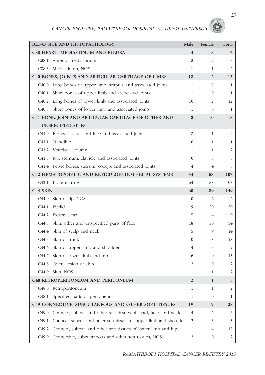|                      | <b>ICD-O SITE AND HISTOPATHOLOGY</b>                               | Male                    | Female           | Total |
|----------------------|--------------------------------------------------------------------|-------------------------|------------------|-------|
|                      | C38 HEART, MEDIASTINUM AND PLEURA                                  | $\overline{\mathbf{4}}$ | 3                | 7     |
|                      | C38.1 Anterior mediastinum                                         | 3                       | $\overline{2}$   | 5     |
|                      | C38.3 Mediastinum, NOS                                             | 1                       | 1                | 2     |
|                      | C40 BONES, JOINTS AND ARTICULAR CARTILAGE OF LIMBS                 | 13                      | $\overline{2}$   | 15    |
| C40.0                | Long bones of upper limb, scapula and associated joints            | $\mathbf{1}$            | $\mathbf{0}$     | 1     |
| C40.1                | Short bones of upper limb and associated joints                    | $\mathbf{1}$            | $\theta$         | 1     |
| C <sub>40.2</sub>    | Long bones of lower limb and associated joints                     | 10                      | 2                | 12    |
| C40.3                | Short bones of lower limb and associated joints                    | $\mathbf{1}$            | $\mathbf{0}$     | 1     |
|                      | C41 BONE, JOIN AND ARTICULAR CARTILAGE OF OTHER AND                | 8                       | 10               | 18    |
|                      | <b>UNSPECIFIED SITES</b>                                           |                         |                  |       |
| C41.0                | Bones of skull and face and associated joints                      | 3                       | 1                | 4     |
| C41.1                | Mandible                                                           | $\Omega$                | 1                | 1     |
|                      | C41.2 Vertebral column                                             | 1                       | $\mathbf{1}$     | 2     |
|                      | C41.3 Rib, sternum, clavicle and associated joints                 | $\Omega$                | 3                | 3     |
|                      | C41.4 Pelvic bones, sacrum, coccyx and associated joints           | 4                       | 4                | 8     |
|                      | C42 HEMATOPOIETIC AND RETICULOENDOTHELIAL SYSTEMS                  | 54                      | 53               | 107   |
|                      | C42.1 Bone marrow                                                  | 54                      | 53               | 107   |
| C <sub>44</sub> SKIN |                                                                    | 60                      | 89               | 149   |
| C44.0                | Skin of lip, NOS                                                   | $\overline{0}$          | 2                | 2     |
| C44.1                | Eyelid                                                             | 9                       | 20               | 29    |
| C44.2                | External ear                                                       | 5                       | $\overline{4}$   | 9     |
| C <sub>44.3</sub>    | Skin, other and unspecified parts of face                          | 18                      | 36               | 54    |
| C44.4                | Skin of scalp and neck                                             | 5                       | 9                | 14    |
| C44.5                | Skin of trunk                                                      | 10                      | 3                | 13    |
|                      | C44.6 Skin of upper limb and shoulder                              | 4                       | 5                | 9     |
| C44.7                | Skin of lower limb and hip                                         | 6                       | 9                | 15    |
|                      | C44.8 Overl. lesion of skin                                        | 2                       | $\mathbf{0}$     | 2     |
|                      | C44.9 Skin, NOS                                                    | 1                       | 1                | 2     |
|                      | C48 RETROPERITONEUM AND PERITONEUM                                 | $\overline{2}$          | $\mathbf{1}$     | 3     |
| C <sub>48.0</sub>    | Retroperitoneum                                                    | 1                       | 1                | 2     |
| C48.1                | Specified parts of peritoneum                                      | 1                       | $\mathbf{0}$     | 1     |
|                      | C49 CONNECTIVE, SUBCUTANEOUS AND OTHER SOFT TISSUES                | 19                      | 9                | 28    |
| C <sub>49.0</sub>    | Connec., subcut. and other soft tissues of head, face, and neck    | 4                       | 2                | 6     |
| C49.1                | Connec., subcut. and other soft tissues of upper limb and shoulder | 2                       | 3                | 5     |
| C49.2                | Connec., subcut. and other soft tissues of lower limb and hip      | 11                      | 4                | 15    |
| C <sub>49.9</sub>    | Connective, subcutaneous and other soft tissues, NOS               | 2                       | $\boldsymbol{0}$ | 2     |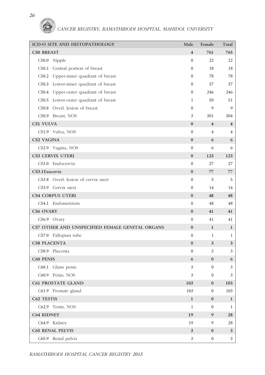

| ICD-O SITE AND HISTOPATHOLOGY                   | Male                    | Female           | Total                   |
|-------------------------------------------------|-------------------------|------------------|-------------------------|
| <b>C50 BREAST</b>                               | $\overline{\mathbf{4}}$ | 761              | 765                     |
| C50.0 Nipple                                    | $\mathbf{0}$            | 22               | 22                      |
| C50.1 Central portion of breast                 | $\mathbf{0}$            | 18               | 18                      |
| C50.2 Upper-inner quadrant of breast            | $\mathbf{0}$            | 78               | 78                      |
| C50.3 Lower-inner quadrant of breast            | $\mathbf{0}$            | 37               | 37                      |
| C50.4 Upper-outer quadrant of breast            | $\mathbf{0}$            | 246              | 246                     |
| C50.5 Lower-outer quadrant of breast            | 1                       | 50               | 51                      |
| C50.8 Overl. lesion of breast                   | $\mathbf{0}$            | 9                | 9                       |
| C50.9 Breast, NOS                               | 3                       | 301              | 304                     |
| C51 VULVA                                       | $\bf{0}$                | $\overline{4}$   | $\overline{\mathbf{4}}$ |
| C51.9 Vulva, NOS                                | $\mathbf{0}$            | 4                | 4                       |
| C52 VAGINA                                      | $\bf{0}$                | 6                | 6                       |
| C52.9 Vagina, NOS                               | $\mathbf{0}$            | 6                | 6                       |
| <b>C53 CERVIX UTERI</b>                         | $\bf{0}$                | 123              | 123                     |
| C53.0 Endocervix                                | $\mathbf{0}$            | 27               | 27                      |
| C53.1 Exocervix                                 | $\bf{0}$                | 77               | 77                      |
| C53.8 Overl. lesion of cervix uteri             | $\mathbf{0}$            | 5                | 5                       |
| C53.9 Cervix uteri                              | $\mathbf{0}$            | 14               | 14                      |
| <b>C54 CORPUS UTERI</b>                         | $\bf{0}$                | 48               | 48                      |
| C54.1 Endometrium                               | $\mathbf{0}$            | 48               | 48                      |
| C56 OVARY                                       | $\bf{0}$                | 41               | 41                      |
| C56.9 Ovary                                     | $\mathbf{0}$            | 41               | 41                      |
| C57 OTHER AND UNSPECIFIED FEMALE GENITAL ORGANS | $\bf{0}$                | $\mathbf{1}$     | $\mathbf{1}$            |
| C57.0 Fallopian tube                            | $\mathbf{0}$            | 1                | 1                       |
| <b>C58 PLACENTA</b>                             | $\bf{0}$                | 3                | 3                       |
| C58.9 Placenta                                  | $\mathbf{0}$            | 3                | 3                       |
| <b>C60 PENIS</b>                                | 6                       | $\bf{0}$         | 6                       |
| C60.1 Glans penis                               | 3                       | $\boldsymbol{0}$ | 3                       |
| C60.9 Penis, NOS                                | 3                       | $\boldsymbol{0}$ | 3                       |
| <b>C61 PROSTATE GLAND</b>                       | 103                     | $\bf{0}$         | 103                     |
| C61.9 Prostate gland                            | 103                     | $\mathbf{0}$     | 103                     |
| C62 TESTIS                                      | $\mathbf{1}$            | $\bf{0}$         | $\mathbf{1}$            |
| C62.9 Testis, NOS                               | 1                       | $\mathbf{0}$     | 1                       |
| <b>C64 KIDNEY</b>                               | 19                      | 9                | 28                      |
| C64.9 Kidney                                    | 19                      | 9                | 28                      |
| <b>C65 RENAL PELVIS</b>                         | $\mathbf{3}$            | $\bf{0}$         | 3                       |
| C65.9 Renal pelvis                              | 3                       | $\boldsymbol{0}$ | 3                       |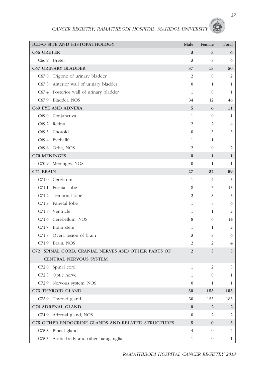| ICD-O SITE AND HISTOPATHOLOGY                      | Male             | Female           | Total                   |
|----------------------------------------------------|------------------|------------------|-------------------------|
| <b>C66 URETER</b>                                  | 3                | 3                | 6                       |
| C66.9 Ureter                                       | 3                | 3                | 6                       |
| <b>C67 URINARY BLADDER</b>                         | 37               | 13               | 50                      |
| Trigone of urinary bladder<br>C67.0                | 2                | $\mathbf{0}$     | $\overline{2}$          |
| C67.3 Anterior wall of urinary bladder             | $\mathbf{0}$     | $\mathbf{1}$     | 1                       |
| C67.4 Posterior wall of urinary bladder            | 1                | $\mathbf{0}$     | 1                       |
| C67.9 Bladder, NOS                                 | 34               | 12               | 46                      |
| <b>C69 EYE AND ADNEXA</b>                          | 5                | 6                | 11                      |
| C69.0 Conjunctiva                                  | 1                | $\mathbf{0}$     | 1                       |
| Retina<br>C69.2                                    | 2                | $\overline{2}$   | $\overline{4}$          |
| C69.3 Choroid                                      | $\mathbf{0}$     | 3                | 3                       |
| C69.4 Eyeball0                                     | 1                | $\mathbf{1}$     |                         |
| C69.6 Orbit, NOS                                   | $\overline{2}$   | $\mathbf{0}$     | 2                       |
| <b>C70 MENINGES</b>                                | $\bf{0}$         | 1                | 1                       |
| C70.9 Meninges, NOS                                | $\mathbf{0}$     | 1                | 1                       |
| C71 BRAIN                                          | 27               | 32               | 59                      |
| C71.0 Cerebrum                                     | 1                | 4                | 5                       |
| C71.1 Frontal lobe                                 | 8                | 7                | 15                      |
| Temporal lobe<br>C71.2                             | 2                | 3                | 5                       |
| Parietal lobe<br>C71.3                             | 1                | 5                | 6                       |
| C71.5 Ventricle                                    | 1                | 1                | 2                       |
| C71.6 Cerebellum, NOS                              | 8                | 6                | 14                      |
| C71.7<br>Brain stem                                | 1                | 1                | $\overline{2}$          |
| C71.8 Overl. lesion of brain                       | 3                | 3                | 6                       |
| C71.9 Brain, NOS                                   | 2                | 2                | $\overline{4}$          |
| C72 SPINAL CORD, CRANIAL NERVES AND OTHER PARTS OF | $\overline{2}$   | 3                | 5                       |
| <b>CENTRAL NERVOUS SYSTEM</b>                      |                  |                  |                         |
| C72.0 Spinal cord                                  | 1                | 2                | 3                       |
| C72.3 Optic nerve                                  | 1                | $\boldsymbol{0}$ | 1                       |
| C72.9 Nervous system, NOS                          | $\mathbf{0}$     | $\mathbf{1}$     | $\mathbf{1}$            |
| C73 THYROID GLAND                                  | 30               | 153              | 183                     |
| C73.9 Thyroid gland                                | 30               | 153              | 183                     |
| C74 ADRENAL GLAND                                  | $\pmb{0}$        | $\overline{2}$   | $\overline{\mathbf{c}}$ |
| C74.9 Adrenal gland, NOS                           | $\boldsymbol{0}$ | 2                | 2                       |
| C75 OTHER ENDOCRINE GLANDS AND RELATED STRUCTURES  | $\sqrt{5}$       | $\pmb{0}$        | $\sqrt{5}$              |
| C75.3 Pineal gland                                 | 4                | $\boldsymbol{0}$ | 4                       |
| C75.5<br>Aortic body and other paraganglia         | 1                | $\boldsymbol{0}$ | 1                       |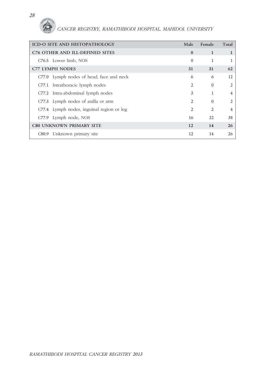| <b>ICD-O SITE AND HISTOPATHOLOGY</b>      | Male           | Female         | Total          |
|-------------------------------------------|----------------|----------------|----------------|
| C76 OTHER AND ILL-DEFINED SITES           | $\Omega$       | 1              |                |
| C76.5 Lower limb, NOS                     | $\Omega$       | 1              |                |
| <b>C77 LYMPH NODES</b>                    | 31             | 31             | 62             |
| C77.0 Lymph nodes of head, face and neck  | 6              | 6              | 12             |
| C77.1 Intrathoracic lymph nodes           | 2              | $\Omega$       | $\overline{2}$ |
| C77.2 Intra-abdominal lymph nodes         | 3              |                | 4              |
| C77.3 Lymph nodes of axilla or arm        | $\mathfrak{D}$ | $\Omega$       | $\mathfrak{D}$ |
| C77.4 Lymph nodes, inguinal region or leg | $\mathfrak{D}$ | $\mathfrak{D}$ | 4              |
| C77.9 Lymph node, NOS                     | 16             | 22.            | 38             |
| <b>C80 UNKNOWN PRIMARY SITE</b>           | 12             | 14             | 26             |
| C80.9 Unknown primary site                | 12             | 14             | 26             |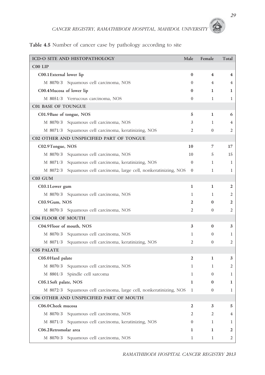**Table 4.5** Number of cancer case by pathology according to site

|                            | ICD-O SITE AND HISTOPATHOLOGY                                      | Male                    | Female                  | Total        |
|----------------------------|--------------------------------------------------------------------|-------------------------|-------------------------|--------------|
| C00 LIP                    |                                                                    |                         |                         |              |
| C00.1 External lower lip   |                                                                    | $\bf{0}$                | $\overline{\mathbf{4}}$ | 4            |
|                            | M 8070/3 Squamous cell carcinoma, NOS                              | $\Omega$                | 4                       | 4            |
| C00.4Mucosa of lower lip   |                                                                    | 0                       | 1                       | 1            |
|                            | M 8051/3 Verrucous carcinoma, NOS                                  | $\overline{0}$          | $\mathbf{1}$            | 1            |
| <b>C01 BASE OF TOUNGUE</b> |                                                                    |                         |                         |              |
| C01.9Base of tongue, NOS   |                                                                    | 5                       | 1                       | 6            |
|                            | M 8070/3 Squamous cell carcinoma, NOS                              | 3                       | $\mathbf{1}$            | 4            |
|                            | M 8071/3 Squamous cell carcinoma, keratinizing, NOS                | 2                       | $\mathbf{0}$            | 2            |
|                            | C02 OTHER AND UNSPECIFIED PART OF TONGUE                           |                         |                         |              |
| C02.9Tongue, NOS           |                                                                    | 10                      | 7                       | 17           |
|                            | M 8070/3 Squamous cell carcinoma, NOS                              | 10                      | 5                       | 15           |
|                            | M 8071/3 Squamous cell carcinoma, keratinizing, NOS                | $\Omega$                | $\mathbf{1}$            | 1            |
|                            | M 8072/3 Squamous cell carcinoma, large cell, nonkeratinizing, NOS | $\mathbf{0}$            | 1                       | 1            |
| C03 GUM                    |                                                                    |                         |                         |              |
| C03.1 Lower gum            |                                                                    | $\mathbf 1$             | 1                       | 2            |
|                            | M 8070/3 Squamous cell carcinoma, NOS                              | 1                       | 1                       | 2            |
| C03.9Gum, NOS              |                                                                    | 2                       | $\bf{0}$                | 2            |
|                            | M 8070/3 Squamous cell carcinoma, NOS                              | 2                       | $\mathbf{0}$            | 2            |
| <b>C04 FLOOR OF MOUTH</b>  |                                                                    |                         |                         |              |
| C04.9Floor of mouth, NOS   |                                                                    | 3                       | $\bf{0}$                | 3            |
| M 8070/3                   | Squamous cell carcinoma, NOS                                       | $\mathbf{1}$            | $\mathbf{0}$            | 1            |
|                            | M 8071/3 Squamous cell carcinoma, keratinizing, NOS                | 2                       | $\mathbf{0}$            | 2            |
| <b>C05 PALATE</b>          |                                                                    |                         |                         |              |
| C05.0 Hard palate          |                                                                    | $\overline{\mathbf{2}}$ | 1                       | 3            |
|                            | M 8070/3 Squamous cell carcinoma, NOS                              | 1                       | 1                       | 2            |
|                            | M 8801/3 Spindle cell sarcoma                                      | 1                       | $\Omega$                | 1            |
| C05.1 Soft palate, NOS     |                                                                    | 1                       | $\bf{0}$                | 1            |
|                            | M 8072/3 Squamous cell carcinoma, large cell, nonkeratinizing, NOS | 1                       | $\boldsymbol{0}$        | $\mathbf{1}$ |
|                            | C06 OTHER AND UNSPECIFIED PART OF MOUTH                            |                         |                         |              |
| C06.0 Cheek mucosa         |                                                                    | $\overline{2}$          | 3                       | 5            |
| M 8070/3                   | Squamous cell carcinoma, NOS                                       | 2                       | 2                       | 4            |
|                            | M 8071/3 Squamous cell carcinoma, keratinizing, NOS                | 0                       | 1                       | 1            |
| C06.2 Retromolar area      |                                                                    | 1                       | 1                       | 2            |
|                            | M 8070/3 Squamous cell carcinoma, NOS                              | $\mathbf{1}$            | $\mathbf{1}$            | 2            |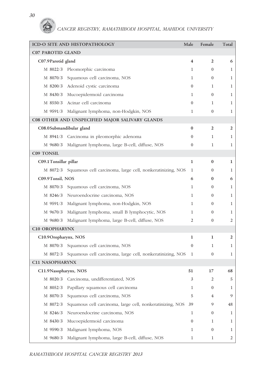|                          | ICD-O SITE AND HISTOPATHOLOGY                                      | Male             | Female           | Total          |
|--------------------------|--------------------------------------------------------------------|------------------|------------------|----------------|
| <b>C07 PAROTID GLAND</b> |                                                                    |                  |                  |                |
| C07.9Parotid gland       |                                                                    | 4                | $\overline{2}$   | 6              |
|                          | M 8022/3 Pleomorphic carcinoma                                     | 1                | $\overline{0}$   | 1              |
| M 8070/3                 | Squamous cell carcinoma, NOS                                       | $\mathbf{1}$     | $\mathbf{0}$     | $\mathbf{1}$   |
| M 8200/3                 | Adenoid cystic carcinoma                                           | $\overline{0}$   | 1                | $\mathbf{1}$   |
|                          | M 8430/3 Mucoepidermoid carcinoma                                  | 1                | $\Omega$         | 1              |
| M 8550/3                 | Acinar cell carcinoma                                              | $\overline{0}$   | 1                | $\mathbf{1}$   |
| M 9591/3                 | Malignant lymphoma, non-Hodgkin, NOS                               | 1                | $\Omega$         | $\mathbf{1}$   |
|                          | C08 OTHER AND UNSPECIFIED MAJOR SALIVARY GLANDS                    |                  |                  |                |
| C08.0Submandibular gland |                                                                    | $\bf{0}$         | $\overline{2}$   | $\overline{2}$ |
|                          | M 8941/3 Carcinoma in pleomorphic adenoma                          | $\overline{0}$   | 1                | $\mathbf{1}$   |
| M 9680/3                 | Malignant lymphoma, large B-cell, diffuse, NOS                     | $\overline{0}$   | 1                | $\mathbf{1}$   |
| <b>C09 TONSIL</b>        |                                                                    |                  |                  |                |
| C09.1 Tonsillar pillar   |                                                                    | 1                | $\bf{0}$         | 1              |
|                          | M 8072/3 Squamous cell carcinoma, large cell, nonkeratinizing, NOS | 1                | $\overline{0}$   | $\mathbf 1$    |
| C09.9Tonsil, NOS         |                                                                    | 6                | $\bf{0}$         | 6              |
|                          | M 8070/3 Squamous cell carcinoma, NOS                              | 1                | $\overline{0}$   | 1              |
|                          | M 8246/3 Neuroendocrine carcinoma, NOS                             | 1                | $\overline{0}$   | $\mathbf{1}$   |
|                          | M 9591/3 Malignant lymphoma, non-Hodgkin, NOS                      | $\mathbf{1}$     | $\overline{0}$   | $\mathbf{1}$   |
| M 9670/3                 | Malignant lymphoma, small B lymphocytic, NOS                       | 1                | $\overline{0}$   | 1              |
| M 9680/3                 | Malignant lymphoma, large B-cell, diffuse, NOS                     | 2                | $\mathbf{0}$     | 2              |
| <b>C10 OROPHARYNX</b>    |                                                                    |                  |                  |                |
| C10.9Oropharynx, NOS     |                                                                    | 1                | 1                | $\overline{2}$ |
|                          | M 8070/3 Squamous cell carcinoma, NOS                              | $\overline{0}$   | 1                | 1              |
| M 8072/3                 | Squamous cell carcinoma, large cell, nonkeratinizing, NOS          | 1                | $\boldsymbol{0}$ | $\mathbf{1}$   |
| <b>C11 NASOPHARYNX</b>   |                                                                    |                  |                  |                |
| C11.9 Nasopharynx, NOS   |                                                                    | 51               | 17               |                |
| M 8020/3                 | Carcinoma, undifferentiated, NOS                                   | 3                | 2                | 5              |
| M 8052/3                 | Papillary squamous cell carcinoma                                  | 1                | $\overline{0}$   | 1              |
| M 8070/3                 | Squamous cell carcinoma, NOS                                       | 5                | 4                | 9              |
| M 8072/3                 | Squamous cell carcinoma, large cell, nonkeratinizing, NOS          | 39               | 9                | 48             |
| M 8246/3                 | Neuroendocrine carcinoma, NOS                                      | 1                | $\overline{0}$   | $\mathbf{1}$   |
| M 8430/3                 | Mucoepidermoid carcinoma                                           | $\boldsymbol{0}$ | 1                | $\mathbf{1}$   |
| M 9590/3                 | Malignant lymphoma, NOS                                            | 1                | $\overline{0}$   | 1              |
| M 9680/3                 | Malignant lymphoma, large B-cell, diffuse, NOS                     | $\mathbf{1}$     | 1                | 2              |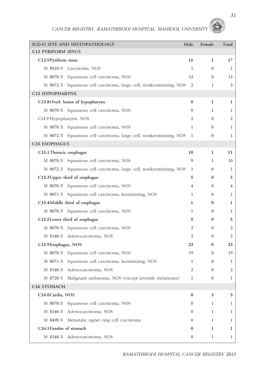|                           | ICD-O SITE AND HISTOPATHOLOGY                                      | Male             | Female           | Total        |
|---------------------------|--------------------------------------------------------------------|------------------|------------------|--------------|
| <b>C12 PYRIFORM SINUS</b> |                                                                    |                  |                  |              |
| C12.9Pyriform sinus       |                                                                    | 16               | 1                | 17           |
|                           | M 8010/3 Carcinoma, NOS                                            | 1                | $\theta$         | 1            |
| M 8070/3                  | Squamous cell carcinoma, NOS                                       | 13               | $\boldsymbol{0}$ | 13           |
|                           | M 8072/3 Squamous cell carcinoma, large cell, nonkeratinizing, NOS | 2                | 1                | 3            |
| C13 HYPOPHARYNX           |                                                                    |                  |                  |              |
|                           | C13.8 Overl. lesion of hypopharynx                                 | $\bf{0}$         | 1                | 1            |
|                           | M 8070/3 Squamous cell carcinoma, NOS                              | $\overline{0}$   | 1                | 1            |
| C13.9 Hypopharynx, NOS    |                                                                    | 2                | $\mathbf{0}$     | 2            |
|                           | M 8070/3 Squamous cell carcinoma, NOS                              | 1                | $\mathbf{0}$     | $\mathbf{1}$ |
|                           | M 8072/3 Squamous cell carcinoma, large cell, nonkeratinizing, NOS | 1                | $\mathbf{0}$     | 1            |
| <b>C15 ESOPHAGUS</b>      |                                                                    |                  |                  |              |
| C15.1 Thoracic esophagus  |                                                                    | 10               | 1                | 11           |
|                           | M 8070/3 Squamous cell carcinoma, NOS                              | 9                | 1                | 10           |
|                           | M 8072/3 Squamous cell carcinoma, large cell, nonkeratinizing, NOS | 1                | $\theta$         | 1            |
|                           | C15.3 Upper third of esophagus                                     | 5                | $\bf{0}$         | 5            |
|                           | M 8070/3 Squamous cell carcinoma, NOS                              | 4                | $\Omega$         | 4            |
|                           | M 8071/3 Squamous cell carcinoma, keratinizing, NOS                | 1                | $\theta$         | 1            |
|                           | C15.4Middle third of esophagus                                     | 1                | $\bf{0}$         | 1            |
|                           | M 8070/3 Squamous cell carcinoma, NOS                              | 1                | $\theta$         | 1            |
|                           | C15.5 Lower third of esophagus                                     | 5                | $\bf{0}$         | 5            |
|                           | M 8070/3 Squamous cell carcinoma, NOS                              | 3                | $\theta$         | 3            |
|                           | M 8140/3 Adenocarcinoma, NOS                                       | 2                | $\theta$         | 2            |
| C15.9Esophagus, NOS       |                                                                    | 23               | $\bf{0}$         | 23           |
|                           | M 8070/3 Squamous cell carcinoma, NOS                              | 19               | $\theta$         | 19           |
|                           | M 8071/3 Squamous cell carcinoma, keratinizing, NOS                | 1                | $\theta$         | 1            |
| M 8140/3                  | Adenocarcinoma, NOS                                                |                  | $\mathbf{0}$     | 2            |
| M 8720/3                  | Malignant melanoma, NOS (except juvenile melanoma)                 | 1                | $\boldsymbol{0}$ | 1            |
| C16 STOMACH               |                                                                    |                  |                  |              |
| C16.0 Cardia, NOS         |                                                                    | $\bf{0}$         | 3                | 3            |
| M 8070/3                  | Squamous cell carcinoma, NOS                                       | $\boldsymbol{0}$ | 1                | 1            |
| M 8140/3                  | Adenocarcinoma, NOS                                                | $\overline{0}$   | 1                | 1            |
| M 8490/3                  | Metastatic signet ring cell carcinoma                              | $\theta$         | 1                | 1            |
| C16.1 Fundus of stomach   |                                                                    | 0                | 1                | 1            |
|                           | M 8140/3 Adenocarcinoma, NOS                                       | $\bf{0}$         | 1                | $\mathbf{1}$ |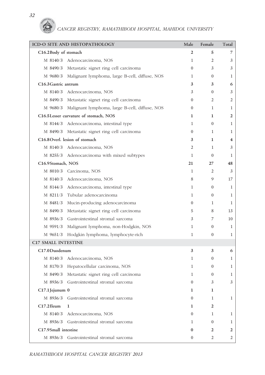*32*

|                            | ICD-O SITE AND HISTOPATHOLOGY                           | Male             | Female           | Total          |
|----------------------------|---------------------------------------------------------|------------------|------------------|----------------|
| C16.2Body of stomach       |                                                         | 2                | 5                | 7              |
|                            | M 8140/3 Adenocarcinoma, NOS                            | 1                | 2                | 3              |
|                            | M 8490/3 Metastatic signet ring cell carcinoma          | $\Omega$         | 3                | 3              |
|                            | M 9680/3 Malignant lymphoma, large B-cell, diffuse, NOS | $\mathbf{1}$     | $\overline{0}$   | 1              |
| C16.3 Gastric antrum       |                                                         | 3                | 3                | 6              |
|                            | M 8140/3 Adenocarcinoma, NOS                            | 3                | $\overline{0}$   | 3              |
|                            | M 8490/3 Metastatic signet ring cell carcinoma          | $\Omega$         | 2                | 2              |
|                            | M 9680/3 Malignant lymphoma, large B-cell, diffuse, NOS | $\overline{0}$   | 1                | 1              |
|                            | C16.5Lesser curvature of stomach, NOS                   | 1                | 1                | 2              |
|                            | M 8144/3 Adenocarcinoma, intestinal type                | 1                | $\Omega$         | 1              |
|                            | M 8490/3 Metastatic signet ring cell carcinoma          | $\overline{0}$   | $\mathbf{1}$     | 1              |
|                            | C16.8 Overl. lesion of stomach                          | 3                | 1                | 4              |
|                            | M 8140/3 Adenocarcinoma. NOS                            | 2                | 1                | 3              |
|                            | M 8255/3 Adenocarcinoma with mixed subtypes             | $\mathbf{1}$     | $\mathbf{0}$     | 1              |
| C16.9Stomach, NOS          |                                                         | 21               | 27               | 48             |
|                            | M 8010/3 Carcinoma, NOS                                 | $\mathbf{1}$     | $\overline{2}$   | 3              |
|                            | M 8140/3 Adenocarcinoma. NOS                            | 8                | 9                | 17             |
|                            | M 8144/3 Adenocarcinoma, intestinal type                | $\mathbf{1}$     | $\Omega$         | 1              |
|                            | M 8211/3 Tubular adenocarcinoma                         | $\mathbf{1}$     | $\mathbf{0}$     | 1              |
|                            | M 8481/3 Mucin-producing adenocarcinoma                 | $\overline{0}$   | 1                | 1              |
|                            | M 8490/3 Metastatic signet ring cell carcinoma          | 5                | 8                | 13             |
|                            | M 8936/3 Gastrointestinal stromal sarcoma               | 3                | 7                | 10             |
|                            | M 9591/3 Malignant lymphoma, non-Hodgkin, NOS           | 1                | $\mathbf{0}$     | 1              |
| M 9651/3                   | Hodgkin lymphoma, lymphocyte-rich                       | 1                | $\theta$         | $\mathbf{1}$   |
| <b>C17 SMALL INTESTINE</b> |                                                         |                  |                  |                |
| C17.0Duodenum              |                                                         | 3                | 3                | 6              |
|                            | M 8140/3 Adenocarcinoma, NOS                            | $\mathbf{1}$     | $\theta$         | 1              |
|                            | M 8170/3 Hepatocellular carcinoma, NOS                  | 1                | $\theta$         | 1              |
| M 8490/3                   | Metastatic signet ring cell carcinoma                   | $\mathbf{1}$     | $\boldsymbol{0}$ | 1              |
| M 8936/3                   | Gastrointestinal stromal sarcoma                        | $\boldsymbol{0}$ | 3                | 3              |
| C17.1 Jejunum 0            |                                                         | 1                | 1                |                |
| M 8936/3                   | Gastrointestinal stromal sarcoma                        | $\boldsymbol{0}$ | 1                | 1              |
| $C17.2$ Ileum              | 1                                                       | 1                | 2                |                |
| M 8140/3                   | Adenocarcinoma, NOS                                     | $\boldsymbol{0}$ | 1                | $\mathbf{1}$   |
| M 8936/3                   | Gastrointestinal stromal sarcoma                        | 1                | $\theta$         | 1              |
| C17.9Small intestine       |                                                         | 0                | 2                | 2              |
|                            | M 8936/3 Gastrointestinal stromal sarcoma               | $\boldsymbol{0}$ | 2                | $\overline{2}$ |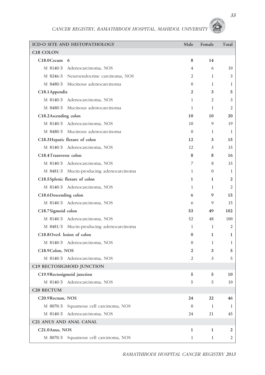|                                                | ICD-O SITE AND HISTOPATHOLOGY           | Male           | Female       | Total |
|------------------------------------------------|-----------------------------------------|----------------|--------------|-------|
| C <sub>18</sub> COLON                          |                                         |                |              |       |
| $C18.0$ Cecum 6                                |                                         | 8              | 14           |       |
|                                                | M 8140/3 Adenocarcinoma, NOS            | 4              | 6            | 10    |
|                                                | M 8246/3 Neuroendocrine carcinoma, NOS  | 2              | $\mathbf{1}$ | 3     |
|                                                | M 8480/3 Mucinous adenocarcinoma        | $\mathbf{0}$   | 1            | 1     |
| C18.1 Appendix                                 |                                         | 2              | 3            | 5     |
|                                                | M 8140/3 Adenocarcinoma, NOS            | $\mathbf{1}$   | 2            | 3     |
|                                                | M 8480/3 Mucinous adenocarcinoma        | 1              | 1            | 2     |
| C18.2Ascending colon                           |                                         | 10             | 10           | 20    |
|                                                | M 8140/3 Adenocarcinoma, NOS            | 10             | 9            | 19    |
|                                                | M 8480/3 Mucinous adenocarcinoma        | $\Omega$       | 1            | 1     |
|                                                | C18.3 Hepatic flexure of colon          | 12             | 3            | 15    |
|                                                | M 8140/3 Adenocarcinoma, NOS            | 12             | 3            | 15    |
| C <sub>18.4</sub> T <sub>ransverse</sub> colon |                                         | 8              | 8            | 16    |
|                                                | M 8140/3 Adenocarcinoma, NOS            | 7              | 8            | 15    |
|                                                | M 8481/3 Mucin-producing adenocarcinoma | $\mathbf{1}$   | $\mathbf{0}$ | 1     |
|                                                | C18.5 Splenic flexure of colon          | 1              | 1            | 2     |
|                                                | M 8140/3 Adenocarcinoma, NOS            | $\mathbf{1}$   | $\mathbf{1}$ | 2     |
| C18.6 Descending colon                         |                                         | 6              | 9            | 15    |
|                                                | M 8140/3 Adenocarcinoma, NOS            | 6              | 9            | 15    |
| C18.7Sigmoid colon                             |                                         | 53             | 49           | 102   |
|                                                | M 8140/3 Adenocarcinoma, NOS            | 52             | 48           | 100   |
|                                                | M 8481/3 Mucin-producing adenocarcinoma | 1              | $\mathbf{1}$ | 2     |
| C18.8 Overl. lesion of colon                   |                                         | $\bf{0}$       | 1            | 1     |
|                                                | M 8140/3 Adenocarcinoma, NOS            | $\mathbf{0}$   | $\mathbf{1}$ | 1     |
| C18.9 Colon, NOS                               |                                         | $\overline{2}$ | 3            | 5     |
|                                                | M 8140/3 Adenocarcinoma, NOS            | 2              | 3            | 5     |
|                                                | C19 RECTOSIGMOID JUNCTION               |                |              |       |
|                                                | C19.9Rectosigmoid junction              | 5              | 5            | 10    |
|                                                | M 8140/3 Adenocarcinoma, NOS            | 5              | 5            | 10    |
| C <sub>20</sub> RECTUM                         |                                         |                |              |       |
| C20.9Rectum, NOS                               |                                         | 24             | 22           | 46    |
|                                                | M 8070/3 Squamous cell carcinoma, NOS   | $\mathbf{0}$   | $\mathbf{1}$ | 1     |
|                                                | M 8140/3 Adenocarcinoma, NOS            | 24             | 21           | 45    |
| <b>C21 ANUS AND ANAL CANAL</b>                 |                                         |                |              |       |
| C21.0Anus, NOS                                 |                                         | 1              | 1            | 2     |
|                                                | M 8070/3 Squamous cell carcinoma, NOS   | 1              | 1            | 2     |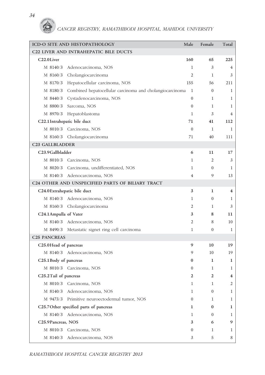|                                                  | ICD-O SITE AND HISTOPATHOLOGY                                     | Male           | Female       | Total        |
|--------------------------------------------------|-------------------------------------------------------------------|----------------|--------------|--------------|
|                                                  | C22 LIVER AND INTRAHEPATIC BILE DUCTS                             |                |              |              |
| C22.0Liver                                       |                                                                   | 160            | 65           | 225          |
|                                                  | M 8140/3 Adenocarcinoma, NOS                                      | $\mathbf{1}$   | 3            | 4            |
|                                                  | M 8160/3 Cholangiocarcinoma                                       | $\overline{2}$ | $\mathbf{1}$ | 3            |
|                                                  | M 8170/3 Hepatocellular carcinoma, NOS                            | 155            | 56           | 211          |
|                                                  | M 8180/3 Combined hepatocellular carcinoma and cholangiocarcinoma | 1              | $\theta$     | $\mathbf 1$  |
| M 8440/3                                         | Cystadenocarcinoma, NOS                                           | $\mathbf{0}$   | 1            | 1            |
| M 8800/3                                         | Sarcoma, NOS                                                      | $\Omega$       | $\mathbf{1}$ | 1            |
|                                                  | M 8970/3 Hepatoblastoma                                           | 1              | 3            | 4            |
| C22.1 Intrahepatic bile duct                     |                                                                   | 71             | 41           | 112          |
| $M$ 8010/3                                       | Carcinoma, NOS                                                    | $\theta$       | 1            | $\mathbf{1}$ |
|                                                  | M 8160/3 Cholangiocarcinoma                                       | 71             | 40           | 111          |
| <b>C23 GALLBLADDER</b>                           |                                                                   |                |              |              |
| C23.9 Gallbladder                                |                                                                   | 6              | 11           | 17           |
| M 8010/3                                         | Carcinoma, NOS                                                    | 1              | 2            | 3            |
|                                                  | M 8020/3 Carcinoma, undifferentiated, NOS                         | $\mathbf{1}$   | $\mathbf{0}$ | $\mathbf{1}$ |
|                                                  | M 8140/3 Adenocarcinoma, NOS                                      | 4              | 9            | 13           |
| C24 OTHER AND UNSPECIFIED PARTS OF BILIARY TRACT |                                                                   |                |              |              |
| C24.0Extrahepatic bile duct                      |                                                                   | 3              | 1            | 4            |
|                                                  | M 8140/3 Adenocarcinoma, NOS                                      | 1              | $\theta$     | 1            |
|                                                  | M 8160/3 Cholangiocarcinoma                                       | 2              | $\mathbf{1}$ | 3            |
| C24.1 Ampulla of Vater                           |                                                                   | 3              | 8            | 11           |
|                                                  | M 8140/3 Adenocarcinoma, NOS                                      | 2              | 8            | 10           |
|                                                  | M 8490/3 Metastatic signet ring cell carcinoma                    | $\mathbf{1}$   | $\theta$     | $\mathbf{1}$ |
| <b>C25 PANCREAS</b>                              |                                                                   |                |              |              |
| C25.0Head of pancreas                            |                                                                   | 9              | 10           | 19           |
|                                                  | M 8140/3 Adenocarcinoma, NOS                                      | 9              | 10           | 19           |
| C25.1 Body of pancreas                           |                                                                   | 0              | 1            | 1            |
|                                                  | M 8010/3 Carcinoma, NOS                                           | $\mathbf{0}$   | 1            | 1            |
| C25.2 Tail of pancreas                           |                                                                   | 2              | 2            | 4            |
|                                                  | M 8010/3 Carcinoma, NOS                                           | 1              | 1            | 2            |
| M 8140/3                                         | Adenocarcinoma, NOS                                               | 1              | $\mathbf{0}$ | $\mathbf{1}$ |
|                                                  | M 9473/3 Primitive neuroectodermal tumor, NOS                     | $\mathbf{0}$   | 1            | 1            |
|                                                  | C25.7 Other specified parts of pancreas                           | 1              | 0            | 1            |
|                                                  | M 8140/3 Adenocarcinoma, NOS                                      | 1              | $\mathbf{0}$ | 1            |
| C <sub>25.9</sub> Pancreas, NOS                  |                                                                   | 3              | 6            | 9            |
| M 8010/3                                         | Carcinoma, NOS                                                    | $\mathbf{0}$   | 1            | 1            |
|                                                  | M 8140/3 Adenocarcinoma, NOS                                      | 3              | 5            | 8            |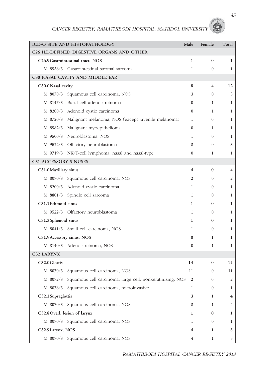|                              | ICD-O SITE AND HISTOPATHOLOGY                             | Male                    | Female           | Total        |
|------------------------------|-----------------------------------------------------------|-------------------------|------------------|--------------|
|                              | C26 ILL-DEFINED DIGESTIVE ORGANS AND OTHER                |                         |                  |              |
|                              | C26.9 Gastrointestinal tract, NOS                         | $\mathbf{1}$            | $\bf{0}$         | 1            |
|                              | M 8936/3 Gastrointestinal stromal sarcoma                 | $\mathbf{1}$            | $\mathbf{0}$     | 1            |
|                              | C30 NASAL CAVITY AND MIDDLE EAR                           |                         |                  |              |
| C30.0Nasal cavity            |                                                           | 8                       | 4                | 12           |
| M 8070/3                     | Squamous cell carcinoma, NOS                              | 3                       | $\theta$         | 3            |
|                              | M 8147/3 Basal cell adenocarcinoma                        | $\overline{0}$          | $\mathbf{1}$     | 1            |
|                              | M 8200/3 Adenoid cystic carcinoma                         | $\Omega$                | 1                | 1            |
| M 8720/3                     | Malignant melanoma, NOS (except juvenile melanoma)        | $\mathbf{1}$            | $\theta$         | 1            |
|                              | M 8982/3 Malignant myoepithelioma                         | $\overline{0}$          | 1                | 1            |
|                              | M 9500/3 Neuroblastoma, NOS                               | $\mathbf{1}$            | $\Omega$         | 1            |
|                              | M 9522/3 Olfactory neuroblastoma                          | 3                       | $\overline{0}$   | 3            |
|                              | M 9719/3 NK/T-cell lymphoma, nasal and nasal-type         | $\theta$                | 1                | 1            |
| <b>C31 ACCESSORY SINUSES</b> |                                                           |                         |                  |              |
| C31.0 Maxillary sinus        |                                                           | $\overline{\mathbf{4}}$ | $\bf{0}$         | 4            |
|                              | M 8070/3 Squamous cell carcinoma, NOS                     | 2                       | $\overline{0}$   | 2            |
|                              | M 8200/3 Adenoid cystic carcinoma                         | $\mathbf{1}$            | $\theta$         | 1            |
|                              | M 8801/3 Spindle cell sarcoma                             | $\mathbf{1}$            | $\Omega$         | 1            |
| C31.1 Ethmoid sinus          |                                                           | $\mathbf{1}$            | $\bf{0}$         | 1            |
|                              | M 9522/3 Olfactory neuroblastoma                          | $\mathbf{1}$            | $\overline{0}$   | 1            |
| C31.3Sphenoid sinus          |                                                           | 1                       | $\bf{0}$         | 1            |
|                              | M 8041/3 Small cell carcinoma, NOS                        | $\mathbf{1}$            | $\Omega$         | $\mathbf{1}$ |
| C31.9Accessory sinus, NOS    |                                                           | $\bf{0}$                | 1                | 1            |
|                              | M 8140/3 Adenocarcinoma, NOS                              | $\theta$                | 1                | 1            |
| C32 LARYNX                   |                                                           |                         |                  |              |
| C32.0 Glottis                |                                                           | 14                      | $\bf{0}$         | 14           |
| M 8070/3                     | Squamous cell carcinoma, NOS                              | 11                      | $\boldsymbol{0}$ | 11           |
| M 8072/3                     | Squamous cell carcinoma, large cell, nonkeratinizing, NOS | $\mathfrak{2}$          | $\boldsymbol{0}$ | 2            |
|                              | M 8076/3 Squamous cell carcinoma, microinvasive           | 1                       | $\boldsymbol{0}$ | 1            |
| C32.1 Supraglottis           |                                                           | 3                       | 1                | 4            |
|                              | M 8070/3 Squamous cell carcinoma, NOS                     | 3                       | 1                | 4            |
|                              | C32.8 Overl. lesion of larynx                             | 1                       | 0                | 1            |
|                              | M 8070/3 Squamous cell carcinoma, NOS                     | 1                       | $\mathbf{0}$     | 1            |
| C32.9Larynx, NOS             |                                                           | 4                       | 1                | 5            |
| M 8070/3                     | Squamous cell carcinoma, NOS                              | 4                       | 1                | 5            |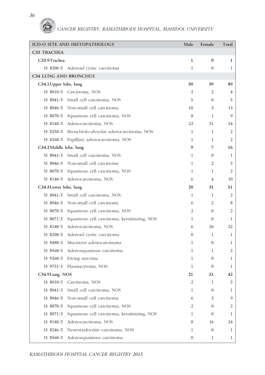#### *36*



|                              | ICD-O SITE AND HISTOPATHOLOGY                    | Male             | Female           | Total          |
|------------------------------|--------------------------------------------------|------------------|------------------|----------------|
| C33 TRACHEA                  |                                                  |                  |                  |                |
| C33.9Trachea                 |                                                  | 1                | $\bf{0}$         | 1              |
|                              | M 8200/3 Adenoid cystic carcinoma                | $\mathbf{1}$     | $\boldsymbol{0}$ | 1              |
| <b>C34 LUNG AND BRONCHUS</b> |                                                  |                  |                  |                |
| C34.1 Upper lobe, lung       |                                                  | 50               | 39               | 89             |
|                              | M 8010/3 Carcinoma, NOS                          | 2                | 2                | 4              |
|                              | M 8041/3 Small cell carcinoma, NOS               | 5                | $\Omega$         | 5              |
|                              | M 8046/3 Non-small cell carcinoma                | 10               | 3                | 13             |
|                              | M 8070/3 Squamous cell carcinoma, NOS            | 8                | $\mathbf{1}$     | 9              |
|                              | M 8140/3 Adenocarcinoma, NOS                     | 23               | 31               | 54             |
|                              | M 8250/3 Bronchiolo-alveolar adenocarcinoma, NOS | $\mathbf{1}$     | 1                | 2              |
|                              | M 8260/3 Papillary adenocarcinoma, NOS           | 1                | 1                | 2              |
| C34.2Middle lobe, lung       |                                                  | 9                | 7                | 16             |
|                              | M 8041/3 Small cell carcinoma, NOS               | 1                | $\mathbf{0}$     | 1              |
|                              | M 8046/3 Non-small cell carcinoma                | $\mathbf{1}$     | 2                | 3              |
|                              | M 8070/3 Squamous cell carcinoma, NOS            | $\mathbf{1}$     | $\mathbf{1}$     | $\overline{2}$ |
|                              | M 8140/3 Adenocarcinoma, NOS                     | 6                | 4                | 10             |
| C34.3Lower lobe, lung        |                                                  | 20               | 31               | 51             |
|                              | M 8041/3 Small cell carcinoma, NOS               | 1                | 1                | 2              |
|                              | M 8046/3 Non-small cell carcinoma                | 6                | 2                | 8              |
|                              | M 8070/3 Squamous cell carcinoma, NOS            | 2                | $\overline{0}$   | 2              |
| M 8071/3                     | Squamous cell carcinoma, keratinizing, NOS       | $\mathbf{1}$     | $\mathbf{0}$     | 1              |
|                              | M 8140/3 Adenocarcinoma, NOS                     | 6                | 26               | 32             |
| M 8200/3                     | Adenoid cystic carcinoma                         | $\overline{0}$   | 1                | 1              |
|                              | M 8480/3 Mucinous adenocarcinoma                 | 1                | $\overline{0}$   | 1              |
|                              | M 8560/3 Adenosquamous carcinoma                 | 1                | 1                | 2              |
| M 9260/3                     | Ewing sarcoma                                    | 1                | $\mathbf{0}$     | 1              |
| M 9731/3                     | Plasmacytoma, NOS                                | 1                | $\mathbf{0}$     | 1              |
| C34.9Lung, NOS               |                                                  | 21               | 21               | 42             |
|                              | M 8010/3 Carcinoma, NOS                          | 2                | $\mathbf{1}$     | 3              |
| M 8041/3                     | Small cell carcinoma, NOS                        | $\mathbf{1}$     | $\overline{0}$   | 1              |
| M 8046/3                     | Non-small cell carcinoma                         | 6                | 3                | 9              |
| M 8070/3                     | Squamous cell carcinoma, NOS                     | 2                | $\overline{0}$   | 2              |
| M 8071/3                     | Squamous cell carcinoma, keratinizing, NOS       | $\mathbf{1}$     | $\boldsymbol{0}$ | 1              |
| M 8140/3                     | Adenocarcinoma, NOS                              | 8                | 16               | 24             |
| M 8246/3                     | Neuroendocrine carcinoma, NOS                    | 1                | $\overline{0}$   | 1              |
| M 8560/3                     | Adenosquamous carcinoma                          | $\boldsymbol{0}$ | 1                | $\mathbf{1}$   |

*RAMATHIBODI HOSPITAL CANCER REGISTRY 2013*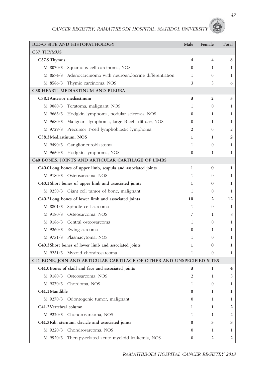|                       | ICD-O SITE AND HISTOPATHOLOGY                                         | Male                    | Female                  | Total          |
|-----------------------|-----------------------------------------------------------------------|-------------------------|-------------------------|----------------|
| C37 THYMUS            |                                                                       |                         |                         |                |
| C37.9Thymus           |                                                                       | $\overline{\mathbf{4}}$ | $\overline{\mathbf{4}}$ | 8              |
| M 8070/3              | Squamous cell carcinoma, NOS                                          | $\Omega$                | 1                       | 1              |
| M 8574/3              | Adenocarcinoma with neuroendocrine differentiation                    | $\mathbf{1}$            | $\Omega$                | 1              |
| M 8586/3              | Thymic carcinoma, NOS                                                 | 3                       | 3                       | 6              |
|                       | C38 HEART, MEDIASTINUM AND PLEURA                                     |                         |                         |                |
|                       | C38.1 Anterior mediastinum                                            | 3                       | $\overline{2}$          | 5              |
|                       | M 9080/3 Teratoma, malignant, NOS                                     | 1                       | $\mathbf{0}$            | 1              |
|                       | M 9663/3 Hodgkin lymphoma, nodular sclerosis, NOS                     | $\Omega$                | 1                       | 1              |
| M 9680/3              | Malignant lymphoma, large B-cell, diffuse, NOS                        | $\theta$                | $\mathbf{1}$            | 1              |
|                       | M 9729/3 Precursor T-cell lymphoblastic lymphoma                      | 2                       | $\mathbf{0}$            | 2              |
| C38.3Mediastinum, NOS |                                                                       | 1                       | 1                       | $\overline{2}$ |
| M 9490/3              | Ganglioneuroblastoma                                                  | 1                       | $\mathbf{0}$            | 1              |
|                       | M 9650/3 Hodgkin lymphoma, NOS                                        | $\theta$                | $\mathbf{1}$            | 1              |
|                       | C40 BONES, JOINTS AND ARTICULAR CARTILAGE OF LIMBS                    |                         |                         |                |
|                       | C40.0Long bones of upper limb, scapula and associated joints          | 1                       | $\bf{0}$                | 1              |
|                       | M 9180/3 Osteosarcoma, NOS                                            | $\mathbf{1}$            | $\mathbf{0}$            | 1              |
|                       | C40.1 Short bones of upper limb and associated joints                 | 1                       | $\bf{0}$                | 1              |
|                       | M 9250/3 Giant cell tumor of bone, malignant                          | $\mathbf{1}$            | $\mathbf{0}$            | 1              |
|                       | C40.2Long bones of lower limb and associated joints                   | 10                      | $\overline{2}$          | 12             |
| M 8801/3              | Spindle cell sarcoma                                                  | $\mathbf{1}$            | $\mathbf{0}$            | 1              |
|                       | M 9180/3 Osteosarcoma, NOS                                            | 7                       | $\mathbf{1}$            | 8              |
|                       | M 9186/3 Central osteosarcoma                                         | 1                       | $\mathbf{0}$            | 1              |
|                       | M 9260/3 Ewing sarcoma                                                | $\theta$                | 1                       | 1              |
|                       | M 9731/3 Plasmacytoma, NOS                                            | 1                       | $\mathbf{0}$            | 1              |
|                       | C40.3Short bones of lower limb and associated joints                  | 1                       | $\bf{0}$                | 1              |
|                       | M 9231/3 Myxoid chondrosarcoma                                        | 1                       | $\overline{0}$          | 1              |
|                       | C41 BONE, JOIN AND ARTICULAR CARTILAGE OF OTHER AND UNSPECIFIED SITES |                         |                         |                |
|                       | C41.0 Bones of skull and face and associated joints                   | 3                       | 1                       | 4              |
|                       | M 9180/3 Osteosarcoma, NOS                                            | 2                       | 1                       | 3              |
| M 9370/3              | Chordoma, NOS                                                         | 1                       | $\mathbf{0}$            | 1              |
| C41.1 Mandible        |                                                                       | $\bf{0}$                | 1                       | 1              |
|                       | M 9270/3 Odontogenic tumor, malignant                                 | $\Omega$                | 1                       | 1              |
| C41.2Vertebral column |                                                                       | 1                       | 1                       | 2              |
|                       | M 9220/3 Chondrosarcoma, NOS                                          | 1                       | 1                       | 2              |
|                       | C41.3Rib, sternum, clavicle and associated joints                     | $\bf{0}$                | 3                       | 3              |
| M 9220/3              | Chondrosarcoma, NOS                                                   | $\Omega$                | 1                       | 1              |
| M 9920/3              | Therapy-related acute myeloid leukemia, NOS                           | $\boldsymbol{0}$        | 2                       | 2              |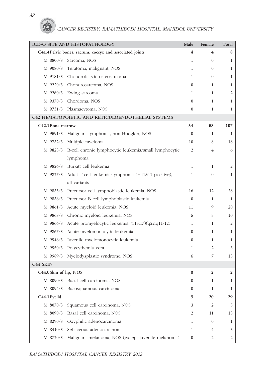|                       | ICD-O SITE AND HISTOPATHOLOGY                                  | Male           | Female         | Total        |
|-----------------------|----------------------------------------------------------------|----------------|----------------|--------------|
|                       | C41.4 Pelvic bones, sacrum, coccyx and associated joints       | 4              | 4              | 8            |
| M 8800/3              | Sarcoma, NOS                                                   | 1              | $\mathbf{0}$   | 1            |
|                       | M 9080/3 Teratoma, malignant, NOS                              | $\mathbf{1}$   | $\mathbf{0}$   | 1            |
|                       | M 9181/3 Chondroblastic osteosarcoma                           | $\mathbf{1}$   | $\Omega$       | $\mathbf{1}$ |
| M 9220/3              | Chondrosarcoma, NOS                                            | $\mathbf{0}$   | 1              | $\mathbf 1$  |
| M 9260/3              | Ewing sarcoma                                                  | 1              | 1              | 2            |
| M 9370/3              | Chordoma, NOS                                                  | $\Omega$       | $\mathbf{1}$   | $\mathbf{1}$ |
| M 9731/3              | Plasmacytoma, NOS                                              | $\mathbf{0}$   | 1              | 1            |
|                       | C42 HEMATOPOIETIC AND RETICULOENDOTHELIAL SYSTEMS              |                |                |              |
| C42.1 Bone marrow     |                                                                | 54             | 53             | 107          |
| M 9591/3              | Malignant lymphoma, non-Hodgkin, NOS                           | $\theta$       | $\mathbf{1}$   | 1            |
| M 9732/3              | Multiple myeloma                                               | 10             | 8              | 18           |
|                       | M 9823/3 B-cell chronic lymphocytic leukemia/small lymphocytic | 2              | 4              | 6            |
|                       | lymphoma                                                       |                |                |              |
|                       | M 9826/3 Burkitt cell leukemia                                 | 1              | 1              | 2            |
| M 9827/3              | Adult T-cell leukemia/lymphoma (HTLV-1 positive),              | 1              | $\mathbf{0}$   | $\mathbf 1$  |
|                       | all variants                                                   |                |                |              |
| M 9835/3              | Precursor cell lymphoblastic leukemia, NOS                     | 16             | 12             | 28           |
| M 9836/3              | Precursor B cell lymphoblastic leukemia                        | $\mathbf{0}$   | 1              | 1            |
| M 9861/3              | Acute myeloid leukemia, NOS                                    | 11             | 9              | 20           |
| M 9863/3              | Chronic myeloid leukemia, NOS                                  | 5              | 5              | 10           |
| M 9866/3              | Acute promyelocytic leukemia, t(15;17)(q22;q11-12)             | 1              | 1              | 2            |
| M 9867/3              | Acute myelomonocytic leukemia                                  | $\mathbf{0}$   | $\mathbf{1}$   | $\mathbf 1$  |
|                       | M 9946/3 Juvenile myelomonocytic leukemia                      | $\mathbf{0}$   | 1              | 1            |
|                       | M 9950/3 Polycythemia vera                                     | 1              | 2              | 3            |
| M 9989/3              | Myelodysplastic syndrome, NOS                                  | 6              | 7              | 13           |
| C44 SKIN              |                                                                |                |                |              |
| C44.0Skin of lip, NOS |                                                                | 0              | 2              | 2            |
| M 8090/3              | Basal cell carcinoma, NOS                                      | $\mathbf{0}$   | 1              | $\mathbf 1$  |
| M 8094/3              | Basosquamous carcinoma                                         | $\mathbf{0}$   | $\mathbf{1}$   | $\mathbf{1}$ |
| C44.1 Eyelid          |                                                                | 9              | 20             | 29           |
| M 8070/3              | Squamous cell carcinoma, NOS                                   | 3              | $\overline{2}$ | 5            |
| M 8090/3              | Basal cell carcinoma, NOS                                      | 2              | 11             | 13           |
| M 8290/3              | Oxyphilic adenocarcinoma                                       | 1              | $\mathbf{0}$   | 1            |
| M 8410/3              | Sebaceous adenocarcinoma                                       | $\mathbf{1}$   | 4              | 5            |
| M 8720/3              | Malignant melanoma, NOS (except juvenile melanoma)             | $\overline{0}$ | 2              | 2            |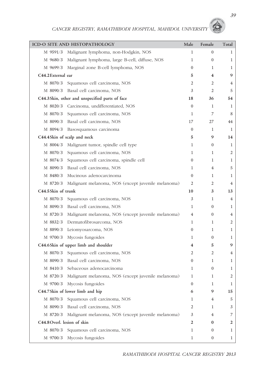|                             | ICD-O SITE AND HISTOPATHOLOGY                      | Male             | Female           | Total        |
|-----------------------------|----------------------------------------------------|------------------|------------------|--------------|
| M 9591/3                    | Malignant lymphoma, non-Hodgkin, NOS               | 1                | $\boldsymbol{0}$ | $\mathbf{1}$ |
| M 9680/3                    | Malignant lymphoma, large B-cell, diffuse, NOS     | 1                | $\mathbf{0}$     | $\mathbf{1}$ |
| M 9699/3                    | Marginal zone B-cell lymphoma, NOS                 | $\overline{0}$   | 1                | $\mathbf{1}$ |
| C44.2 External ear          |                                                    | 5                | 4                | 9            |
| M 8070/3                    | Squamous cell carcinoma, NOS                       | 2                | 2                | 4            |
|                             | M 8090/3 Basal cell carcinoma, NOS                 | 3                | 2                | 5            |
|                             | C44.3Skin, other and unspecified parts of face     | 18               | 36               | 54           |
|                             | M 8020/3 Carcinoma, undifferentiated, NOS          | $\overline{0}$   | 1                | 1            |
| M 8070/3                    | Squamous cell carcinoma, NOS                       | 1                | 7                | 8            |
|                             | M 8090/3 Basal cell carcinoma, NOS                 | 17               | 27               | 44           |
| M 8094/3                    | Basosquamous carcinoma                             | $\overline{0}$   | 1                | 1            |
|                             | C44.4Skin of scalp and neck                        | 5                | 9                | 14           |
| M 8004/3                    | Malignant tumor, spindle cell type                 | 1                | $\mathbf{0}$     | $\mathbf{1}$ |
| M 8070/3                    | Squamous cell carcinoma, NOS                       | 1                | 1                | 2            |
| M 8074/3                    | Squamous cell carcinoma, spindle cell              | $\overline{0}$   | 1                | 1            |
| M 8090/3                    | Basal cell carcinoma, NOS                          | 1                | 4                | 5            |
| M 8480/3                    | Mucinous adenocarcinoma                            | $\overline{0}$   | 1                | 1            |
| M 8720/3                    | Malignant melanoma, NOS (except juvenile melanoma) | 2                | 2                | 4            |
| C44.5Skin of trunk          |                                                    | 10               | 3                | 13           |
| M 8070/3                    | Squamous cell carcinoma, NOS                       | 3                | 1                | 4            |
|                             | M 8090/3 Basal cell carcinoma, NOS                 | 1                | $\mathbf{0}$     | $\mathbf{1}$ |
| M 8720/3                    | Malignant melanoma, NOS (except juvenile melanoma) | 4                | $\mathbf{0}$     | 4            |
| M 8832/3                    | Dermatofibrosarcoma, NOS                           | 1                | 1                | 2            |
|                             | M 8890/3 Leiomyosarcoma, NOS                       | $\overline{0}$   | 1                | 1            |
| M 9700/3                    | Mycosis fungoides                                  | 1                | $\boldsymbol{0}$ | $\mathbf{1}$ |
|                             | C44.6Skin of upper limb and shoulder               | 4                | 5                | 9            |
| M 8070/3                    | Squamous cell carcinoma, NOS                       | 2                | 2                | 4            |
| M 8090/3                    | Basal cell carcinoma, NOS                          | $\boldsymbol{0}$ | 1                | 1            |
| M 8410/3                    | Sebaceous adenocarcinoma                           | 1                | $\boldsymbol{0}$ | 1            |
| M 8720/3                    | Malignant melanoma, NOS (except juvenile melanoma) | 1                | 1                | 2            |
| M 9700/3                    | Mycosis fungoides                                  | $\overline{0}$   | 1                | $\mathbf{1}$ |
|                             | C44.7Skin of lower limb and hip                    | 6                | 9                | 15           |
| M 8070/3                    | Squamous cell carcinoma, NOS                       | 1                | 4                | 5            |
| M 8090/3                    | Basal cell carcinoma, NOS                          | 2                | 1                | 3            |
| M 8720/3                    | Malignant melanoma, NOS (except juvenile melanoma) | 3                | 4                | 7            |
| C44.8 Overl. lesion of skin |                                                    | 2                | $\bf{0}$         | 2            |
| M 8070/3                    | Squamous cell carcinoma, NOS                       | 1                | $\mathbf{0}$     | 1            |
| M 9700/3                    | Mycosis fungoides                                  | 1                | $\mathbf{0}$     | $\mathbf{1}$ |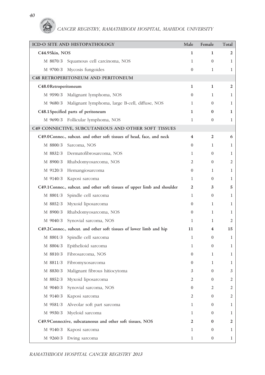*40*

G

| ICD-O SITE AND HISTOPATHOLOGY                                            | Male                    | Female                  | Total        |
|--------------------------------------------------------------------------|-------------------------|-------------------------|--------------|
| C44.9Skin, NOS                                                           | 1                       | 1                       | 2            |
| M 8070/3 Squamous cell carcinoma, NOS                                    | $\mathbf{1}$            | $\mathbf{0}$            | 1            |
| Mycosis fungoides<br>M 9700/3                                            | $\Omega$                | 1                       | $\mathbf{1}$ |
| C48 RETROPERITONEUM AND PERITONEUM                                       |                         |                         |              |
| C48.0Retroperitoneum                                                     | 1                       | 1                       | 2            |
| M 9590/3 Malignant lymphoma, NOS                                         | $\Omega$                | $\mathbf{1}$            | $\mathbf{1}$ |
| M 9680/3 Malignant lymphoma, large B-cell, diffuse, NOS                  | 1                       | $\mathbf{0}$            | 1            |
| C48.1 Specified parts of peritoneum                                      | 1                       | $\bf{0}$                | 1            |
| M 9690/3 Follicular lymphoma, NOS                                        | 1                       | $\mathbf{0}$            | 1            |
| C49 CONNECTIVE, SUBCUTANEOUS AND OTHER SOFT TISSUES                      |                         |                         |              |
| C49.0Connec., subcut. and other soft tissues of head, face, and neck     | $\overline{\mathbf{4}}$ | $\boldsymbol{2}$        | 6            |
| M 8800/3<br>Sarcoma, NOS                                                 | $\theta$                | 1                       | 1            |
| M 8832/3 Dermatofibrosarcoma, NOS                                        | 1                       | $\theta$                | 1            |
| M 8900/3 Rhabdomyosarcoma, NOS                                           | 2                       | $\Omega$                | 2            |
| M 9120/3 Hemangiosarcoma                                                 | $\overline{0}$          | 1                       | 1            |
| M 9140/3 Kaposi sarcoma                                                  | $\mathbf{1}$            | $\mathbf{0}$            | 1            |
| C49.1 Connec., subcut. and other soft tissues of upper limb and shoulder | 2                       | 3                       | 5            |
| M 8801/3<br>Spindle cell sarcoma                                         | $\mathbf{1}$            | $\mathbf{0}$            | 1            |
| M 8852/3 Myxoid liposarcoma                                              | $\overline{0}$          | 1                       | 1            |
| M 8900/3 Rhabdomyosarcoma, NOS                                           | $\overline{0}$          | $\mathbf{1}$            | 1            |
| M 9040/3<br>Synovial sarcoma, NOS                                        | $\mathbf{1}$            | 1                       | 2            |
| C49.2Connec., subcut. and other soft tissues of lower limb and hip       | 11                      | $\overline{\mathbf{4}}$ | 15           |
| M 8801/3<br>Spindle cell sarcoma                                         | $\mathbf{1}$            | $\mathbf{0}$            | 1            |
| M 8804/3 Epithelioid sarcoma                                             | $\mathbf{1}$            | $\theta$                | 1            |
| M 8810/3<br>Fibrosarcoma, NOS                                            | $\overline{0}$          | 1                       | 1            |
| M 8811/3 Fibromyxosarcoma                                                | $\mathbf{0}$            | 1                       | 1            |
| M 8830/3<br>Malignant fibrous hitiocytoma                                | 3                       | 0                       | 3            |
| M 8852/3<br>Myxoid liposarcoma                                           | 2                       | $\theta$                | 2            |
| Synovial sarcoma, NOS<br>M 9040/3                                        | $\Omega$                | 2                       | 2            |
| M 9140/3<br>Kaposi sarcoma                                               | 2                       | $\overline{0}$          | 2            |
| Alveolar soft part sarcoma<br>M 9581/3                                   | 1                       | $\mathbf{0}$            | 1            |
| Myeloid sarcoma<br>M 9930/3                                              | 1                       | $\mathbf{0}$            | 1            |
| C49.9 Connective, subcutaneous and other soft tissues, NOS               | 2                       | $\bf{0}$                | 2            |
| M 9140/3<br>Kaposi sarcoma                                               | 1                       | $\mathbf{0}$            | 1            |
| M 9260/3<br>Ewing sarcoma                                                | 1                       | $\boldsymbol{0}$        | $\mathbf{1}$ |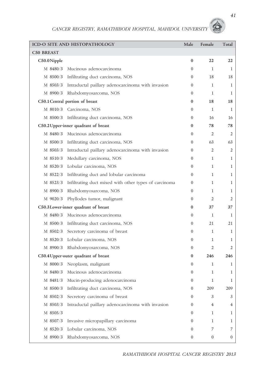|                   | ICD-O SITE AND HISTOPATHOLOGY                                  | Male             | Female       | Total            |
|-------------------|----------------------------------------------------------------|------------------|--------------|------------------|
| <b>C50 BREAST</b> |                                                                |                  |              |                  |
| C50.0Nipple       |                                                                | $\bf{0}$         | 22           | 22               |
|                   | M 8480/3 Mucinous adenocarcinoma                               | $\Omega$         | 1            | 1                |
|                   | M 8500/3 Infiltrating duct carcinoma, NOS                      | $\Omega$         | 18           | 18               |
|                   | M 8503/3 Intraductal paillary adenocarcinoma with invasion     | $\mathbf{0}$     | 1            | 1                |
|                   | M 8900/3 Rhabdomyosarcoma, NOS                                 | $\Omega$         | 1            | 1                |
|                   | C50.1 Central portion of breast                                | $\bf{0}$         | 18           | 18               |
|                   | M 8010/3 Carcinoma, NOS                                        | $\mathbf{0}$     | 1            | $\mathbf{1}$     |
|                   | M 8500/3 Infiltrating duct carcinoma, NOS                      | $\mathbf{0}$     | 16           | 16               |
|                   | C50.2 Upper-inner quadrant of breast                           | 0                | 78           | 78               |
|                   | M 8480/3 Mucinous adenocarcinoma                               | $\mathbf{0}$     | 2            | 2                |
|                   | M 8500/3 Infiltrating duct carcinoma, NOS                      | $\Omega$         | 63           | 63               |
|                   | M 8503/3 Intraductal paillary adenocarcinoma with invasion     | $\mathbf{0}$     | 2            | 2                |
|                   | M 8510/3 Medullary carcinoma, NOS                              | $\Omega$         | 1            | 1                |
|                   | M 8520/3 Lobular carcinoma, NOS                                | $\left($         | 1            | 1                |
|                   | M 8522/3 Infiltrating duct and lobular carcinoma               | $\mathbf{0}$     | $\mathbf{1}$ | 1                |
|                   | M 8523/3 Infiltrating duct mixed with other types of carcinoma | $\mathbf{0}$     | 1            | 1                |
|                   | M 8900/3 Rhabdomyosarcoma, NOS                                 | $\mathbf{0}$     | 1            | 1                |
|                   | M 9020/3 Phyllodes tumor, malignant                            | $\mathbf{0}$     | 2            | 2                |
|                   | C50.3Lower-inner quadrant of breast                            | 0                | 37           | 37               |
|                   | M 8480/3 Mucinous adenocarcinoma                               | $\mathbf{0}$     | $\mathbf{1}$ | 1                |
|                   | M 8500/3 Infiltrating duct carcinoma, NOS                      | $\mathbf{0}$     | 21           | 21               |
| M 8502/3          | Secretory carcinoma of breast                                  | $\mathbf{0}$     | $\mathbf{1}$ | 1                |
|                   | M 8520/3 Lobular carcinoma, NOS                                | $\mathbf{0}$     | 1            | 1                |
|                   | M 8900/3 Rhabdomyosarcoma, NOS                                 | $\mathbf{0}$     | 2            | 2                |
|                   | C50.4 Upper-outer quadrant of breast                           | 0                | 246          | 246              |
|                   | M 8000/3 Neoplasm, malignant                                   | $\mathbf{0}$     | $\mathbf{1}$ | 1                |
| M 8480/3          | Mucinous adenocarcinoma                                        | $\boldsymbol{0}$ | 1            | 1                |
| M 8481/3          | Mucin-producing adenocarcinoma                                 | $\overline{0}$   | 1            | 1                |
| M 8500/3          | Infiltrating duct carcinoma, NOS                               | $\overline{0}$   | 209          | 209              |
| M 8502/3          | Secretory carcinoma of breast                                  | $\overline{0}$   | 3            | 3                |
| M 8503/3          | Intraductal paillary adenocarcinoma with invasion              | $\mathbf{0}$     | 4            | 4                |
| M 8505/3          |                                                                | $\overline{0}$   | $\mathbf{1}$ | 1                |
| M 8507/3          | Invasive micropapillary carcinoma                              | $\mathbf{0}$     | 1            | 1                |
| M 8520/3          | Lobular carcinoma, NOS                                         | $\boldsymbol{0}$ | 7            | 7                |
| M 8900/3          | Rhabdomyosarcoma, NOS                                          | $\boldsymbol{0}$ | $\bf{0}$     | $\boldsymbol{0}$ |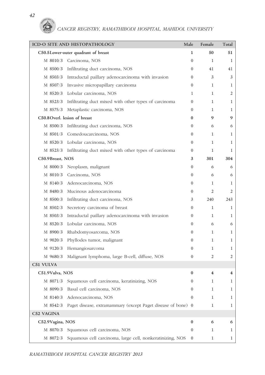|                               | ICD-O SITE AND HISTOPATHOLOGY                                  | Male             | Female       | Total        |
|-------------------------------|----------------------------------------------------------------|------------------|--------------|--------------|
|                               | C50.5Lower-outer quadrant of breast                            | 1                | 50           | 51           |
| M 8010/3                      | Carcinoma, NOS                                                 | $\mathbf{0}$     | 1            | 1            |
|                               | M 8500/3 Infiltrating duct carcinoma, NOS                      | $\Omega$         | 41           | 41           |
|                               | M 8503/3 Intraductal paillary adenocarcinoma with invasion     | $\mathbf{0}$     | 3            | 3            |
|                               | M 8507/3 Invasive micropapillary carcinoma                     | $\Omega$         | 1            | 1            |
|                               | M 8520/3 Lobular carcinoma, NOS                                | $\mathbf{1}$     | $\mathbf{1}$ | 2            |
|                               | M 8523/3 Infiltrating duct mixed with other types of carcinoma | $\Omega$         | $\mathbf{1}$ | $\mathbf{1}$ |
| M 8575/3                      | Metaplastic carcinoma, NOS                                     | $\mathbf{0}$     | 1            | $\mathbf{1}$ |
| C50.8 Overl. lesion of breast |                                                                | $\bf{0}$         | 9            | 9            |
|                               | M 8500/3 Infiltrating duct carcinoma, NOS                      | $\Omega$         | 6            | 6            |
|                               | M 8501/3 Comedoucarcinoma, NOS                                 | $\mathbf{0}$     | 1            | $\mathbf{1}$ |
|                               | M 8520/3 Lobular carcinoma, NOS                                | $\Omega$         | $\mathbf{1}$ | 1            |
|                               | M 8523/3 Infiltrating duct mixed with other types of carcinoma | $\mathbf{0}$     | 1            | $\mathbf{1}$ |
| C50.9Breast, NOS              |                                                                | 3                | 301          | 304          |
|                               | M 8000/3 Neoplasm, malignant                                   | $\mathbf{0}$     | 6            | 6            |
|                               | M 8010/3 Carcinoma, NOS                                        | $\mathbf{0}$     | 6            | 6            |
|                               | M 8140/3 Adenocarcinoma, NOS                                   | $\mathbf{0}$     | $\mathbf{1}$ | $\mathbf{1}$ |
|                               | M 8480/3 Mucinous adenocarcinoma                               | $\overline{0}$   | 2            | 2            |
|                               | M 8500/3 Infiltrating duct carcinoma, NOS                      | 3                | 240          | 243          |
| M 8502/3                      | Secretory carcinoma of breast                                  | $\mathbf{0}$     | $\mathbf{1}$ | $\mathbf{1}$ |
|                               | M 8503/3 Intraductal paillary adenocarcinoma with invasion     | $\Omega$         | $\mathbf{1}$ | $\mathbf{1}$ |
| M 8520/3                      | Lobular carcinoma, NOS                                         | $\mathbf{0}$     | 6            | 6            |
| M 8900/3                      | Rhabdomyosarcoma, NOS                                          | $\mathbf{0}$     | 1            | $\mathbf{1}$ |
| M 9020/3                      | Phyllodes tumor, malignant                                     | $\mathbf{0}$     | 1            | $\mathbf{1}$ |
| M 9120/3                      | Hemangiosarcoma                                                | $\Omega$         | 1            | 1            |
| M 9680/3                      | Malignant lymphoma, large B-cell, diffuse, NOS                 | $\mathbf{0}$     | 2            | 2            |
| C51 VULVA                     |                                                                |                  |              |              |
| C51.9Vulva, NOS               |                                                                | 0                | 4            | 4            |
| M 8071/3                      | Squamous cell carcinoma, keratinizing, NOS                     | $\boldsymbol{0}$ | 1            | 1            |
| M 8090/3                      | Basal cell carcinoma, NOS                                      | $\theta$         | 1            | 1            |
| M 8140/3                      | Adenocarcinoma, NOS                                            | $\mathbf{0}$     | 1            | $\mathbf{1}$ |
| M 8542/3                      | Paget disease, extramammary (except Paget disease of bone) 0   |                  | 1            | $\mathbf{1}$ |
| C52 VAGINA                    |                                                                |                  |              |              |
| C52.9Vagina, NOS              |                                                                | 0                | 6            | 6            |
| M 8070/3                      | Squamous cell carcinoma, NOS                                   | $\boldsymbol{0}$ | 1            | 1            |
| M 8072/3                      | Squamous cell carcinoma, large cell, nonkeratinizing, NOS      | $\overline{0}$   | 1            | $\mathbf{1}$ |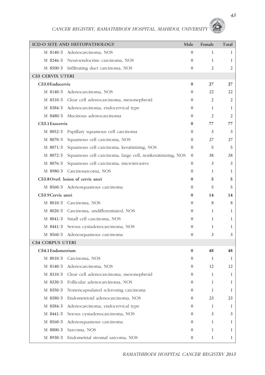|                         | ICD-O SITE AND HISTOPATHOLOGY                             | Male             | Female         | Total        |
|-------------------------|-----------------------------------------------------------|------------------|----------------|--------------|
| M 8140/3                | Adenocarcinoma, NOS                                       | $\mathbf{0}$     | 1              | 1            |
|                         | M 8246/3 Neuroendocrine carcinoma, NOS                    | $\overline{0}$   | $\mathbf{1}$   | 1            |
|                         | M 8500/3 Infiltrating duct carcinoma, NOS                 | $\mathbf{0}$     | $\overline{2}$ | 2            |
| <b>C53 CERVIX UTERI</b> |                                                           |                  |                |              |
| C53.0 Endocervix        |                                                           | $\bf{0}$         | 27             | 27           |
|                         | M 8140/3 Adenocarcinoma, NOS                              | $\overline{0}$   | 22             | 22           |
|                         | M 8310/3 Clear cell adenocarcinoma, mesonephroid          | $\overline{0}$   | 2              | 2            |
|                         | M 8384/3 Adenocarcinoma, endocervical type                | $\Omega$         | $\mathbf{1}$   | 1            |
|                         | M 8480/3 Mucinous adenocarcinoma                          | $\mathbf{0}$     | 2              | 2            |
| C53.1 Exocervix         |                                                           | $\bf{0}$         | 77             | 77           |
|                         | M 8052/3 Papillary squamous cell carcinoma                | $\overline{0}$   | 3              | 3            |
| M 8070/3                | Squamous cell carcinoma, NOS                              | $\Omega$         | 27             | 27           |
| M 8071/3                | Squamous cell carcinoma, keratinizing, NOS                | $\mathbf{0}$     | 5              | 5            |
| M 8072/3                | Squamous cell carcinoma, large cell, nonkeratinizing, NOS | $\Omega$         | 38             | 38           |
| M 8076/3                | Squamous cell carcinoma, microinvasive                    | $\Omega$         | 3              | 3            |
|                         | M 8980/3 Carcinosarcoma, NOS                              | $\Omega$         | 1              | 1            |
|                         | C53.8 Overl. lesion of cervix uteri                       | $\bf{0}$         | 5              | 5            |
|                         | M 8560/3 Adenosquamous carcinoma                          | $\overline{0}$   | 5              | 5            |
| C53.9 Cervix uteri      |                                                           | $\bf{0}$         | 14             | 14           |
|                         | M 8010/3 Carcinoma, NOS                                   | $\overline{0}$   | 8              | 8            |
|                         | M 8020/3 Carcinoma, undifferentiated, NOS                 | $\mathbf{0}$     | $\mathbf{1}$   | 1            |
|                         | M 8041/3 Small cell carcinoma, NOS                        | $\mathbf{0}$     | 1              | 1            |
|                         | M 8441/3 Serous cystadenocarcinoma, NOS                   | $\mathbf{0}$     | $\mathbf{1}$   | $\mathbf{1}$ |
| M 8560/3                | Adenosquamous carcinoma                                   | $\mathbf{0}$     | 3              | 3            |
| <b>C54 CORPUS UTERI</b> |                                                           |                  |                |              |
| C54.1 Endometrium       |                                                           | $\bf{0}$         | 48             | 48           |
|                         | M 8010/3 Carcinoma, NOS                                   | $\Omega$         | 1              | 1            |
|                         | M 8140/3 Adenocarcinoma, NOS                              | $\overline{0}$   | 12             | 12           |
| M 8310/3                | Clear cell adenocarcinoma, mesonephroid                   | $\mathbf{0}$     | 1              | 1            |
| M 8330/3                | Follicular adenocarcinoma, NOS                            | $\overline{0}$   | 1              | 1            |
| M 8350/3                | Nonencapsulated sclerosing carcinoma                      | $\boldsymbol{0}$ | $\mathbf{1}$   | 1            |
| M 8380/3                | Endometrioid adenocarcinoma, NOS                          | $\boldsymbol{0}$ | 23             | 23           |
| M 8384/3                | Adenocarcinoma, endocervical type                         | $\overline{0}$   | 1              | 1            |
| M 8441/3                | Serous cystadenocarcinoma, NOS                            | $\overline{0}$   | 3              | 3            |
| M 8560/3                | Adenosquamous carcinoma                                   | $\overline{0}$   | 1              | 1            |
| M 8800/3                | Sarcoma, NOS                                              | $\bf{0}$         | 1              | 1            |
| M 8930/3                | Endometrial stromal sarcoma, NOS                          | $\boldsymbol{0}$ | $\mathbf{1}$   | $\mathbf{1}$ |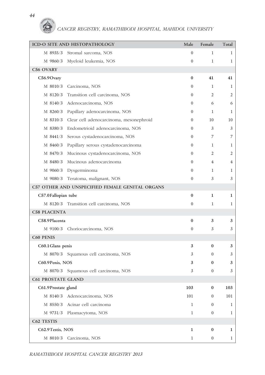#### *44*

6

# *CANCER REGISTRY, RAMATHIBODI HOSPITAL, MAHIDOL UNIVERSITY*

|                           | ICD-O SITE AND HISTOPATHOLOGY                    | Male           | Female           | Total        |
|---------------------------|--------------------------------------------------|----------------|------------------|--------------|
| M 8935/3                  | Stromal sarcoma, NOS                             | $\overline{0}$ | 1                | 1            |
|                           | M 9860/3 Myeloid leukemia, NOS                   | $\overline{0}$ | $\mathbf{1}$     | $\mathbf{1}$ |
| C56 OVARY                 |                                                  |                |                  |              |
| C56.9 Ovary               |                                                  | $\bf{0}$       | 41               | 41           |
| M 8010/3                  | Carcinoma, NOS                                   | $\overline{0}$ | 1                | 1            |
| M 8120/3                  | Transition cell carcinoma, NOS                   | $\overline{0}$ | 2                | 2            |
| M 8140/3                  | Adenocarcinoma, NOS                              | $\overline{0}$ | 6                | 6            |
| M 8260/3                  | Papillary adenocarcinoma, NOS                    | $\Omega$       | 1                | 1            |
|                           | M 8310/3 Clear cell adenocarcinoma, mesonephroid | $\overline{0}$ | 10               | 10           |
|                           | M 8380/3 Endometrioid adenocarcinoma, NOS        | $\Omega$       | 3                | 3            |
|                           | M 8441/3 Serous cystadenocarcinoma, NOS          | $\overline{0}$ | 7                | 7            |
| M 8460/3                  | Papillary serous cystadenocarcinoma              | $\overline{0}$ | 1                | 1            |
|                           | M 8470/3 Mucinous cystadenocarcinoma, NOS        | $\overline{0}$ | 2                | 2            |
| M 8480/3                  | Mucinous adenocarcinoma                          | $\overline{0}$ | 4                | 4            |
| M 9060/3                  | Dysgerminoma                                     | $\Omega$       | $\mathbf{1}$     | 1            |
|                           | M 9080/3 Teratoma, malignant, NOS                | $\overline{0}$ | 3                | 3            |
|                           | C57 OTHER AND UNSPECIFIED FEMALE GENITAL ORGANS  |                |                  |              |
| C57.0 Fallopian tube      |                                                  | $\bf{0}$       | 1                | 1            |
|                           | M 8120/3 Transition cell carcinoma, NOS          | $\overline{0}$ | 1                | 1            |
| <b>C58 PLACENTA</b>       |                                                  |                |                  |              |
| C58.9Placenta             |                                                  | $\bf{0}$       | 3                | 3            |
| M 9100/3                  | Choriocarcinoma, NOS                             | $\overline{0}$ | 3                | 3            |
| C60 PENIS                 |                                                  |                |                  |              |
| C60.1 Glans penis         |                                                  | 3              | $\bf{0}$         | 3            |
|                           | M 8070/3 Squamous cell carcinoma, NOS            | 3              | $\Omega$         | 3            |
| C60.9Penis, NOS           |                                                  | 3              | 0                | 3            |
|                           | M 8070/3 Squamous cell carcinoma, NOS            |                | $\overline{0}$   | 3            |
| <b>C61 PROSTATE GLAND</b> |                                                  |                |                  |              |
| C61.9Prostate gland       |                                                  | 103            | $\bf{0}$         | 103          |
|                           | M 8140/3 Adenocarcinoma, NOS                     | 101            | $\boldsymbol{0}$ | 101          |
|                           | M 8550/3 Acinar cell carcinoma                   | $\mathbf{1}$   | $\boldsymbol{0}$ | 1            |
|                           | M 9731/3 Plasmacytoma, NOS                       | $\mathbf{1}$   | $\boldsymbol{0}$ | 1            |
| C62 TESTIS                |                                                  |                |                  |              |
| C62.9Testis, NOS          |                                                  | 1              | $\bf{0}$         | 1            |
|                           | M 8010/3 Carcinoma, NOS                          | $\mathbf{1}$   | $\boldsymbol{0}$ | $\mathbf{1}$ |

*RAMATHIBODI HOSPITAL CANCER REGISTRY 2013*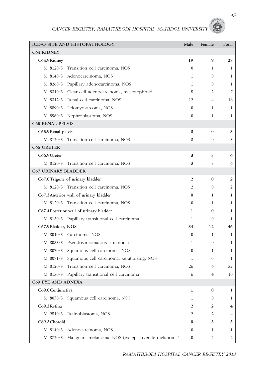|                            | ICD-O SITE AND HISTOPATHOLOGY                      | Male             | Female           | Total          |
|----------------------------|----------------------------------------------------|------------------|------------------|----------------|
| <b>C64 KIDNEY</b>          |                                                    |                  |                  |                |
| C64.9Kidney                |                                                    | 19               | 9                | 28             |
| M 8120/3                   | Transition cell carcinoma, NOS                     | $\Omega$         | 1                | 1              |
| M 8140/3                   | Adenocarcinoma, NOS                                | 1                | $\overline{0}$   | 1              |
|                            | M 8260/3 Papillary adenocarcinoma, NOS             | 1                | $\overline{0}$   | 1              |
|                            | M 8310/3 Clear cell adenocarcinoma, mesonephroid   | 5                | 2                | 7              |
|                            | M 8312/3 Renal cell carcinoma, NOS                 | 12               | 4                | 16             |
| M 8890/3                   | Leiomyosarcoma, NOS                                | $\mathbf{0}$     | 1                | 1              |
|                            | M 8960/3 Nephroblastoma, NOS                       | $\mathbf{0}$     | 1                | $\mathbf{1}$   |
| <b>C65 RENAL PELVIS</b>    |                                                    |                  |                  |                |
| C65.9Renal pelvis          |                                                    | 3                | $\bf{0}$         | 3              |
|                            | M 8120/3 Transition cell carcinoma, NOS            | 3                | $\overline{0}$   | 3              |
| <b>C66 URETER</b>          |                                                    |                  |                  |                |
| C66.9Ureter                |                                                    | 3                | 3                | 6              |
| M 8120/3                   | Transition cell carcinoma, NOS                     | 3                | 3                | 6              |
| <b>C67 URINARY BLADDER</b> |                                                    |                  |                  |                |
|                            | C67.0Trigone of urinary bladder                    | $\overline{2}$   | $\bf{0}$         | 2              |
| M 8120/3                   | Transition cell carcinoma, NOS                     | 2                | $\Omega$         | $\overline{2}$ |
|                            | C67.3Anterior wall of urinary bladder              | $\bf{0}$         | 1                | 1              |
|                            | M 8120/3 Transition cell carcinoma, NOS            | $\mathbf{0}$     | $\mathbf{1}$     | 1              |
|                            | C67.4 Posterior wall of urinary bladder            | 1                | $\bf{0}$         | 1              |
|                            | M 8130/3 Papillary transitional cell carcinoma     | 1                | $\mathbf{0}$     | 1              |
| C67.9Bladder, NOS          |                                                    | 34               | 12               | 46             |
|                            | M 8010/3 Carcinoma, NOS                            | $\mathbf{0}$     | 1                | 1              |
|                            | M 8033/3 Pseudosarcomatous carcinoma               | 1                | $\overline{0}$   | 1              |
| M 8070/3                   | Squamous cell carcinoma, NOS                       | $\mathbf{0}$     | 1                | 1              |
| M 8071/3                   | Squamous cell carcinoma, keratinizing, NOS         | 1                | $\mathbf{0}$     | 1              |
| M 8120/3                   | Transition cell carcinoma, NOS                     | 26               | 6                | 32             |
|                            | M 8130/3 Papillary transitional cell carcinoma     | 6                | 4                | 10             |
| C69 EYE AND ADNEXA         |                                                    |                  |                  |                |
| C69.0 Conjunctiva          |                                                    | 1                | 0                | 1              |
| M 8070/3                   | Squamous cell carcinoma, NOS                       | 1                | $\boldsymbol{0}$ | 1              |
| C69.2Retina                |                                                    | 2                | 2                | 4              |
| M 9510/3                   | Retinoblastoma, NOS                                | 2                | 2                | 4              |
| C69.3 Choroid              |                                                    | 0                | 3                | 3              |
| M 8140/3                   | Adenocarcinoma, NOS                                | $\boldsymbol{0}$ | 1                | 1              |
| M 8720/3                   | Malignant melanoma, NOS (except juvenile melanoma) | $\boldsymbol{0}$ | 2                | 2              |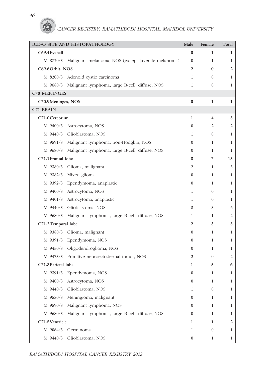### *46* G

*CANCER REGISTRY, RAMATHIBODI HOSPITAL, MAHIDOL UNIVERSITY* 

|                     | ICD-O SITE AND HISTOPATHOLOGY                           | Male             | Female           | Total          |
|---------------------|---------------------------------------------------------|------------------|------------------|----------------|
| C69.4 Eyeball       |                                                         | $\bf{0}$         | 1                | 1              |
| M 8720/3            | Malignant melanoma, NOS (except juvenile melanoma)      | $\overline{0}$   | $\mathbf{1}$     | 1              |
| C69.6Orbit, NOS     |                                                         | 2                | $\bf{0}$         | 2              |
|                     | M 8200/3 Adenoid cystic carcinoma                       | $\mathbf{1}$     | $\mathbf{0}$     | 1              |
|                     | M 9680/3 Malignant lymphoma, large B-cell, diffuse, NOS | 1                | $\mathbf{0}$     | 1              |
| <b>C70 MENINGES</b> |                                                         |                  |                  |                |
| C70.9Meninges, NOS  |                                                         | $\bf{0}$         | 1                | 1              |
| C71 BRAIN           |                                                         |                  |                  |                |
| C71.0 Cerebrum      |                                                         | 1                | 4                | 5              |
| M 9400/3            | Astrocytoma, NOS                                        | $\overline{0}$   | 2                | $\mathfrak{2}$ |
|                     | M 9440/3 Glioblastoma, NOS                              | 1                | $\mathbf{0}$     | 1              |
|                     | M 9591/3 Malignant lymphoma, non-Hodgkin, NOS           | $\overline{0}$   | 1                | 1              |
|                     | M 9680/3 Malignant lymphoma, large B-cell, diffuse, NOS | $\overline{0}$   | $\mathbf{1}$     | 1              |
| C71.1 Frontal lobe  |                                                         | 8                | 7                | 15             |
| M 9380/3            | Glioma, malignant                                       | 2                | 1                | 3              |
|                     | M 9382/3 Mixed glioma                                   | $\overline{0}$   | $\mathbf{1}$     | 1              |
|                     | M 9392/3 Ependymoma, anaplastic                         | $\overline{0}$   | $\mathbf{1}$     | 1              |
|                     | M 9400/3 Astrocytoma, NOS                               | 1                | $\theta$         | 1              |
|                     | M 9401/3 Astrocytoma, anaplastic                        | $\mathbf{1}$     | $\mathbf{0}$     | 1              |
|                     | M 9440/3 Glioblastoma, NOS                              | 3                | 3                | 6              |
| M 9680/3            | Malignant lymphoma, large B-cell, diffuse, NOS          | 1                | 1                | 2              |
| C71.2Temporal lobe  |                                                         | $\mathbf{2}$     | 3                | 5              |
|                     | M 9380/3 Glioma, malignant                              | $\overline{0}$   | $\mathbf{1}$     | 1              |
|                     | M 9391/3 Ependymoma, NOS                                | $\overline{0}$   | 1                | 1              |
|                     | M 9450/3 Oligodendroglioma, NOS                         | $\overline{0}$   | $\mathbf{1}$     | 1              |
| M 9473/3            | Primitive neuroectodermal tumor, NOS                    | $\overline{2}$   | $\theta$         | 2              |
| C71.3 Parietal lobe |                                                         | 1                | 5                | 6              |
| M 9391/3            | Ependymoma, NOS                                         | $\boldsymbol{0}$ | $\mathbf{1}$     | $\mathbf{1}$   |
| M 9400/3            | Astrocytoma, NOS                                        | $\boldsymbol{0}$ | 1                | 1              |
| M 9440/3            | Glioblastoma, NOS                                       | 1                | $\boldsymbol{0}$ | 1              |
| M 9530/3            | Meningioma, malignant                                   | $\boldsymbol{0}$ | $\mathbf{1}$     | 1              |
| M 9590/3            | Malignant lymphoma, NOS                                 | $\overline{0}$   | $\mathbf{1}$     | 1              |
| M 9680/3            | Malignant lymphoma, large B-cell, diffuse, NOS          | $\boldsymbol{0}$ | $\mathbf{1}$     | 1              |
| C71.5 Ventricle     |                                                         | 1                | $\mathbf{1}$     | 2              |
| M 9064/3            | Germinoma                                               | 1                | $\boldsymbol{0}$ | 1              |
| M 9440/3            | Glioblastoma, NOS                                       | $\mathbf{0}$     | $\mathbf{1}$     | $\mathbf{1}$   |

*RAMATHIBODI HOSPITAL CANCER REGISTRY 2013*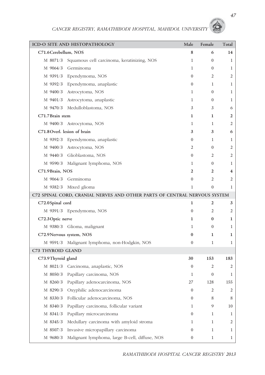|                       | ICD-O SITE AND HISTOPATHOLOGY                                             | Male             | Female           | Total          |
|-----------------------|---------------------------------------------------------------------------|------------------|------------------|----------------|
| C71.6 Cerebellum, NOS |                                                                           | 8                | 6                | 14             |
| M 8071/3              | Squamous cell carcinoma, keratinizing, NOS                                | $\mathbf{1}$     | $\overline{0}$   | 1              |
|                       | M 9064/3 Germinoma                                                        | $\mathbf{1}$     | $\overline{0}$   | 1              |
|                       | M 9391/3 Ependymoma, NOS                                                  | $\overline{0}$   | 2                | 2              |
|                       | M 9392/3 Ependymoma, anaplastic                                           | $\mathbf{0}$     | 1                | 1              |
| M 9400/3              | Astrocytoma, NOS                                                          | 1                | $\overline{0}$   | 1              |
| M 9401/3              | Astrocytoma, anaplastic                                                   | 1                | $\overline{0}$   | 1              |
|                       | M 9470/3 Medulloblastoma, NOS                                             | 3                | 3                | 6              |
| C71.7 Brain stem      |                                                                           | 1                | 1                | 2              |
|                       | M 9400/3 Astrocytoma, NOS                                                 | 1                | 1                | 2              |
|                       | C71.8 Overl. lesion of brain                                              | 3                | 3                | 6              |
| M 9392/3              | Ependymoma, anaplastic                                                    | $\overline{0}$   | 1                | 1              |
|                       | M 9400/3 Astrocytoma, NOS                                                 | 2                | $\overline{0}$   | 2              |
|                       | M 9440/3 Glioblastoma, NOS                                                | $\overline{0}$   | 2                | 2              |
|                       | M 9590/3 Malignant lymphoma, NOS                                          | 1                | $\overline{0}$   | 1              |
| C71.9Brain, NOS       |                                                                           | $\mathbf{2}$     | 2                | 4              |
|                       | M 9064/3 Germinoma                                                        | $\Omega$         | 2                | 2              |
|                       | M 9382/3 Mixed glioma                                                     | $\mathbf{1}$     | $\overline{0}$   | $\mathbf{1}$   |
|                       | C72 SPINAL CORD, CRANIAL NERVES AND OTHER PARTS OF CENTRAL NERVOUS SYSTEM |                  |                  |                |
| C72.0Spinal cord      |                                                                           | 1                | $\overline{2}$   | 3              |
|                       | M 9391/3 Ependymoma, NOS                                                  | $\overline{0}$   | 2                | 2              |
| C72.3 Optic nerve     |                                                                           | 1                | $\bf{0}$         | 1              |
|                       | M 9380/3 Glioma, malignant                                                | $\mathbf{1}$     | $\overline{0}$   | 1              |
|                       | C72.9Nervous system, NOS                                                  | $\bf{0}$         | 1                | 1              |
|                       | M 9591/3 Malignant lymphoma, non-Hodgkin, NOS                             | $\mathbf{0}$     | $\mathbf{1}$     | 1              |
| C73 THYROID GLAND     |                                                                           |                  |                  |                |
| C73.9Thyroid gland    |                                                                           | 30               | 153              | 183            |
|                       | M 8021/3 Carcinoma, anaplastic, NOS                                       | $\boldsymbol{0}$ | 2                | $\mathfrak{2}$ |
| $M$ 8050/3            | Papillary carcinoma, NOS                                                  | $\mathbf{1}$     | $\boldsymbol{0}$ | 1              |
| M 8260/3              | Papillary adenocarcinoma, NOS                                             | 27               | 128              | 155            |
| M 8290/3              | Oxyphilic adenocarcinoma                                                  | $\boldsymbol{0}$ | 2                | 2              |
| M 8330/3              | Follicular adenocarcinoma, NOS                                            | $\boldsymbol{0}$ | 8                | 8              |
| M 8340/3              | Papillary carcinoma, follicular variant                                   | $\mathbf{1}$     | 9                | 10             |
| M 8341/3              | Papillary microcarcinoma                                                  | $\boldsymbol{0}$ | 1                | 1              |
| M 8345/3              | Medullary carcinoma with amyloid stroma                                   | $\mathbf{1}$     | 1                | 2              |
| M 8507/3              | Invasive micropapillary carcinoma                                         | $\boldsymbol{0}$ | 1                | 1              |
| M 9680/3              | Malignant lymphoma, large B-cell, diffuse, NOS                            | $\boldsymbol{0}$ | $\mathbf{1}$     | $\mathbf{1}$   |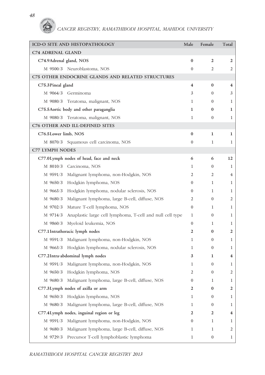*48*

6

# *CANCER REGISTRY, RAMATHIBODI HOSPITAL, MAHIDOL UNIVERSITY*

|                          | ICD-O SITE AND HISTOPATHOLOGY                             | Male             | Female           | Total                   |
|--------------------------|-----------------------------------------------------------|------------------|------------------|-------------------------|
| <b>C74 ADRENAL GLAND</b> |                                                           |                  |                  |                         |
| C74.9Adrenal gland, NOS  |                                                           | $\bf{0}$         | $\overline{2}$   | $\overline{2}$          |
|                          | M 9500/3 Neuroblastoma, NOS                               | $\mathbf{0}$     | 2                | 2                       |
|                          | C75 OTHER ENDOCRINE GLANDS AND RELATED STRUCTURES         |                  |                  |                         |
| C75.3 Pineal gland       |                                                           | 4                | $\bf{0}$         | $\overline{\mathbf{4}}$ |
|                          | M 9064/3 Germinoma                                        | 3                | $\boldsymbol{0}$ | 3                       |
|                          | M 9080/3 Teratoma, malignant, NOS                         | 1                | $\mathbf{0}$     | 1                       |
|                          | C75.5 Aortic body and other paraganglia                   | 1                | $\bf{0}$         | 1                       |
|                          | M 9080/3 Teratoma, malignant, NOS                         | 1                | $\mathbf{0}$     | $\mathbf{1}$            |
|                          | C76 OTHER AND ILL-DEFINED SITES                           |                  |                  |                         |
| C76.5Lower limb, NOS     |                                                           | $\bf{0}$         | 1                | $\mathbf{1}$            |
|                          | M 8070/3 Squamous cell carcinoma, NOS                     | $\mathbf{0}$     | 1                | $\mathbf{1}$            |
| <b>C77 LYMPH NODES</b>   |                                                           |                  |                  |                         |
|                          | C77.0Lymph nodes of head, face and neck                   | 6                | 6                | 12                      |
|                          | M 8010/3 Carcinoma, NOS                                   | 1                | $\boldsymbol{0}$ | 1                       |
|                          | M 9591/3 Malignant lymphoma, non-Hodgkin, NOS             | 2                | 2                | 4                       |
|                          | M 9650/3 Hodgkin lymphoma, NOS                            | $\mathbf{0}$     | $\mathbf{1}$     | 1                       |
|                          | M 9663/3 Hodgkin lymphoma, nodular sclerosis, NOS         | $\mathbf{0}$     | 1                | 1                       |
| M 9680/3                 | Malignant lymphoma, large B-cell, diffuse, NOS            | 2                | $\overline{0}$   | 2                       |
| M 9702/3                 | Mature T-cell lymphoma, NOS                               | $\mathbf{0}$     | $\mathbf{1}$     | 1                       |
| M 9714/3                 | Anaplastic large cell lymphoma, T-cell and null cell type | 1                | $\overline{0}$   | $\mathbf{1}$            |
| M 9860/3                 | Myeloid leukemia, NOS                                     | $\mathbf{0}$     | 1                | 1                       |
|                          | C77.1 Intrathoracic lymph nodes                           | 2                | $\bf{0}$         | 2                       |
| M 9591/3                 | Malignant lymphoma, non-Hodgkin, NOS                      | 1                | $\overline{0}$   | $\mathbf{1}$            |
| M 9663/3                 | Hodgkin lymphoma, nodular sclerosis, NOS                  | 1                | $\overline{0}$   | 1                       |
|                          | C77.2Intra-abdominal lymph nodes                          | 3                | 1                | $\overline{\mathbf{4}}$ |
|                          | M 9591/3 Malignant lymphoma, non-Hodgkin, NOS             | 1                | $\boldsymbol{0}$ | 1                       |
| M 9650/3                 | Hodgkin lymphoma, NOS                                     | 2                | $\boldsymbol{0}$ | 2                       |
| M 9680/3                 | Malignant lymphoma, large B-cell, diffuse, NOS            | $\boldsymbol{0}$ | 1                | 1                       |
|                          | C77.3Lymph nodes of axilla or arm                         | 2                | 0                | 2                       |
| M 9650/3                 | Hodgkin lymphoma, NOS                                     | 1                | $\boldsymbol{0}$ | 1                       |
| M 9680/3                 | Malignant lymphoma, large B-cell, diffuse, NOS            | 1                | $\boldsymbol{0}$ | 1                       |
|                          | C77.4Lymph nodes, inguinal region or leg                  | 2                | 2                | 4                       |
| M 9591/3                 | Malignant lymphoma, non-Hodgkin, NOS                      | $\boldsymbol{0}$ | 1                | 1                       |
| M 9680/3                 | Malignant lymphoma, large B-cell, diffuse, NOS            | 1                | $\mathbf{1}$     | 2                       |
| M 9729/3                 | Precursor T-cell lymphoblastic lymphoma                   | $\mathbf{1}$     | $\boldsymbol{0}$ | 1                       |

*RAMATHIBODI HOSPITAL CANCER REGISTRY 2013*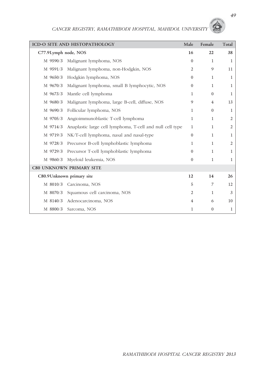|                      | ICD-O SITE AND HISTOPATHOLOGY                             | Male           | Female           | Total          |
|----------------------|-----------------------------------------------------------|----------------|------------------|----------------|
| C77.9Lymph node, NOS |                                                           | 16             | 22               | 38             |
| M 9590/3             | Malignant lymphoma, NOS                                   | $\Omega$       | $\mathbf{1}$     | 1              |
| M 9591/3             | Malignant lymphoma, non-Hodgkin, NOS                      | $\overline{2}$ | 9                | 11             |
| M 9650/3             | Hodgkin lymphoma, NOS                                     | $\overline{0}$ | $\mathbf{1}$     | $\mathbf{1}$   |
| M 9670/3             | Malignant lymphoma, small B lymphocytic, NOS              | $\overline{0}$ | $\mathbf{1}$     | 1              |
| M 9673/3             | Mantle cell lymphoma                                      | $\mathbf{1}$   | $\mathbf{0}$     | 1              |
| M 9680/3             | Malignant lymphoma, large B-cell, diffuse, NOS            | 9              | $\overline{4}$   | 13             |
| M 9690/3             | Follicular lymphoma, NOS                                  | $\mathbf{1}$   | $\mathbf{0}$     | $\mathbf{1}$   |
| M 9705/3             | Angioimmunoblastic T-cell lymphoma                        | $\mathbf{1}$   | $\mathbf{1}$     | $\mathfrak{2}$ |
| M 9714/3             | Anaplastic large cell lymphoma, T-cell and null cell type | $\mathbf{1}$   | $\mathbf{1}$     | $\overline{2}$ |
| M 9719/3             | NK/T-cell lymphoma, nasal and nasal-type                  | $\Omega$       | $\mathbf{1}$     | 1              |
| M 9728/3             | Precursor B-cell lymphoblastic lymphoma                   | $\mathbf{1}$   | $\mathbf{1}$     | 2              |
| M 9729/3             | Precursor T-cell lymphoblastic lymphoma                   | $\theta$       | $\mathbf{1}$     | 1              |
| M 9860/3             | Myeloid leukemia, NOS                                     | $\Omega$       | $\mathbf{1}$     | $\mathbf{1}$   |
|                      | <b>C80 UNKNOWN PRIMARY SITE</b>                           |                |                  |                |
|                      | C80.9 Unknown primary site                                | 12             | 14               | 26             |
| M 8010/3             | Carcinoma, NOS                                            | 5              | 7                | 12             |
| M 8070/3             | Squamous cell carcinoma, NOS                              | $\overline{2}$ | $\mathbf{1}$     | 3              |
| M 8140/3             | Adenocarcinoma, NOS                                       | $\overline{4}$ | 6                | 10             |
| M 8800/3             | Sarcoma, NOS                                              | 1              | $\boldsymbol{0}$ | 1              |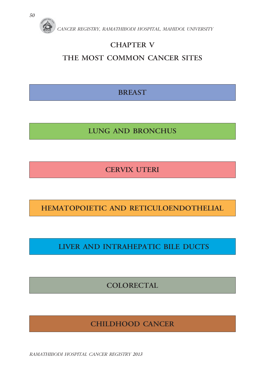

### **CHAPTER V**

### **THE MOST COMMON CANCER SITES**

**BREAST** 

**LUNG AND BRONCHUS** 

**CERVIX UTERI** 

**HEMATOPOIETIC AND RETICULOENDOTHELIAL** 

 **LIVER AND INTRAHEPATIC BILE DUCTS** 

**COLORECTAL** 

**CHILDHOOD CANCER** 

*RAMATHIBODI HOSPITAL CANCER REGISTRY 2013*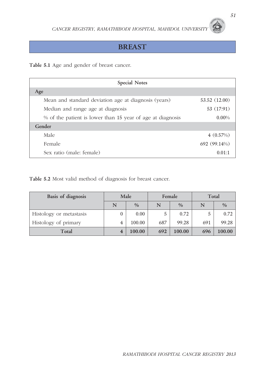#### **BREAST**

**Table 5.1** Age and gender of breast cancer.

| <b>Special Notes</b>                                       |               |
|------------------------------------------------------------|---------------|
| Age                                                        |               |
| Mean and standard deviation age at diagnosis (years)       | 53.52 (12.00) |
| Median and range age at diagnosis                          | 53 (17:91)    |
| % of the patient is lower than 15 year of age at diagnosis | $0.00\%$      |
| Gender                                                     |               |
| Male                                                       | 4(0.57%)      |
| Female                                                     | 692 (99.14%)  |
| Sex ratio (male: female)                                   | 0.01:1        |

**Table 5.2** Most valid method of diagnosis for breast cancer.

| Basis of diagnosis      | Male |               | Female |               | Total |               |
|-------------------------|------|---------------|--------|---------------|-------|---------------|
|                         | N    | $\frac{0}{0}$ | N      | $\frac{0}{0}$ | N     | $\frac{0}{0}$ |
| Histology or metastasis | 0    | 0.00          | 5      | 0.72          |       | 0.72          |
| Histology of primary    | 4    | 100.00        | 687    | 99.28         | 691   | 99.28         |
| Total                   |      | $100.00\,$    | 692    | 100.00        | 696   | 100.00        |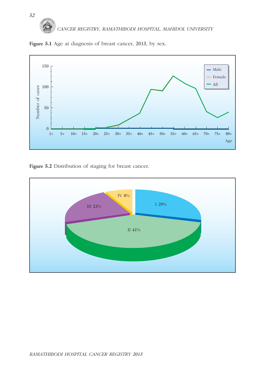



Figure 5.2 Distribution of staging for breast cancer.

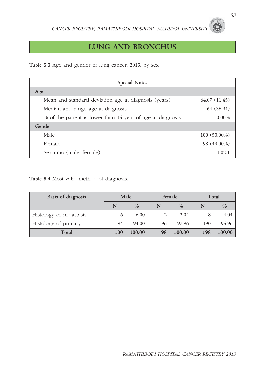### **LUNG AND BRONCHUS**

**Table 5.3** Age and gender of lung cancer, 2013, by sex

| <b>Special Notes</b>                                       |              |
|------------------------------------------------------------|--------------|
| Age                                                        |              |
| Mean and standard deviation age at diagnosis (years)       | 64.07(11.45) |
| Median and range age at diagnosis                          | 64 (35:94)   |
| % of the patient is lower than 15 year of age at diagnosis | $0.00\%$     |
| Gender                                                     |              |
| Male                                                       | 100 (50.00%) |
| Female                                                     | 98 (49.00%)  |
| Sex ratio (male: female)                                   | 1.02:1       |

**Table 5.4** Most valid method of diagnosis.

| Basis of diagnosis      |     | Male          |    | Female        | Total |               |  |
|-------------------------|-----|---------------|----|---------------|-------|---------------|--|
|                         | N   | $\frac{0}{0}$ | N  | $\frac{0}{0}$ | N     | $\frac{0}{0}$ |  |
| Histology or metastasis | 6   | 6.00          |    | 2.04          | 8     | 4.04          |  |
| Histology of primary    | 94  | 94.00         | 96 | 97.96         | 190   | 95.96         |  |
| Total                   | 100 | 100.00        | 98 | 100.00        | 198   | 100.00        |  |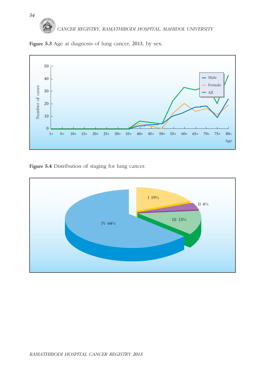



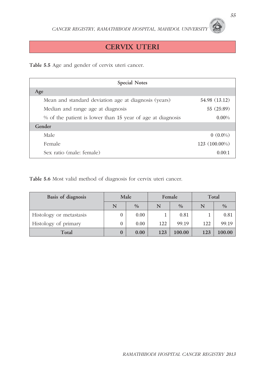#### **CERVIX UTERI**

**Table 5.5** Age and gender of cervix uteri cancer.

| <b>Special Notes</b>                                       |                 |  |  |  |  |  |  |
|------------------------------------------------------------|-----------------|--|--|--|--|--|--|
| Age                                                        |                 |  |  |  |  |  |  |
| Mean and standard deviation age at diagnosis (years)       | 54.98 (13.12)   |  |  |  |  |  |  |
| Median and range age at diagnosis                          | 55 (25:89)      |  |  |  |  |  |  |
| % of the patient is lower than 15 year of age at diagnosis | $0.00\%$        |  |  |  |  |  |  |
| Gender                                                     |                 |  |  |  |  |  |  |
| Male                                                       | $0(0.0\%)$      |  |  |  |  |  |  |
| Female                                                     | $123(100.00\%)$ |  |  |  |  |  |  |
| Sex ratio (male: female)                                   | 0.00:1          |  |  |  |  |  |  |

**Table 5.6** Most valid method of diagnosis for cervix uteri cancer.

| Basis of diagnosis      |   | Male |     | Female | Total |               |  |
|-------------------------|---|------|-----|--------|-------|---------------|--|
|                         | N | $\%$ | N   | $\%$   | N     | $\frac{0}{0}$ |  |
| Histology or metastasis | 0 | 0.00 |     | 0.81   |       | 0.81          |  |
| Histology of primary    |   | 0.00 | 122 | 99.19  | 122   | 99.19         |  |
| Total                   | 0 | 0.00 | 123 | 100.00 | 123   | 100.00        |  |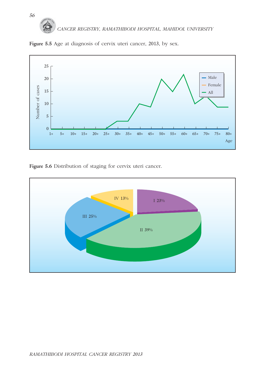

Figure 5.5 Age at diagnosis of cervix uteri cancer, 2013, by sex.

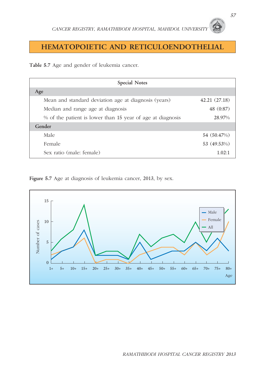#### **HEMATOPOIETIC AND RETICULOENDOTHELIAL**

**Table 5.7** Age and gender of leukemia cancer.

| <b>Special Notes</b>                                       |              |  |  |  |  |  |  |
|------------------------------------------------------------|--------------|--|--|--|--|--|--|
| Age                                                        |              |  |  |  |  |  |  |
| Mean and standard deviation age at diagnosis (years)       | 42.21(27.18) |  |  |  |  |  |  |
| Median and range age at diagnosis                          | 48 (0:87)    |  |  |  |  |  |  |
| % of the patient is lower than 15 year of age at diagnosis | 28.97%       |  |  |  |  |  |  |
| Gender                                                     |              |  |  |  |  |  |  |
| Male                                                       | 54 (50.47%)  |  |  |  |  |  |  |
| Female                                                     | 53 (49.53%)  |  |  |  |  |  |  |
| Sex ratio (male: female)                                   | 1.02:1       |  |  |  |  |  |  |

**Figure 5.7** Age at diagnosis of leukemia cancer, 2013, by sex.

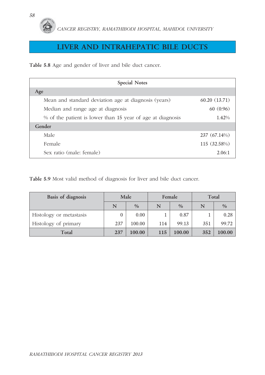#### **LIVER AND INTRAHEPATIC BILE DUCTS**

**Table 5.8** Age and gender of liver and bile duct cancer.

| <b>Special Notes</b>                                       |              |  |  |  |  |  |  |
|------------------------------------------------------------|--------------|--|--|--|--|--|--|
| Age                                                        |              |  |  |  |  |  |  |
| Mean and standard deviation age at diagnosis (years)       | 60.20(13.71) |  |  |  |  |  |  |
| Median and range age at diagnosis                          | 60(0:96)     |  |  |  |  |  |  |
| % of the patient is lower than 15 year of age at diagnosis | 1.42%        |  |  |  |  |  |  |
| Gender                                                     |              |  |  |  |  |  |  |
| Male                                                       | 237 (67.14%) |  |  |  |  |  |  |
| Female                                                     | 115 (32.58%) |  |  |  |  |  |  |
| Sex ratio (male: female)                                   | 2.06:1       |  |  |  |  |  |  |

**Table 5.9** Most valid method of diagnosis for liver and bile duct cancer.

| Basis of diagnosis      |     | Male          |     | Female | Total |               |  |
|-------------------------|-----|---------------|-----|--------|-------|---------------|--|
|                         | N   | $\frac{0}{0}$ | N   | $\%$   | N     | $\frac{0}{0}$ |  |
| Histology or metastasis |     | 0.00          |     | 0.87   |       | 0.28          |  |
| Histology of primary    | 237 | 100.00        | 114 | 99.13  | 351   | 99.72         |  |
| Total                   | 237 | 100.00        | 115 | 100.00 | 352   | 100.00        |  |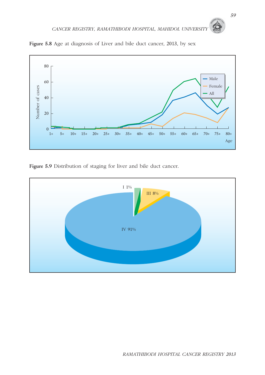

**Figure 5.8** Age at diagnosis of Liver and bile duct cancer, 2013, by sex

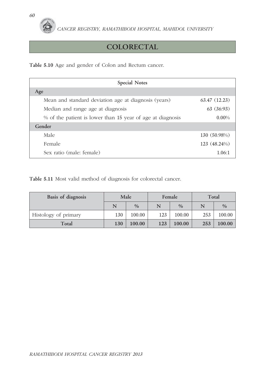

### **COLORECTAL**

**Table 5.10** Age and gender of Colon and Rectum cancer.

| <b>Special Notes</b>                                       |              |  |  |  |  |  |  |
|------------------------------------------------------------|--------------|--|--|--|--|--|--|
| Age                                                        |              |  |  |  |  |  |  |
| Mean and standard deviation age at diagnosis (years)       | 63.47(12.23) |  |  |  |  |  |  |
| Median and range age at diagnosis                          | 63(36:93)    |  |  |  |  |  |  |
| % of the patient is lower than 15 year of age at diagnosis | $0.00\%$     |  |  |  |  |  |  |
| Gender                                                     |              |  |  |  |  |  |  |
| Male                                                       | 130 (50.98%) |  |  |  |  |  |  |
| Female                                                     | 123 (48.24%) |  |  |  |  |  |  |
| Sex ratio (male: female)                                   | 1.06:1       |  |  |  |  |  |  |

**Table 5.11** Most valid method of diagnosis for colorectal cancer.

| Basis of diagnosis   |                    | Male   |     | Female        | Total |               |  |
|----------------------|--------------------|--------|-----|---------------|-------|---------------|--|
|                      | $\frac{0}{0}$<br>N |        | N   | $\frac{0}{0}$ | N     | $\frac{0}{0}$ |  |
| Histology of primary | 130                | 100.00 | 123 | 100.00        | 253   | 100.00        |  |
| Total                | 130                | 100.00 | 123 | 100.00        | 253   | 100.00        |  |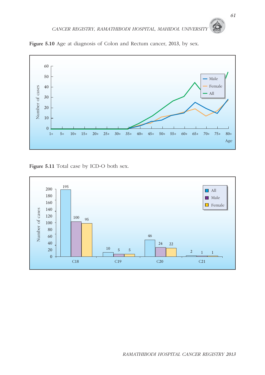

**Figure 5.10** Age at diagnosis of Colon and Rectum cancer, 2013, by sex.

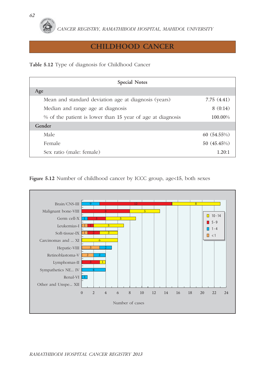#### **CHILDHOOD CANCER**

**Table 5.12** Type of diagnosis for Childhood Cancer

| <b>Special Notes</b>                                       |             |  |  |  |  |  |  |
|------------------------------------------------------------|-------------|--|--|--|--|--|--|
| Age                                                        |             |  |  |  |  |  |  |
| Mean and standard deviation age at diagnosis (years)       | 7.75(4.41)  |  |  |  |  |  |  |
| Median and range age at diagnosis                          | 8(0:14)     |  |  |  |  |  |  |
| % of the patient is lower than 15 year of age at diagnosis | 100.00%     |  |  |  |  |  |  |
| Gender                                                     |             |  |  |  |  |  |  |
| Male                                                       | 60(54.55%)  |  |  |  |  |  |  |
| Female                                                     | 50 (45.45%) |  |  |  |  |  |  |
| Sex ratio (male: female)                                   | 1.20:1      |  |  |  |  |  |  |

Figure 5.12 Number of childhood cancer by ICCC group, age<15, both sexes

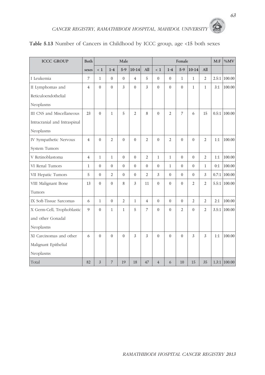| <b>ICCC GROUP</b>            | Both           |              |                | Male             |                  |                         | Female           |                |                |                         |                | $M:$ $F$ | %MV              |
|------------------------------|----------------|--------------|----------------|------------------|------------------|-------------------------|------------------|----------------|----------------|-------------------------|----------------|----------|------------------|
|                              | sexes          | < 1          | $1 - 4$        | $5-9$            | $10-14$          | All                     | $\langle 1$      | $1-4$          | $5-9$          | $10-14$                 | All            |          |                  |
| I Leukemia                   | $\overline{7}$ | $\mathbf{1}$ | $\mathbf{0}$   | $\mathbf{0}$     | $\overline{4}$   | 5                       | $\mathbf{0}$     | $\overline{0}$ | $\mathbf{1}$   | $\mathbf{1}$            | $\overline{2}$ |          | $2.5:1$ 100.00   |
| II Lymphomas and             | $\overline{4}$ | $\Omega$     | $\theta$       | 3                | $\theta$         | $\overline{\mathbf{3}}$ | $\Omega$         | $\Omega$       | $\Omega$       | $\mathbf{1}$            | $\mathbf{1}$   | 3:1      | 100.00           |
| Reticuloendothelial          |                |              |                |                  |                  |                         |                  |                |                |                         |                |          |                  |
| Neoplasms                    |                |              |                |                  |                  |                         |                  |                |                |                         |                |          |                  |
| III CNS and Miscellaneous    | 23             | $\theta$     | $\mathbf{1}$   | 5                | $\overline{2}$   | 8                       | $\theta$         | $\overline{c}$ | $\overline{7}$ | 6                       | 15             |          | $0.5:1$ 100.00   |
| Intracranial and Intraspinal |                |              |                |                  |                  |                         |                  |                |                |                         |                |          |                  |
| Neoplasms                    |                |              |                |                  |                  |                         |                  |                |                |                         |                |          |                  |
| IV Sympathetic Nervous       | $\overline{4}$ | $\Omega$     | $\overline{2}$ | $\theta$         | $\theta$         | $\overline{c}$          | $\Omega$         | $\mathfrak{D}$ | $\Omega$       | $\Omega$                | $\overline{2}$ | 1:1      | 100.00           |
| System Tumors                |                |              |                |                  |                  |                         |                  |                |                |                         |                |          |                  |
| V Retinoblastoma             | $\overline{4}$ | $\mathbf{1}$ | $\mathbf{1}$   | $\theta$         | $\theta$         | $\mathfrak{2}$          | $\mathbf{1}$     | $\mathbf{1}$   | $\theta$       | $\theta$                | $\overline{2}$ | 1:1      | 100.00           |
| VI Renal Tumors              | $\mathbf{1}$   | $\mathbf{0}$ | $\overline{0}$ | $\boldsymbol{0}$ | $\boldsymbol{0}$ | $\mathbf{0}$            | $\boldsymbol{0}$ | $\mathbf{1}$   | $\mathbf{0}$   | $\theta$                | $\mathbf{1}$   | 0:1      | 100.00           |
| VII Hepatic Tumors           | 5              | $\Omega$     | $\overline{2}$ | $\theta$         | $\theta$         | $\overline{c}$          | $\overline{3}$   | $\theta$       | $\theta$       | $\Omega$                | 3              | 0.7:1    | 100.00           |
| VIII Malignant Bone          | 13             | $\Omega$     | $\mathbf{0}$   | 8                | 3                | 11                      | $\mathbf{0}$     | $\theta$       | $\theta$       | $\overline{c}$          | $\overline{2}$ |          | $5.5:1$ 100.00   |
| Tumors                       |                |              |                |                  |                  |                         |                  |                |                |                         |                |          |                  |
| IX Soft-Tissue Sarcomas      | 6              | $\mathbf{1}$ | $\mathbf{0}$   | $\overline{2}$   | $\mathbf{1}$     | $\overline{4}$          | $\Omega$         | $\theta$       | $\theta$       | $\overline{2}$          | $\overline{2}$ | 2:1      | 100.00           |
| X Germ-Cell, Trophoblastic   | 9              | $\theta$     | $\mathbf{1}$   | $\mathbf{1}$     | 5                | 7                       | $\overline{0}$   | $\theta$       | $\mathfrak{2}$ | $\theta$                | $\overline{2}$ |          | $3.5:1$ 100.00   |
| and other Gonadal            |                |              |                |                  |                  |                         |                  |                |                |                         |                |          |                  |
| Neoplasms                    |                |              |                |                  |                  |                         |                  |                |                |                         |                |          |                  |
| XI Carcinomas and other      | 6              | $\Omega$     | $\Omega$       | $\theta$         | 3                | $\overline{3}$          | $\Omega$         | $\Omega$       | $\Omega$       | $\overline{\mathbf{3}}$ | $\overline{3}$ | 1:1      | 100.00           |
| Malignant Epithelial         |                |              |                |                  |                  |                         |                  |                |                |                         |                |          |                  |
| Neoplasms                    |                |              |                |                  |                  |                         |                  |                |                |                         |                |          |                  |
| Total                        | 82             | 3            | $\overline{7}$ | 19               | 18               | 47                      | $\overline{4}$   | 6              | 10             | 15                      | 35             |          | $1.3:1$   100.00 |

#### **Table 5.13** Number of Cancers in Childhood by ICCC group, age <15 both sexes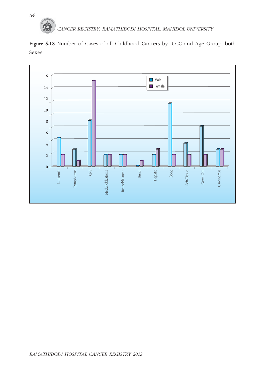

**Figure 5.13** Number of Cases of all Childhood Cancers by ICCC and Age Group, both Sexes

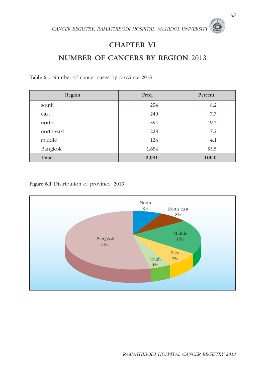*CANCER REGISTRY, RAMATHIBODI HOSPITAL, MAHIDOL UNIVERSITY* 

### **CHAPTER VI**

## **NUMBER OF CANCERS BY REGION** 2013

**Table 6.1** Number of cancer cases by province 2013

| Region     | Freq. | Percent |  |
|------------|-------|---------|--|
| south      | 254   | 8.2     |  |
| east       | 240   | 7.7     |  |
| north      | 594   | 19.2    |  |
| north-east | 223   | 7.2     |  |
| middle     | 126   | 4.1     |  |
| Bangkok    | 1,654 | 53.5    |  |
| Total      | 3,091 | 100.0   |  |

**Figure 6.1** Distribution of province, 2013

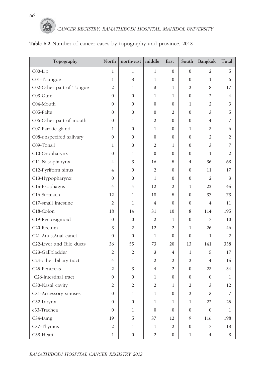

| Topography                        | North            | north-east       | middle         | East             | South            | Bangkok          | Total          |
|-----------------------------------|------------------|------------------|----------------|------------------|------------------|------------------|----------------|
| $COO-Lip$                         | 1                | 1                | $\mathbf 1$    | $\overline{0}$   | $\overline{0}$   | 2                | 5              |
| C01-Toungue                       | $\mathbf{1}$     | 3                | $\mathbf{1}$   | $\overline{0}$   | $\mathbf{0}$     | $\mathbf{1}$     | 6              |
| C02-Other part of Tongue          | $\mathfrak{2}$   | $\mathbf{1}$     | 3              | $\mathbf{1}$     | 2                | 8                | 17             |
| C03-Gum                           | $\mathbf{0}$     | $\mathbf{0}$     | $\mathbf{1}$   | $\mathbf{1}$     | $\overline{0}$   | $\overline{2}$   | 4              |
| C04-Mouth                         | $\mathbf{0}$     | $\overline{0}$   | $\theta$       | $\overline{0}$   | $\mathbf{1}$     | 2                | 3              |
| C05-Palte                         | $\mathbf{0}$     | $\Omega$         | $\Omega$       | 2                | $\mathbf{0}$     | $\overline{3}$   | 5              |
| C06-Other part of mouth           | $\mathbf{0}$     | $\mathbf{1}$     | $\overline{2}$ | $\theta$         | $\overline{0}$   | $\overline{4}$   | $\overline{7}$ |
| C07-Parotic gland                 | $\mathbf{1}$     | $\mathbf{0}$     | $\mathbf{1}$   | 0                | $\mathbf{1}$     | 3                | 6              |
| C08-unspecifed salivary           | $\mathbf{0}$     | $\Omega$         | $\Omega$       | $\theta$         | $\mathbf{0}$     | $\overline{2}$   | $\overline{2}$ |
| C09-Tonsil                        | 1                | $\mathbf{0}$     | $\overline{2}$ | 1                | $\overline{0}$   | $\overline{3}$   | $\overline{7}$ |
| C10-Oropharynx                    | $\mathbf{0}$     | $\mathbf{1}$     | $\theta$       | $\overline{0}$   | $\mathbf{0}$     | $\mathbf{1}$     | 2              |
| C11-Nasopharynx                   | $\overline{4}$   | 3                | 16             | 5                | $\overline{4}$   | 36               | 68             |
| C12-Pyriform sinus                | $\overline{4}$   | $\mathbf{0}$     | $\overline{2}$ | $\overline{0}$   | $\overline{0}$   | 11               | 17             |
| C13-Hypopharynx                   | $\theta$         | $\Omega$         | $\mathbf{1}$   | 0                | $\mathbf{0}$     | 2                | 3              |
| C15-Esophagus                     | $\overline{4}$   | 4                | 12             | 2                | 1                | 22               | 45             |
| C16-Stomach                       | 12               | $\mathbf{1}$     | 18             | 5                | $\overline{0}$   | 37               | 73             |
| C17-small intestine               | $\overline{2}$   | $\mathbf{1}$     | $\overline{4}$ | 0                | $\mathbf{0}$     | $\overline{4}$   | 11             |
| C18-Colon                         | 18               | 14               | 31             | 10               | 8                | 114              | 195            |
| C19-Rectosigmoid                  | $\mathbf{0}$     | $\mathbf{0}$     | $\overline{2}$ | $\mathbf{1}$     | $\mathbf{0}$     | 7                | 10             |
| C <sub>20</sub> -Rectum           | $\mathfrak{Z}$   | $\overline{2}$   | 12             | 2                | 1                | 26               | 46             |
| C21-Anus, Anal canel              | $\mathbf{0}$     | $\Omega$         | $\mathbf{1}$   | $\Omega$         | $\mathbf{0}$     | $\mathbf{1}$     | $\overline{2}$ |
| C22-Liver and Bile ducts          | 36               | 55               | 73             | 20               | 13               | 141              | 338            |
| C <sub>23</sub> -Gallbladder      | $\overline{2}$   | 2                | 3              | 4                | 1                | 5                | 17             |
| C24-other biliary tract           | $\overline{4}$   | $\mathbf{1}$     | $\overline{2}$ | 2                | $\mathfrak{2}$   | $\overline{4}$   | 15             |
| C <sub>25</sub> -Pencreas         | $\overline{2}$   | $\overline{3}$   | 4              | $\overline{2}$   | $\overline{0}$   | 23               | 34             |
| C <sub>26</sub> -intestinal tract | $\overline{0}$   | $\mathbf{0}$     | 1              | 0                | $\overline{0}$   | $\mathbf{0}$     | $\mathbf{1}$   |
| C <sub>30</sub> -Nasal cavity     | $\mathfrak{2}$   | $\mathfrak{2}$   | $\mathfrak{2}$ | 1                | $\mathfrak{2}$   | $\mathfrak{Z}$   | 12             |
| C31-Accessory sinuses             | $\boldsymbol{0}$ | $\,1$            | $\mathbf{1}$   | $\boldsymbol{0}$ | $\overline{2}$   | $\mathfrak{Z}$   | $\overline{7}$ |
| C32-Larynx                        | $\boldsymbol{0}$ | $\boldsymbol{0}$ | $\mathbf{1}$   | $\mathbf{1}$     | $\mathbf{1}$     | $22\,$           | 25             |
| c <sub>3</sub> 3-Trachea          | $\boldsymbol{0}$ | $\mathbf{1}$     | $\overline{0}$ | $\overline{0}$   | $\boldsymbol{0}$ | $\boldsymbol{0}$ | 1              |
| C34-Lung                          | 19               | $\mathbf 5$      | 37             | 12               | 9                | 116              | 198            |
| C37-Thymus                        | $\sqrt{2}$       | $\mathbf{1}$     | $\mathbf{1}$   | $\mathbf{2}$     | $\boldsymbol{0}$ | $\boldsymbol{7}$ | 13             |
| C38-Heart                         | $\,1$            | $\boldsymbol{0}$ | $\overline{2}$ | $\boldsymbol{0}$ | $\mathbf{1}$     | $\overline{4}$   | $\,8\,$        |

#### **Table 6.2** Number of cancer cases by topography and province, 2013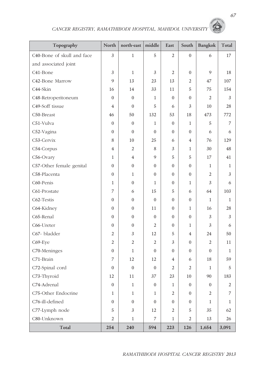# *CANCER REGISTRY, RAMATHIBODI HOSPITAL, MAHIDOL UNIVERSITY*

| Topography                 | North            | north-east       | middle           | East             | South                                                        | Bangkok          | Total          |
|----------------------------|------------------|------------------|------------------|------------------|--------------------------------------------------------------|------------------|----------------|
| C40-Bone of skull and face | $\overline{3}$   | $\mathbf{1}$     | 5                | $\overline{2}$   | $\overline{0}$                                               | 6                | 17             |
| and associated joint       |                  |                  |                  |                  |                                                              |                  |                |
| C41-Bone                   | 3                | $\mathbf 1$      | $\mathfrak{Z}$   | $\overline{2}$   | $\overline{0}$                                               | 9                | 18             |
| C42-Bone Marrow            | 9                | 13               | 23               | 13               | $\overline{2}$                                               | 47               | 107            |
| C44-Skin                   | 16               | 14               | 33               | 11               | 5                                                            | 75               | 154            |
| C48-Retroperitoneum        | $\overline{0}$   | $\overline{0}$   | $\mathbf{1}$     | $\Omega$         | $\overline{0}$                                               | $\overline{2}$   | $\mathfrak{Z}$ |
| C49-Soff tissue            | 4                | $\boldsymbol{0}$ | 5                | 6                | 3                                                            | 10               | 28             |
| C50-Breast                 | 46               | 50               | 132              | 53               | 18                                                           | 473              | 772            |
| C51-Vulva                  | $\overline{0}$   | $\overline{0}$   | $\mathbf{1}$     | $\theta$         | $\mathbf{1}$                                                 | 5                | $\overline{7}$ |
| C52-Vagina                 | $\overline{0}$   | $\boldsymbol{0}$ | $\theta$         | $\mathbf{0}$     | $\overline{0}$                                               | 6                | 6              |
| C53-Cervix                 | 8                | 10               | 25               | 6                | $\overline{4}$                                               | 76               | 129            |
| C54-Corpus                 | $\overline{4}$   | $\overline{2}$   | 8                | 3                | $\mathbf{1}$                                                 | 30               | 48             |
| C56-Ovary                  | $\mathbf{1}$     | $\overline{4}$   | 9                | 5                | $\mathbf 5$                                                  | 17               | 41             |
| C57-Other female genital   | $\overline{0}$   | $\mathbf{0}$     | $\Omega$         | $\theta$         | $\overline{0}$                                               | 1                | $\mathbf{1}$   |
| C58-Placenta               | $\overline{0}$   | $\mathbf{1}$     | $\theta$         | $\mathbf{0}$     | $\overline{0}$                                               | $\overline{2}$   | 3              |
| C60-Penis                  | $\mathbf{1}$     | $\overline{0}$   | $\mathbf{1}$     | $\theta$         | 1                                                            | $\mathfrak{Z}$   | 6              |
| C61-Prostate               | $\overline{7}$   | 6                | 15               | 5                | 6                                                            | 64               | 103            |
| C62-Testis                 | $\mathbf{0}$     | $\overline{0}$   | $\theta$         | $\mathbf{0}$     | $\boldsymbol{0}$                                             | $\mathbf{1}$     | $\mathbf{1}$   |
| C64-Kidney                 | $\overline{0}$   | $\boldsymbol{0}$ | 11               | $\mathbf{0}$     | $\mathbf{1}$                                                 | 16               | 28             |
| C65-Renal                  | $\overline{0}$   | $\overline{0}$   | $\Omega$         | $\mathbf{0}$     | $\boldsymbol{0}$                                             | 3                | $\mathfrak{Z}$ |
| C66-Ureter                 | $\boldsymbol{0}$ | $\overline{0}$   | $\overline{2}$   | $\theta$         | $\mathbf{1}$                                                 | $\mathfrak{Z}$   | 6              |
| C67- bladder               | $\mathfrak{2}$   | $\mathfrak{Z}$   | 12               | 5                | $\overline{4}$                                               | 24               | 50             |
| C69-Eye                    | $\overline{2}$   | $\overline{2}$   | $\overline{2}$   | 3                | $\overline{0}$                                               | $\overline{2}$   | 11             |
| C70-Meninges               | $\boldsymbol{0}$ | $\mathbf{1}$     | $\mathbf{0}$     | $\theta$         | $\overline{0}$                                               | $\overline{0}$   | $\mathbf{1}$   |
| C71-Brain                  | $\overline{7}$   | 12               | 12               | 4                | 6                                                            | 18               | 59             |
| C72-Spinal cord            | $\mathbf{0}$     | $\boldsymbol{0}$ | $\mathbf{0}$     | $\mathfrak{2}$   | $\mathfrak{2}% =\mathfrak{2}\left( \mathfrak{2}\right) ^{2}$ | $\,1$            | $\overline{5}$ |
| C73-Thyroid                | 12               | $11\,$           | 37               | 23               | $10\,$                                                       | 90               | 183            |
| C74-Adrenal                | $\boldsymbol{0}$ | $\,1\,$          | $\boldsymbol{0}$ | $\mathbf{1}$     | $\boldsymbol{0}$                                             | $\boldsymbol{0}$ | 2              |
| C75-Other Endocrine        | $\mathbf{1}$     | $\,1$            | $\mathbf{1}$     | $\overline{2}$   | $\mathbf{0}$                                                 | $\overline{2}$   | 7              |
| C76-ill-defined            | $\boldsymbol{0}$ | $\boldsymbol{0}$ | $\mathbf{0}$     | $\boldsymbol{0}$ | $\boldsymbol{0}$                                             | $\mathbf{1}$     | $\mathbf{1}$   |
| C77-Lymph node             | $\mathbf 5$      | $\mathfrak{Z}$   | 12               | $\mathbf{2}$     | $\mathbf 5$                                                  | 35               | 62             |
| C80-Unknown                | $\overline{c}$   | $\mathbf{1}$     | $\boldsymbol{7}$ | $\mathbf{1}$     | $\overline{c}$                                               | 13               | 26             |
| Total                      | 254              | 240              | 594              | 223              | 126                                                          | 1,654            | 3,091          |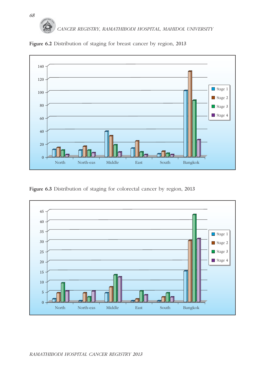# *CANCER REGISTRY, RAMATHIBODI HOSPITAL, MAHIDOL UNIVERSITY 68*



**Figure 6.2** Distribution of staging for breast cancer by region, 2013

**Figure 6.3** Distribution of staging for colorectal cancer by region, 2013